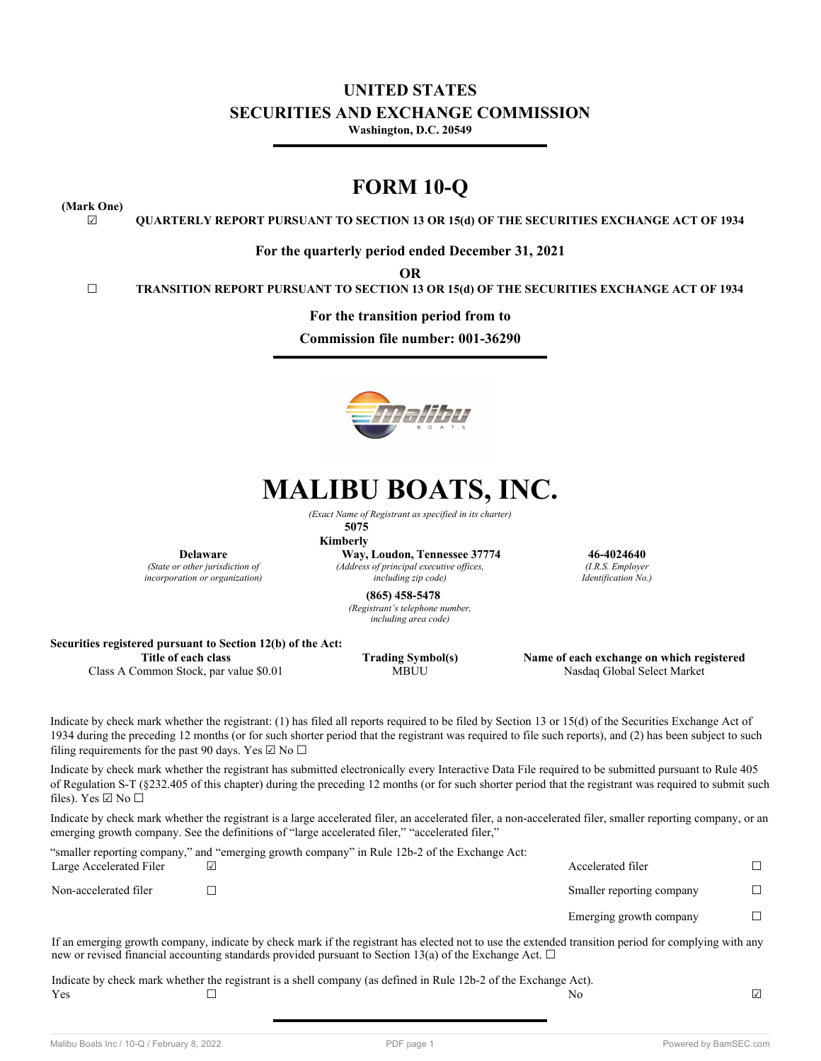## **UNITED STATES SECURITIES AND EXCHANGE COMMISSION Washington, D.C. 20549**

## **FORM 10-Q**

**(Mark One)**

☑ **QUARTERLY REPORT PURSUANT TO SECTION 13 OR 15(d) OF THE SECURITIES EXCHANGE ACT OF 1934**

**For the quarterly period ended December 31, 2021**

**OR**

☐ **TRANSITION REPORT PURSUANT TO SECTION 13 OR 15(d) OF THE SECURITIES EXCHANGE ACT OF 1934**

**For the transition period from to**

**Commission file number: 001-36290**



# **MALIBU BOATS, INC.**

*(Exact Name of Registrant as specified in its charter)*

**5075 Kimberly**

**Delaware**

*(State or other jurisdiction of incorporation or organization)*

**Way, Loudon, Tennessee 37774 46-4024640** *(Address of principal executive offices, including zip code)*

*(I.R.S. Employer Identification No.)*

**(865) 458-5478**

*(Registrant's telephone number, including area code)*

## **Securities registered pursuant to Section 12(b) of the Act:**

**Title of each class Trading Symbol(s) Name of each exchange on which registered** Class A Common Stock, par value \$0.01 MBUU Nasdaq Global Select Market

Indicate by check mark whether the registrant: (1) has filed all reports required to be filed by Section 13 or 15(d) of the Securities Exchange Act of 1934 during the preceding 12 months (or for such shorter period that the registrant was required to file such reports), and (2) has been subject to such filing requirements for the past 90 days. Yes  $\boxtimes$  No  $\Box$ 

Indicate by check mark whether the registrant has submitted electronically every Interactive Data File required to be submitted pursuant to Rule 405 of Regulation S-T (§232.405 of this chapter) during the preceding 12 months (or for such shorter period that the registrant was required to submit such files). Yes  $\boxtimes$  No  $\square$ 

Indicate by check mark whether the registrant is a large accelerated filer, an accelerated filer, a non-accelerated filer, smaller reporting company, or an emerging growth company. See the definitions of "large accelerated filer," "accelerated filer,"

|                         | "smaller reporting company," and "emerging growth company" in Rule 12b-2 of the Exchange Act: |                           |  |
|-------------------------|-----------------------------------------------------------------------------------------------|---------------------------|--|
| Large Accelerated Filer |                                                                                               | Accelerated filer         |  |
| Non-accelerated filer   |                                                                                               | Smaller reporting company |  |
|                         |                                                                                               | Emerging growth company   |  |

If an emerging growth company, indicate by check mark if the registrant has elected not to use the extended transition period for complying with any new or revised financial accounting standards provided pursuant to Section 13(a) of the Exchange Act.  $\Box$ 

Indicate by check mark whether the registrant is a shell company (as defined in Rule 12b-2 of the Exchange Act).  $\Gamma$  No  $\Box$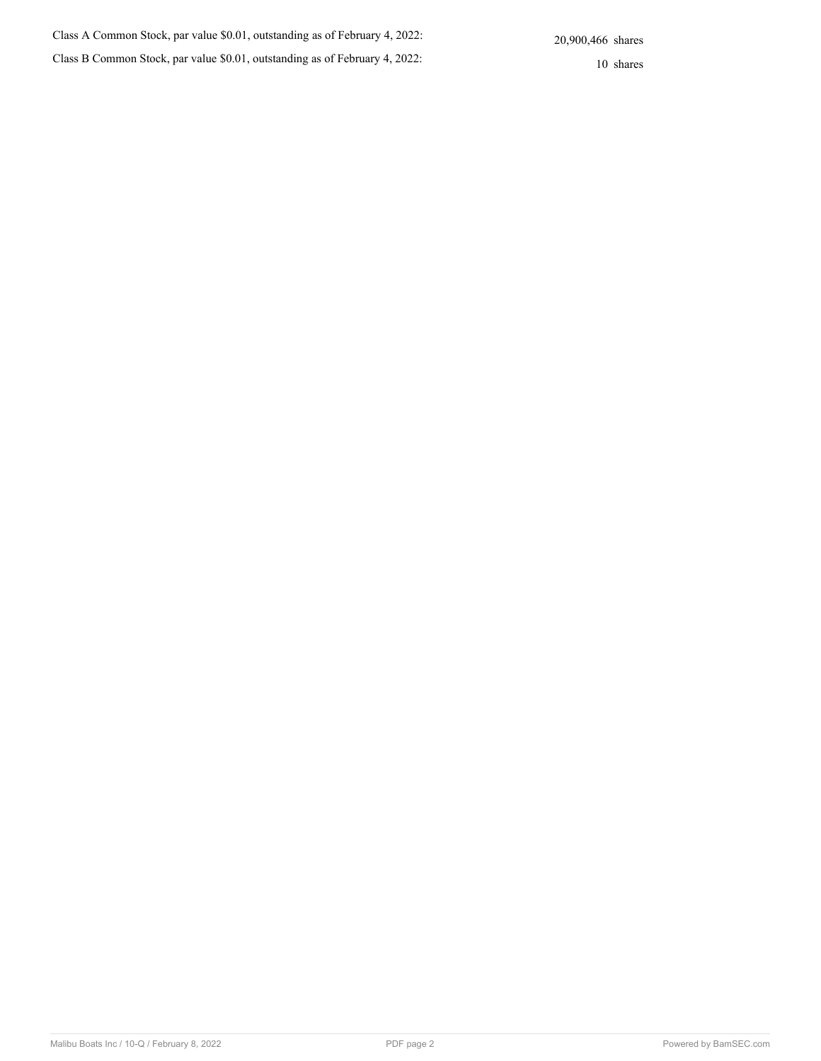| Class A Common Stock, par value \$0.01, outstanding as of February 4, 2022: | 20,900,466 shares |
|-----------------------------------------------------------------------------|-------------------|
| Class B Common Stock, par value \$0.01, outstanding as of February 4, 2022: | 10 shares         |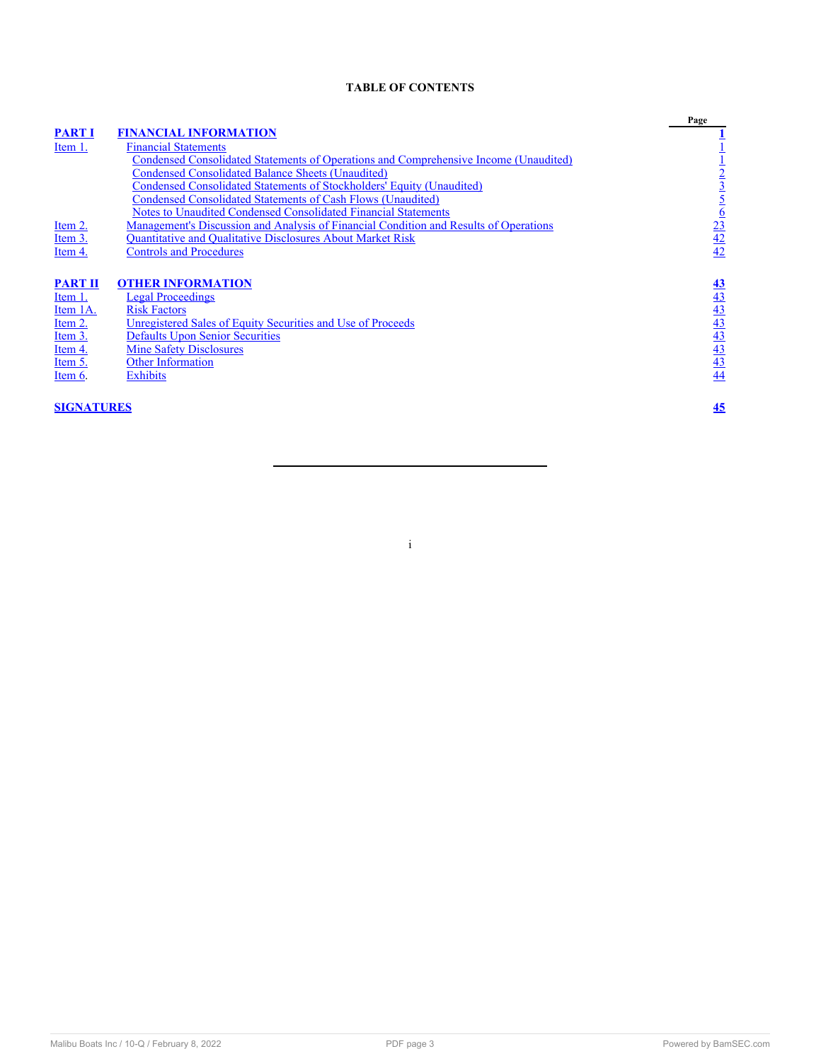## **TABLE OF CONTENTS**

|                   |                                                                                       | Page                                                              |
|-------------------|---------------------------------------------------------------------------------------|-------------------------------------------------------------------|
| <b>PART I</b>     | <b>FINANCIAL INFORMATION</b>                                                          |                                                                   |
| Item 1.           | <b>Financial Statements</b>                                                           |                                                                   |
|                   | Condensed Consolidated Statements of Operations and Comprehensive Income (Unaudited)  |                                                                   |
|                   | <b>Condensed Consolidated Balance Sheets (Unaudited)</b>                              |                                                                   |
|                   | <b>Condensed Consolidated Statements of Stockholders' Equity (Unaudited)</b>          |                                                                   |
|                   | Condensed Consolidated Statements of Cash Flows (Unaudited)                           |                                                                   |
|                   | <b>Notes to Unaudited Condensed Consolidated Financial Statements</b>                 |                                                                   |
| Item 2.           | Management's Discussion and Analysis of Financial Condition and Results of Operations | $\frac{1}{2}$<br>$\frac{3}{2}$<br>$\frac{5}{4}$<br>$\frac{6}{42}$ |
| Item 3.           | <b>Quantitative and Qualitative Disclosures About Market Risk</b>                     |                                                                   |
| Item 4.           | <b>Controls and Procedures</b>                                                        |                                                                   |
|                   |                                                                                       |                                                                   |
| <b>PART II</b>    | <b>OTHER INFORMATION</b>                                                              |                                                                   |
| Item 1.           | <b>Legal Proceedings</b>                                                              | $\frac{43}{43}$ $\frac{43}{43}$ $\frac{43}{43}$ $\frac{43}{44}$   |
| Item 1A.          | <b>Risk Factors</b>                                                                   |                                                                   |
| Item 2.           | Unregistered Sales of Equity Securities and Use of Proceeds                           |                                                                   |
| Item 3.           | <b>Defaults Upon Senior Securities</b>                                                |                                                                   |
| Item 4.           | <b>Mine Safety Disclosures</b>                                                        |                                                                   |
| Item 5.           | Other Information                                                                     |                                                                   |
| Item 6.           | <b>Exhibits</b>                                                                       |                                                                   |
|                   |                                                                                       |                                                                   |
| <b>SIGNATURES</b> |                                                                                       | 45                                                                |
|                   |                                                                                       |                                                                   |

i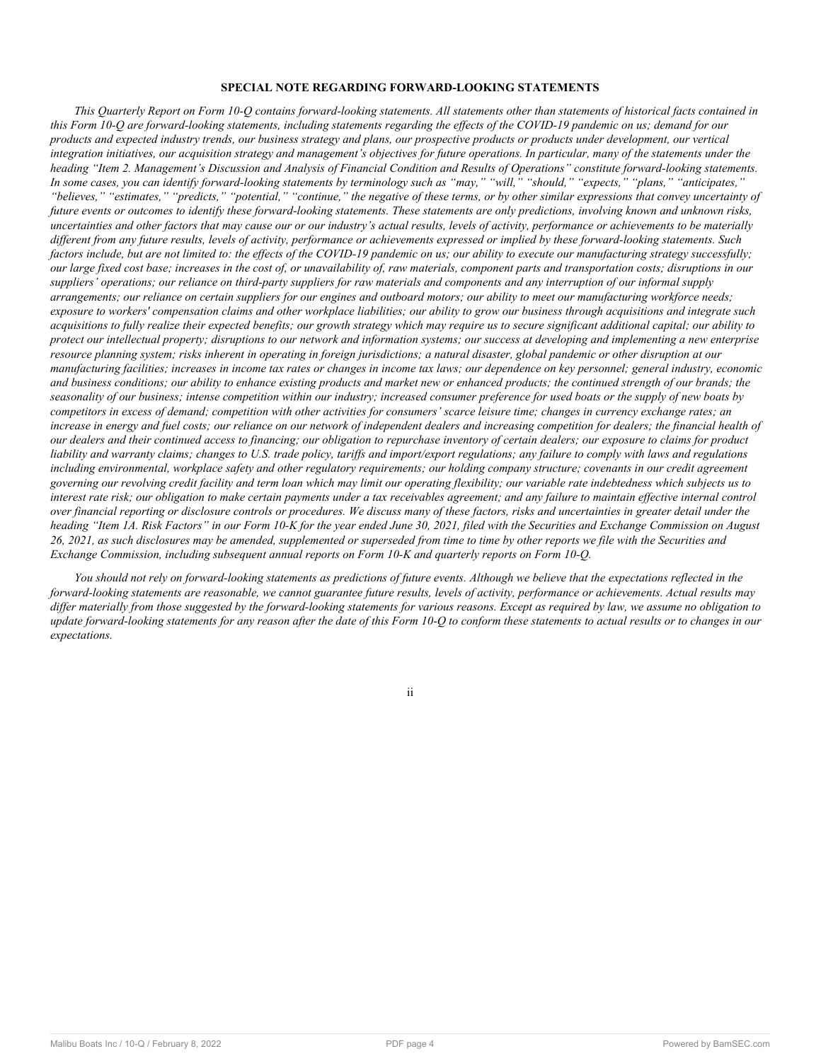## **SPECIAL NOTE REGARDING FORWARD-LOOKING STATEMENTS**

*This Quarterly Report on Form 10-Q contains forward-looking statements. All statements other than statements of historical facts contained in this Form 10-Q are forward-looking statements, including statements regarding the effects of the COVID-19 pandemic on us; demand for our products and expected industry trends, our business strategy and plans, our prospective products or products under development, our vertical integration initiatives, our acquisition strategy and management's objectives for future operations. In particular, many of the statements under the heading "Item 2. Management's Discussion and Analysis of Financial Condition and Results of Operations" constitute forward-looking statements. In some cases, you can identify forward-looking statements by terminology such as "may," "will," "should," "expects," "plans," "anticipates," "believes," "estimates," "predicts," "potential," "continue," the negative of these terms, or by other similar expressions that convey uncertainty of future events or outcomes to identify these forward-looking statements. These statements are only predictions, involving known and unknown risks, uncertainties and other factors that may cause our or our industry's actual results, levels of activity, performance or achievements to be materially different from any future results, levels of activity, performance or achievements expressed or implied by these forward-looking statements. Such factors include, but are not limited to: the effects of the COVID-19 pandemic on us; our ability to execute our manufacturing strategy successfully; our large fixed cost base; increases in the cost of, or unavailability of, raw materials, component parts and transportation costs; disruptions in our suppliers' operations; our reliance on third-party suppliers for raw materials and components and any interruption of our informal supply arrangements; our reliance on certain suppliers for our engines and outboard motors; our ability to meet our manufacturing workforce needs; exposure to workers' compensation claims and other workplace liabilities; our ability to grow our business through acquisitions and integrate such acquisitions to fully realize their expected benefits; our growth strategy which may require us to secure significant additional capital; our ability to protect our intellectual property; disruptions to our network and information systems; our success at developing and implementing a new enterprise resource planning system; risks inherent in operating in foreign jurisdictions; a natural disaster, global pandemic or other disruption at our manufacturing facilities; increases in income tax rates or changes in income tax laws; our dependence on key personnel; general industry, economic and business conditions; our ability to enhance existing products and market new or enhanced products; the continued strength of our brands; the seasonality of our business; intense competition within our industry; increased consumer preference for used boats or the supply of new boats by competitors in excess of demand; competition with other activities for consumers' scarce leisure time; changes in currency exchange rates; an increase in energy and fuel costs; our reliance on our network of independent dealers and increasing competition for dealers; the financial health of our dealers and their continued access to financing; our obligation to repurchase inventory of certain dealers; our exposure to claims for product liability and warranty claims; changes to U.S. trade policy, tariffs and import/export regulations; any failure to comply with laws and regulations including environmental, workplace safety and other regulatory requirements; our holding company structure; covenants in our credit agreement governing our revolving credit facility and term loan which may limit our operating flexibility; our variable rate indebtedness which subjects us to interest rate risk; our obligation to make certain payments under a tax receivables agreement; and any failure to maintain effective internal control over financial reporting or disclosure controls or procedures. We discuss many of these factors, risks and uncertainties in greater detail under the heading "Item 1A. Risk Factors" in our Form 10-K for the year ended June 30, 2021, filed with the Securities and Exchange Commission on August 26, 2021, as such disclosures may be amended, supplemented or superseded from time to time by other reports we file with the Securities and Exchange Commission, including subsequent annual reports on Form 10-K and quarterly reports on Form 10-Q.*

<span id="page-3-0"></span>*You should not rely on forward-looking statements as predictions of future events. Although we believe that the expectations reflected in the forward-looking statements are reasonable, we cannot guarantee future results, levels of activity, performance or achievements. Actual results may differ materially from those suggested by the forward-looking statements for various reasons. Except as required by law, we assume no obligation to update forward-looking statements for any reason after the date of this Form 10-Q to conform these statements to actual results or to changes in our expectations.*

ii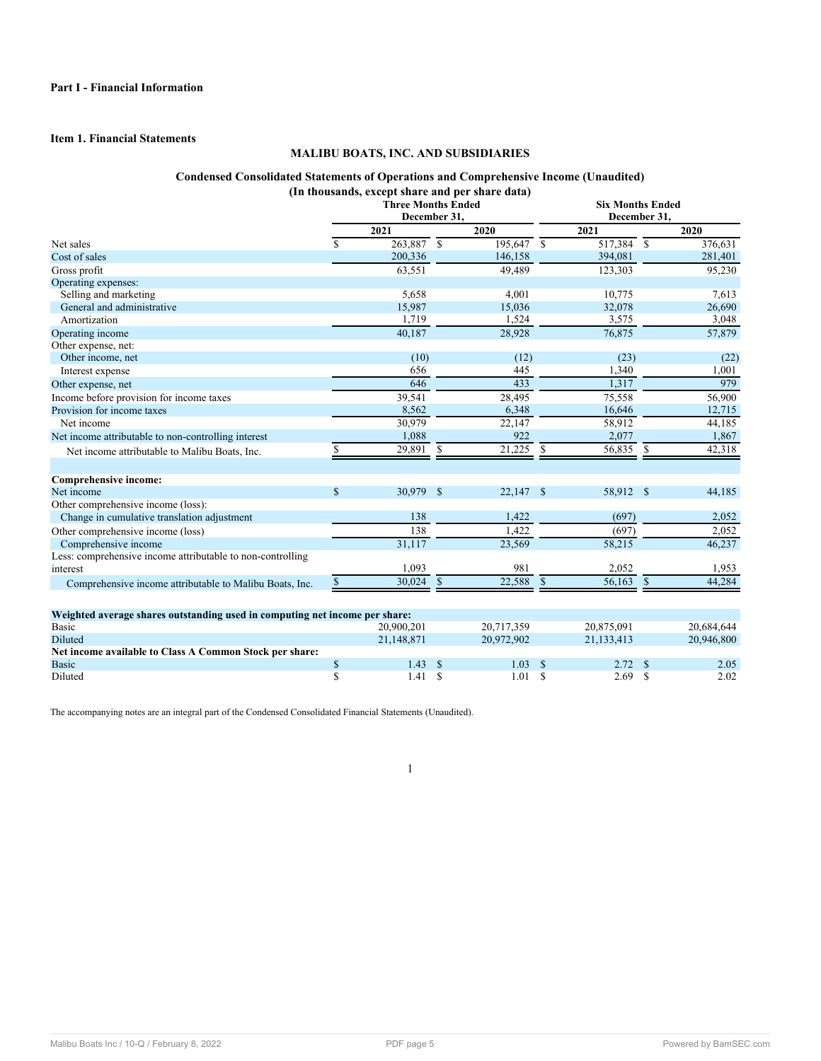## <span id="page-4-1"></span><span id="page-4-0"></span>**Item 1. Financial Statements**

## **MALIBU BOATS, INC. AND SUBSIDIARIES**

## **Condensed Consolidated Statements of Operations and Comprehensive Income (Unaudited) (In thousands, except share and per share data)**

|                                                                             | <b>Three Months Ended</b><br>December 31, |             |               |              |               | <b>Six Months Ended</b><br>December 31, |               |            |  |  |  |
|-----------------------------------------------------------------------------|-------------------------------------------|-------------|---------------|--------------|---------------|-----------------------------------------|---------------|------------|--|--|--|
|                                                                             |                                           | 2021        |               | 2020         |               | 2021                                    |               | 2020       |  |  |  |
| Net sales                                                                   | <b>S</b>                                  | 263,887 \$  |               | $195,647$ \$ |               | 517,384 \$                              |               | 376,631    |  |  |  |
| Cost of sales                                                               |                                           | 200,336     |               | 146,158      |               | 394,081                                 |               | 281,401    |  |  |  |
| Gross profit                                                                |                                           | 63,551      |               | 49,489       |               | 123,303                                 |               | 95,230     |  |  |  |
| Operating expenses:                                                         |                                           |             |               |              |               |                                         |               |            |  |  |  |
| Selling and marketing                                                       |                                           | 5,658       |               | 4,001        |               | 10,775                                  |               | 7,613      |  |  |  |
| General and administrative                                                  |                                           | 15,987      |               | 15,036       |               | 32,078                                  |               | 26,690     |  |  |  |
| Amortization                                                                |                                           | 1,719       |               | 1,524        |               | 3,575                                   |               | 3,048      |  |  |  |
| Operating income                                                            |                                           | 40.187      |               | 28,928       |               | 76,875                                  |               | 57,879     |  |  |  |
| Other expense, net:                                                         |                                           |             |               |              |               |                                         |               |            |  |  |  |
| Other income, net                                                           |                                           | (10)        |               | (12)         |               | (23)                                    |               | (22)       |  |  |  |
| Interest expense                                                            |                                           | 656         |               | 445          |               | 1,340                                   |               | 1,001      |  |  |  |
| Other expense, net                                                          |                                           | 646         |               | 433          |               | 1,317                                   |               | 979        |  |  |  |
| Income before provision for income taxes                                    |                                           | 39,541      |               | 28,495       |               | 75,558                                  |               | 56,900     |  |  |  |
| Provision for income taxes                                                  |                                           | 8,562       |               | 6,348        |               | 16,646                                  |               | 12,715     |  |  |  |
| Net income                                                                  |                                           | 30,979      |               | 22,147       |               | 58,912                                  |               | 44,185     |  |  |  |
| Net income attributable to non-controlling interest                         |                                           | 1,088       |               | 922          |               | 2,077                                   |               | 1,867      |  |  |  |
| Net income attributable to Malibu Boats, Inc.                               |                                           | 29,891 \$   |               | 21,225       | $\mathcal{S}$ | 56,835                                  | $\mathcal{S}$ | 42,318     |  |  |  |
| Comprehensive income:                                                       |                                           |             |               |              |               |                                         |               |            |  |  |  |
| Net income                                                                  | $\mathcal{S}$                             | 30,979 \$   |               | $22,147$ \$  |               | 58,912 \$                               |               | 44,185     |  |  |  |
| Other comprehensive income (loss):                                          |                                           |             |               |              |               |                                         |               |            |  |  |  |
| Change in cumulative translation adjustment                                 |                                           | 138         |               | 1,422        |               | (697)                                   |               | 2,052      |  |  |  |
| Other comprehensive income (loss)                                           |                                           | 138         |               | 1.422        |               | (697)                                   |               | 2,052      |  |  |  |
| Comprehensive income                                                        |                                           | 31,117      |               | 23,569       |               | 58,215                                  |               | 46,237     |  |  |  |
| Less: comprehensive income attributable to non-controlling                  |                                           |             |               |              |               |                                         |               |            |  |  |  |
| interest                                                                    |                                           | 1,093       |               | 981          |               | 2,052                                   |               | 1,953      |  |  |  |
| Comprehensive income attributable to Malibu Boats, Inc.                     |                                           | $30,024$ \$ |               | 22,588       | <sup>\$</sup> | 56,163                                  | -S            | 44,284     |  |  |  |
| Weighted average shares outstanding used in computing net income per share: |                                           |             |               |              |               |                                         |               |            |  |  |  |
| Basic                                                                       |                                           | 20,900,201  |               | 20,717,359   |               | 20,875,091                              |               | 20,684,644 |  |  |  |
| Diluted                                                                     |                                           | 21,148,871  |               | 20,972,902   |               | 21,133,413                              |               | 20,946,800 |  |  |  |
| Net income available to Class A Common Stock per share:                     |                                           |             |               |              |               |                                         |               |            |  |  |  |
| Basic                                                                       | \$                                        | 1.43        | <sup>\$</sup> | 1.03         | -S            | 2.72                                    | \$            | 2.05       |  |  |  |
| Diluted                                                                     | \$                                        | 1.41        | $\mathbf{s}$  | 1.01         | <sup>\$</sup> | 2.69                                    | \$            | 2.02       |  |  |  |

<span id="page-4-2"></span>The accompanying notes are an integral part of the Condensed Consolidated Financial Statements (Unaudited).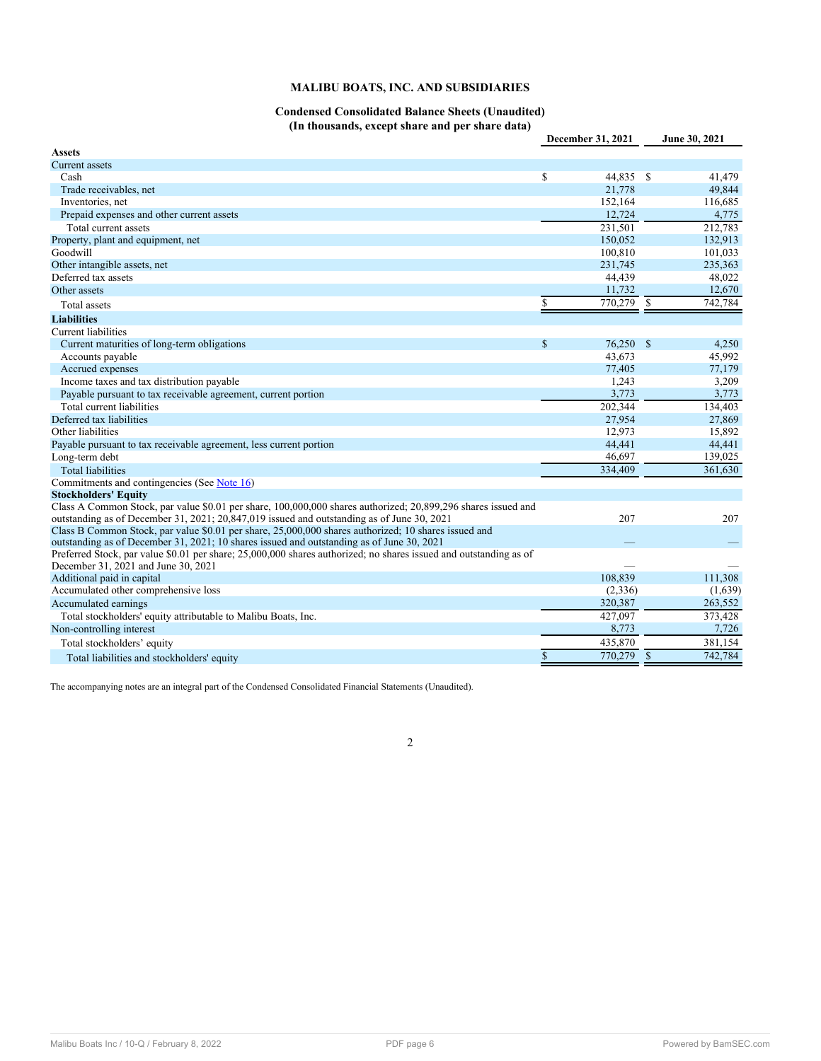## **MALIBU BOATS, INC. AND SUBSIDIARIES**

## **Condensed Consolidated Balance Sheets (Unaudited) (In thousands, except share and per share data)**

|                                                                                                                   |             | December 31, 2021 | June 30, 2021 |
|-------------------------------------------------------------------------------------------------------------------|-------------|-------------------|---------------|
| Assets                                                                                                            |             |                   |               |
| Current assets                                                                                                    |             |                   |               |
| Cash                                                                                                              | \$          | 44,835 \$         | 41,479        |
| Trade receivables, net                                                                                            |             | 21,778            | 49,844        |
| Inventories, net                                                                                                  |             | 152,164           | 116,685       |
| Prepaid expenses and other current assets                                                                         |             | 12,724            | 4,775         |
| Total current assets                                                                                              |             | 231,501           | 212,783       |
| Property, plant and equipment, net                                                                                |             | 150,052           | 132,913       |
| Goodwill                                                                                                          |             | 100,810           | 101,033       |
| Other intangible assets, net                                                                                      |             | 231,745           | 235,363       |
| Deferred tax assets                                                                                               |             | 44,439            | 48,022        |
| Other assets                                                                                                      |             | 11,732            | 12,670        |
| <b>Total assets</b>                                                                                               | \$          | 770,279 \$        | 742,784       |
| <b>Liabilities</b>                                                                                                |             |                   |               |
| <b>Current liabilities</b>                                                                                        |             |                   |               |
| Current maturities of long-term obligations                                                                       | \$          | 76,250 \$         | 4,250         |
| Accounts payable                                                                                                  |             | 43,673            | 45,992        |
| Accrued expenses                                                                                                  |             | 77,405            | 77,179        |
| Income taxes and tax distribution payable                                                                         |             | 1,243             | 3,209         |
| Payable pursuant to tax receivable agreement, current portion                                                     |             | 3,773             | 3,773         |
| Total current liabilities                                                                                         |             | 202,344           | 134,403       |
| Deferred tax liabilities                                                                                          |             | 27,954            | 27,869        |
| Other liabilities                                                                                                 |             | 12,973            | 15,892        |
| Payable pursuant to tax receivable agreement, less current portion                                                |             | 44,441            | 44,441        |
| Long-term debt                                                                                                    |             | 46,697            | 139,025       |
| <b>Total liabilities</b>                                                                                          |             | 334,409           | 361.630       |
| Commitments and contingencies (See Note 16)                                                                       |             |                   |               |
| <b>Stockholders' Equity</b>                                                                                       |             |                   |               |
| Class A Common Stock, par value \$0.01 per share, 100,000,000 shares authorized; 20,899,296 shares issued and     |             |                   |               |
| outstanding as of December 31, 2021; 20,847,019 issued and outstanding as of June 30, 2021                        |             | 207               | 207           |
| Class B Common Stock, par value \$0.01 per share, 25,000,000 shares authorized; 10 shares issued and              |             |                   |               |
| outstanding as of December 31, 2021; 10 shares issued and outstanding as of June 30, 2021                         |             |                   |               |
| Preferred Stock, par value \$0.01 per share; 25,000,000 shares authorized; no shares issued and outstanding as of |             |                   |               |
| December 31, 2021 and June 30, 2021                                                                               |             |                   |               |
| Additional paid in capital                                                                                        |             | 108,839           | 111,308       |
| Accumulated other comprehensive loss                                                                              |             | (2,336)           | (1,639)       |
| Accumulated earnings                                                                                              |             | 320,387           | 263,552       |
| Total stockholders' equity attributable to Malibu Boats, Inc.                                                     |             | 427,097           | 373,428       |
| Non-controlling interest                                                                                          |             | 8,773             | 7,726         |
| Total stockholders' equity                                                                                        |             | 435,870           | 381,154       |
| Total liabilities and stockholders' equity                                                                        | $\mathbf S$ | 770.279 \$        | 742.784       |

<span id="page-5-0"></span>The accompanying notes are an integral part of the Condensed Consolidated Financial Statements (Unaudited).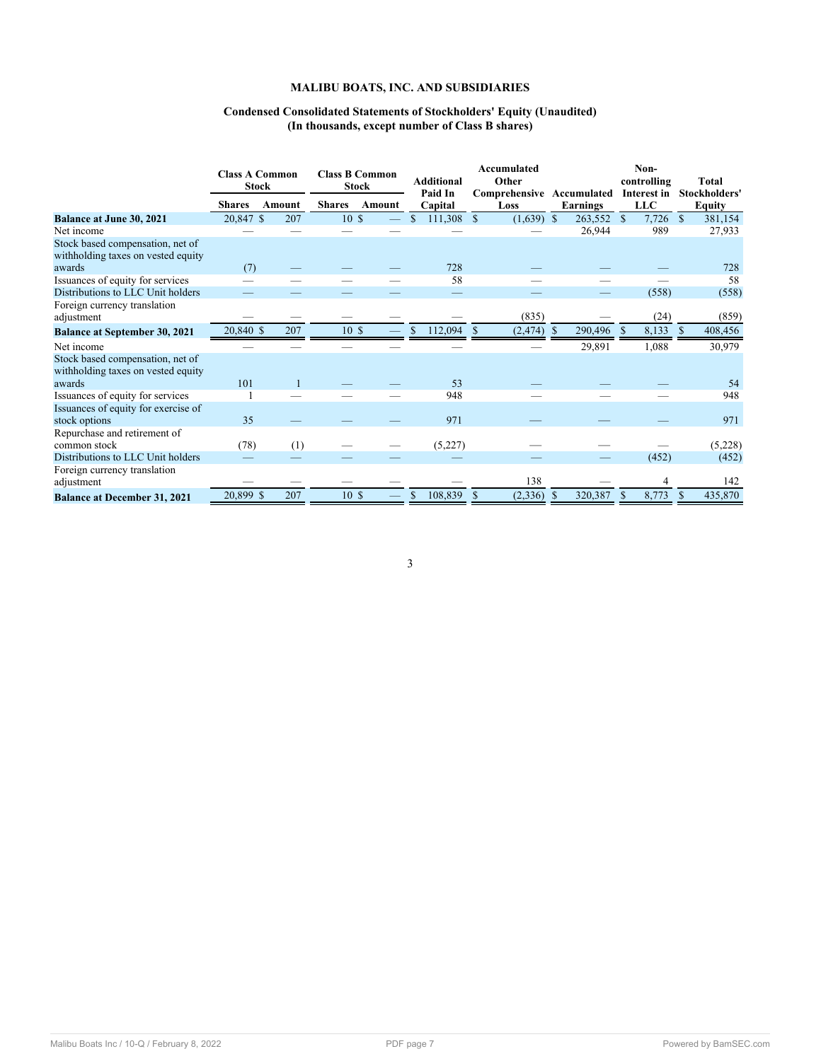## **MALIBU BOATS, INC. AND SUBSIDIARIES**

## **Condensed Consolidated Statements of Stockholders' Equity (Unaudited) (In thousands, except number of Class B shares)**

|                                                                        |               | <b>Class A Common</b><br><b>Stock</b> | <b>Class B Common</b><br><b>Stock</b> |        | <b>Additional</b><br>Paid In |              | Accumulated<br>Other<br>Comprehensive Accumulated |              |   |            | Non-<br>controlling<br>Interest in |            | <b>Total</b><br>Stockholders' |               |
|------------------------------------------------------------------------|---------------|---------------------------------------|---------------------------------------|--------|------------------------------|--------------|---------------------------------------------------|--------------|---|------------|------------------------------------|------------|-------------------------------|---------------|
|                                                                        | <b>Shares</b> | Amount                                | <b>Shares</b>                         | Amount |                              | Capital      |                                                   | Loss         |   | Earnings   |                                    | <b>LLC</b> |                               | <b>Equity</b> |
| <b>Balance at June 30, 2021</b>                                        | 20,847 \$     | 207                                   | 10 <sub>5</sub>                       |        |                              | $111,308$ \$ |                                                   | $(1,639)$ \$ |   | 263,552 \$ |                                    | 7,726      | $\mathbf{s}$                  | 381,154       |
| Net income                                                             |               |                                       |                                       |        |                              |              |                                                   |              |   | 26,944     |                                    | 989        |                               | 27,933        |
| Stock based compensation, net of<br>withholding taxes on vested equity |               |                                       |                                       |        |                              |              |                                                   |              |   |            |                                    |            |                               |               |
| awards                                                                 | (7)           |                                       |                                       |        |                              | 728          |                                                   |              |   |            |                                    |            |                               | 728           |
| Issuances of equity for services                                       |               |                                       |                                       |        |                              | 58           |                                                   |              |   |            |                                    |            |                               | 58            |
| Distributions to LLC Unit holders                                      |               |                                       |                                       |        |                              |              |                                                   |              |   |            |                                    | (558)      |                               | (558)         |
| Foreign currency translation                                           |               |                                       |                                       |        |                              |              |                                                   |              |   |            |                                    |            |                               |               |
| adjustment                                                             |               |                                       |                                       |        |                              |              |                                                   | (835)        |   |            |                                    | (24)       |                               | (859)         |
| <b>Balance at September 30, 2021</b>                                   | 20,840 \$     | 207                                   | 10S                                   |        |                              | 112,094      | -\$                                               | (2, 474)     |   | 290,496    |                                    | 8,133      |                               | 408,456       |
| Net income                                                             |               |                                       |                                       |        |                              |              |                                                   |              |   | 29,891     |                                    | 1,088      |                               | 30,979        |
| Stock based compensation, net of<br>withholding taxes on vested equity |               |                                       |                                       |        |                              |              |                                                   |              |   |            |                                    |            |                               |               |
| awards                                                                 | 101           |                                       |                                       |        |                              | 53           |                                                   |              |   |            |                                    |            |                               | 54            |
| Issuances of equity for services                                       |               |                                       |                                       |        |                              | 948          |                                                   |              |   |            |                                    |            |                               | 948           |
| Issuances of equity for exercise of<br>stock options                   | 35            |                                       |                                       |        |                              | 971          |                                                   |              |   |            |                                    |            |                               | 971           |
| Repurchase and retirement of<br>common stock                           | (78)          | (1)                                   |                                       |        |                              | (5,227)      |                                                   |              |   |            |                                    |            |                               | (5,228)       |
| Distributions to LLC Unit holders                                      |               |                                       |                                       |        |                              |              |                                                   |              |   |            |                                    | (452)      |                               | (452)         |
| Foreign currency translation<br>adjustment                             |               |                                       |                                       |        |                              |              |                                                   | 138          |   |            |                                    | 4          |                               | 142           |
| <b>Balance at December 31, 2021</b>                                    | 20,899 \$     | 207                                   | 10S                                   |        | \$                           | 108,839      | -S                                                | (2, 336)     | S | 320,387    | <sup>\$</sup>                      | 8,773      |                               | 435,870       |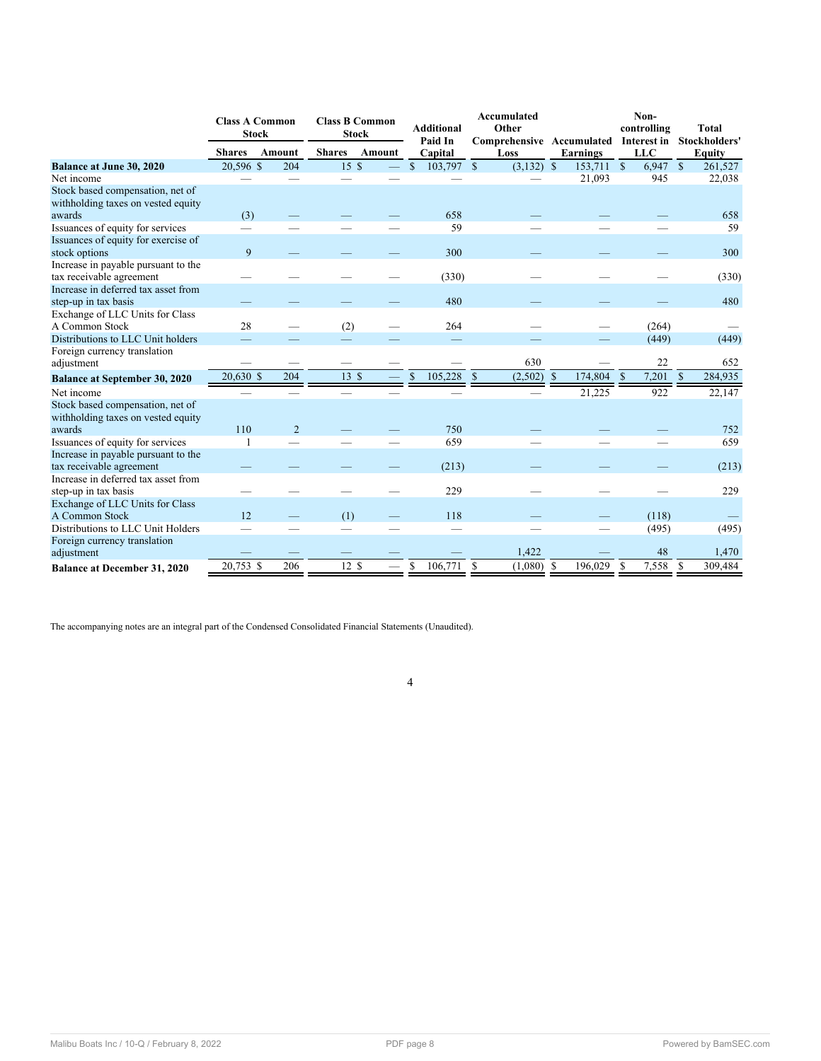|                                                                         | <b>Class A Common</b><br><b>Stock</b> |                |               | <b>Class B Common</b><br><b>Stock</b> |                         | <b>Additional</b><br>Paid In | Accumulated<br>Other<br>Comprehensive Accumulated |                    |                         | Non-<br>controlling<br>Interest in | <b>Total</b><br>Stockholders' |
|-------------------------------------------------------------------------|---------------------------------------|----------------|---------------|---------------------------------------|-------------------------|------------------------------|---------------------------------------------------|--------------------|-------------------------|------------------------------------|-------------------------------|
|                                                                         | <b>Shares</b>                         | Amount         | <b>Shares</b> | Amount                                |                         | Capital                      | Loss                                              |                    | Earnings                | <b>LLC</b>                         | <b>Equity</b>                 |
| <b>Balance at June 30, 2020</b>                                         | 20,596 \$                             | 204            | 15 \$         |                                       | $\mathbf S$             | 103,797 \$                   | $(3,132)$ \$                                      |                    | $\overline{153,711}$ \$ | $6,947$ \$                         | 261,527                       |
| Net income                                                              |                                       |                |               |                                       |                         |                              |                                                   |                    | 21,093                  | 945                                | 22,038                        |
| Stock based compensation, net of                                        |                                       |                |               |                                       |                         |                              |                                                   |                    |                         |                                    |                               |
| withholding taxes on vested equity                                      |                                       |                |               |                                       |                         | 658                          |                                                   |                    |                         |                                    | 658                           |
| awards                                                                  | (3)                                   |                |               |                                       |                         | 59                           |                                                   |                    |                         |                                    | 59                            |
| Issuances of equity for services<br>Issuances of equity for exercise of |                                       |                |               |                                       |                         |                              |                                                   |                    |                         |                                    |                               |
| stock options                                                           | 9                                     |                |               |                                       |                         | 300                          |                                                   |                    |                         |                                    | 300                           |
| Increase in payable pursuant to the                                     |                                       |                |               |                                       |                         |                              |                                                   |                    |                         |                                    |                               |
| tax receivable agreement                                                |                                       |                |               |                                       |                         | (330)                        |                                                   |                    |                         |                                    | (330)                         |
| Increase in deferred tax asset from                                     |                                       |                |               |                                       |                         |                              |                                                   |                    |                         |                                    |                               |
| step-up in tax basis                                                    |                                       |                |               |                                       |                         | 480                          |                                                   |                    |                         |                                    | 480                           |
| Exchange of LLC Units for Class                                         |                                       |                |               |                                       |                         |                              |                                                   |                    |                         |                                    |                               |
| A Common Stock                                                          | 28                                    |                | (2)           |                                       |                         | 264                          |                                                   |                    |                         | (264)                              |                               |
| Distributions to LLC Unit holders                                       |                                       |                |               |                                       |                         |                              |                                                   |                    |                         | (449)                              | (449)                         |
| Foreign currency translation                                            |                                       |                |               |                                       |                         |                              |                                                   |                    |                         |                                    |                               |
| adjustment                                                              |                                       |                |               |                                       |                         |                              | 630                                               |                    |                         | 22                                 | 652                           |
| <b>Balance at September 30, 2020</b>                                    | 20,630 \$                             | 204            | 13 \$         | $\overline{\phantom{0}}$              | $\overline{\mathbb{S}}$ | 105,228                      | $\mathcal{S}$<br>(2,502)                          | $\mathbf{\hat{s}}$ | 174,804 \$              | 7,201                              | $\mathbb{S}$<br>284,935       |
| Net income                                                              |                                       |                |               |                                       |                         |                              |                                                   |                    | 21,225                  | 922                                | 22,147                        |
| Stock based compensation, net of                                        |                                       |                |               |                                       |                         |                              |                                                   |                    |                         |                                    |                               |
| withholding taxes on vested equity                                      |                                       |                |               |                                       |                         |                              |                                                   |                    |                         |                                    |                               |
| awards                                                                  | 110                                   | $\overline{2}$ |               |                                       |                         | 750                          |                                                   |                    |                         |                                    | 752                           |
| Issuances of equity for services                                        |                                       |                |               |                                       |                         | 659                          |                                                   |                    |                         |                                    | 659                           |
| Increase in payable pursuant to the                                     |                                       |                |               |                                       |                         |                              |                                                   |                    |                         |                                    |                               |
| tax receivable agreement                                                |                                       |                |               |                                       |                         | (213)                        |                                                   |                    |                         |                                    | (213)                         |
| Increase in deferred tax asset from                                     |                                       |                |               |                                       |                         |                              |                                                   |                    |                         |                                    |                               |
| step-up in tax basis                                                    |                                       |                |               |                                       |                         | 229                          |                                                   |                    |                         |                                    | 229                           |
| Exchange of LLC Units for Class                                         |                                       |                |               |                                       |                         |                              |                                                   |                    |                         |                                    |                               |
| A Common Stock                                                          | 12                                    |                | (1)           |                                       |                         | 118                          |                                                   |                    |                         | (118)                              |                               |
| Distributions to LLC Unit Holders                                       |                                       |                |               |                                       |                         |                              |                                                   |                    |                         | (495)                              | (495)                         |
| Foreign currency translation                                            |                                       |                |               |                                       |                         |                              |                                                   |                    |                         |                                    |                               |
| adjustment                                                              |                                       |                |               |                                       |                         |                              | 1,422                                             |                    |                         | 48                                 | 1,470                         |
| <b>Balance at December 31, 2020</b>                                     | 20,753 \$                             | 206            | 12S           |                                       | S                       | 106.771                      | $\mathbf S$<br>(1,080)                            | -S                 | 196,029                 | \$<br>7,558                        | <sup>\$</sup><br>309,484      |

<span id="page-7-0"></span>The accompanying notes are an integral part of the Condensed Consolidated Financial Statements (Unaudited).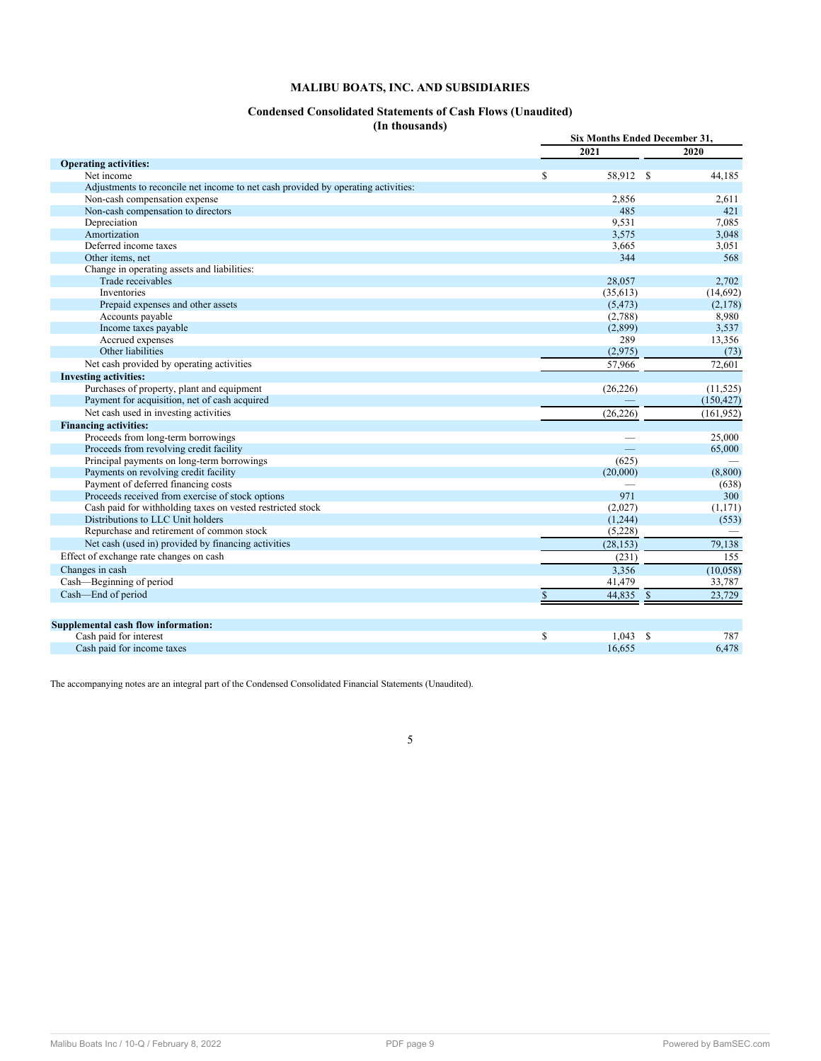## **MALIBU BOATS, INC. AND SUBSIDIARIES**

## **Condensed Consolidated Statements of Cash Flows (Unaudited)**

**(In thousands)**

|                                                                                   |              | Six Months Ended December 31, |              |            |  |  |
|-----------------------------------------------------------------------------------|--------------|-------------------------------|--------------|------------|--|--|
|                                                                                   |              | 2021                          |              | 2020       |  |  |
| <b>Operating activities:</b>                                                      |              |                               |              |            |  |  |
| Net income                                                                        | \$           | 58,912 \$                     |              | 44,185     |  |  |
| Adjustments to reconcile net income to net cash provided by operating activities: |              |                               |              |            |  |  |
| Non-cash compensation expense                                                     |              | 2,856                         |              | 2,611      |  |  |
| Non-cash compensation to directors                                                |              | 485                           |              | 421        |  |  |
| Depreciation                                                                      |              | 9,531                         |              | 7,085      |  |  |
| Amortization                                                                      |              | 3,575                         |              | 3,048      |  |  |
| Deferred income taxes                                                             |              | 3,665                         |              | 3,051      |  |  |
| Other items, net                                                                  |              | 344                           |              | 568        |  |  |
| Change in operating assets and liabilities:                                       |              |                               |              |            |  |  |
| Trade receivables                                                                 |              | 28,057                        |              | 2,702      |  |  |
| Inventories                                                                       |              | (35, 613)                     |              | (14,692)   |  |  |
| Prepaid expenses and other assets                                                 |              | (5, 473)                      |              | (2,178)    |  |  |
| Accounts payable                                                                  |              | (2,788)                       |              | 8,980      |  |  |
| Income taxes payable                                                              |              | (2,899)                       |              | 3,537      |  |  |
| Accrued expenses                                                                  |              | 289                           |              | 13,356     |  |  |
| Other liabilities                                                                 |              | (2,975)                       |              | (73)       |  |  |
| Net cash provided by operating activities                                         |              | 57,966                        |              | 72,601     |  |  |
| <b>Investing activities:</b>                                                      |              |                               |              |            |  |  |
| Purchases of property, plant and equipment                                        |              | (26, 226)                     |              | (11, 525)  |  |  |
| Payment for acquisition, net of cash acquired                                     |              |                               |              | (150, 427) |  |  |
| Net cash used in investing activities                                             |              | (26, 226)                     |              | (161, 952) |  |  |
| <b>Financing activities:</b>                                                      |              |                               |              |            |  |  |
| Proceeds from long-term borrowings                                                |              |                               |              | 25,000     |  |  |
| Proceeds from revolving credit facility                                           |              | ▃                             |              | 65,000     |  |  |
| Principal payments on long-term borrowings                                        |              | (625)                         |              |            |  |  |
| Payments on revolving credit facility                                             |              | (20,000)                      |              | (8,800)    |  |  |
| Payment of deferred financing costs                                               |              |                               |              | (638)      |  |  |
| Proceeds received from exercise of stock options                                  |              | 971                           |              | 300        |  |  |
| Cash paid for withholding taxes on vested restricted stock                        |              | (2,027)                       |              | (1,171)    |  |  |
| Distributions to LLC Unit holders                                                 |              | (1,244)                       |              | (553)      |  |  |
| Repurchase and retirement of common stock                                         |              | (5,228)                       |              |            |  |  |
| Net cash (used in) provided by financing activities                               |              | (28, 153)                     |              | 79,138     |  |  |
| Effect of exchange rate changes on cash                                           |              | (231)                         |              | 155        |  |  |
| Changes in cash                                                                   |              | 3,356                         |              | (10,058)   |  |  |
| Cash—Beginning of period                                                          |              | 41,479                        |              | 33,787     |  |  |
| Cash-End of period                                                                | $\mathbb{S}$ | 44,835                        | $\mathbb{S}$ | 23,729     |  |  |
|                                                                                   |              |                               |              |            |  |  |
| Supplemental cash flow information:                                               |              |                               |              |            |  |  |
| Cash paid for interest                                                            | \$           | 1,043                         | S            | 787        |  |  |
| Cash paid for income taxes                                                        |              | 16,655                        |              | 6,478      |  |  |

<span id="page-8-0"></span>The accompanying notes are an integral part of the Condensed Consolidated Financial Statements (Unaudited).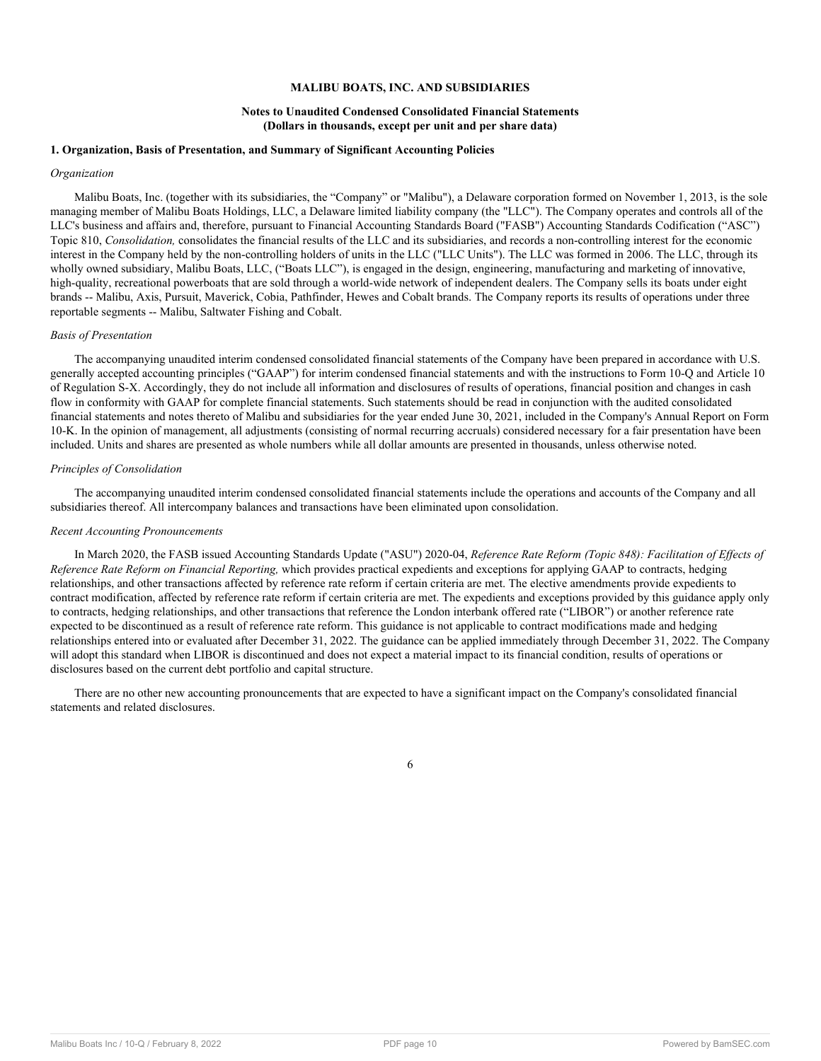## **MALIBU BOATS, INC. AND SUBSIDIARIES**

## **Notes to Unaudited Condensed Consolidated Financial Statements (Dollars in thousands, except per unit and per share data)**

#### **1. Organization, Basis of Presentation, and Summary of Significant Accounting Policies**

#### *Organization*

Malibu Boats, Inc. (together with its subsidiaries, the "Company" or "Malibu"), a Delaware corporation formed on November 1, 2013, is the sole managing member of Malibu Boats Holdings, LLC, a Delaware limited liability company (the "LLC"). The Company operates and controls all of the LLC's business and affairs and, therefore, pursuant to Financial Accounting Standards Board ("FASB") Accounting Standards Codification ("ASC") Topic 810, *Consolidation,* consolidates the financial results of the LLC and its subsidiaries, and records a non-controlling interest for the economic interest in the Company held by the non-controlling holders of units in the LLC ("LLC Units"). The LLC was formed in 2006. The LLC, through its wholly owned subsidiary, Malibu Boats, LLC, ("Boats LLC"), is engaged in the design, engineering, manufacturing and marketing of innovative, high-quality, recreational powerboats that are sold through a world-wide network of independent dealers. The Company sells its boats under eight brands -- Malibu, Axis, Pursuit, Maverick, Cobia, Pathfinder, Hewes and Cobalt brands. The Company reports its results of operations under three reportable segments -- Malibu, Saltwater Fishing and Cobalt.

#### *Basis of Presentation*

The accompanying unaudited interim condensed consolidated financial statements of the Company have been prepared in accordance with U.S. generally accepted accounting principles ("GAAP") for interim condensed financial statements and with the instructions to Form 10-Q and Article 10 of Regulation S-X. Accordingly, they do not include all information and disclosures of results of operations, financial position and changes in cash flow in conformity with GAAP for complete financial statements. Such statements should be read in conjunction with the audited consolidated financial statements and notes thereto of Malibu and subsidiaries for the year ended June 30, 2021, included in the Company's Annual Report on Form 10-K. In the opinion of management, all adjustments (consisting of normal recurring accruals) considered necessary for a fair presentation have been included. Units and shares are presented as whole numbers while all dollar amounts are presented in thousands, unless otherwise noted.

#### *Principles of Consolidation*

The accompanying unaudited interim condensed consolidated financial statements include the operations and accounts of the Company and all subsidiaries thereof. All intercompany balances and transactions have been eliminated upon consolidation.

#### *Recent Accounting Pronouncements*

In March 2020, the FASB issued Accounting Standards Update ("ASU") 2020-04, *Reference Rate Reform (Topic 848): Facilitation of Effects of Reference Rate Reform on Financial Reporting,* which provides practical expedients and exceptions for applying GAAP to contracts, hedging relationships, and other transactions affected by reference rate reform if certain criteria are met. The elective amendments provide expedients to contract modification, affected by reference rate reform if certain criteria are met. The expedients and exceptions provided by this guidance apply only to contracts, hedging relationships, and other transactions that reference the London interbank offered rate ("LIBOR") or another reference rate expected to be discontinued as a result of reference rate reform. This guidance is not applicable to contract modifications made and hedging relationships entered into or evaluated after December 31, 2022. The guidance can be applied immediately through December 31, 2022. The Company will adopt this standard when LIBOR is discontinued and does not expect a material impact to its financial condition, results of operations or disclosures based on the current debt portfolio and capital structure.

There are no other new accounting pronouncements that are expected to have a significant impact on the Company's consolidated financial statements and related disclosures.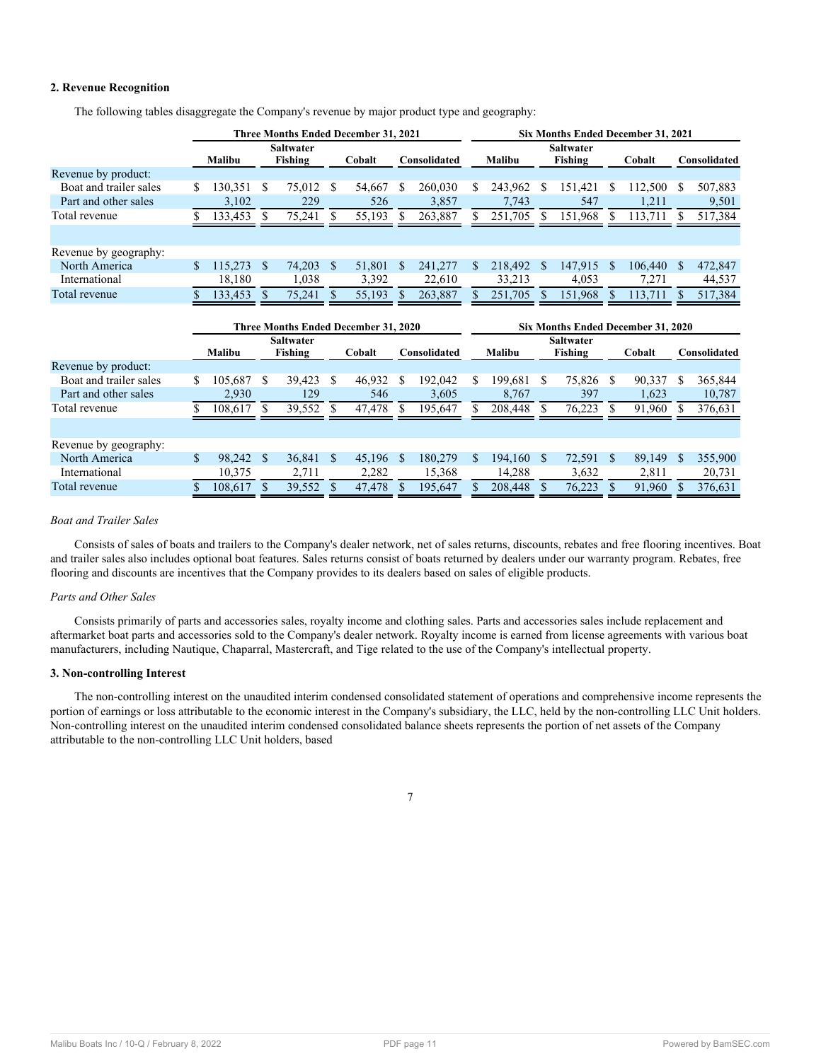## **2. Revenue Recognition**

|                        | Three Months Ended December 31, 2021 |         |                                      |                  |               |             |                                    | Six Months Ended December 31, 2021 |     |               |               |                  |              |         |               |              |
|------------------------|--------------------------------------|---------|--------------------------------------|------------------|---------------|-------------|------------------------------------|------------------------------------|-----|---------------|---------------|------------------|--------------|---------|---------------|--------------|
|                        |                                      |         | <b>Saltwater</b><br><b>Saltwater</b> |                  |               |             |                                    |                                    |     |               |               |                  |              |         |               |              |
|                        |                                      | Malibu  |                                      | Fishing          |               | Cobalt      |                                    | Consolidated                       |     | <b>Malibu</b> |               | <b>Fishing</b>   |              | Cobalt  |               | Consolidated |
| Revenue by product:    |                                      |         |                                      |                  |               |             |                                    |                                    |     |               |               |                  |              |         |               |              |
| Boat and trailer sales | S                                    | 130,351 | S                                    | 75,012           | <sup>\$</sup> | 54,667      | S                                  | 260,030                            | S.  | 243,962       | S             | 151,421          | S            | 112,500 | S             | 507,883      |
| Part and other sales   |                                      | 3,102   |                                      | 229              |               | 526         |                                    | 3,857                              |     | 7,743         |               | 547              |              | 1,211   |               | 9,501        |
| Total revenue          |                                      | 133,453 | S.                                   | 75,241           | \$.           | 55,193      |                                    | 263,887                            |     | 251,705       | S.            | 151,968          | S            | 113,711 | S.            | 517,384      |
|                        |                                      |         |                                      |                  |               |             |                                    |                                    |     |               |               |                  |              |         |               |              |
| Revenue by geography:  |                                      |         |                                      |                  |               |             |                                    |                                    |     |               |               |                  |              |         |               |              |
| North America          | \$                                   | 115,273 | \$                                   | 74,203           | <sup>S</sup>  | 51,801      | S.                                 | 241,277                            | \$. | 218,492       | <sup>\$</sup> | 147,915          | S            | 106,440 | S             | 472,847      |
| International          |                                      | 18,180  |                                      | 1,038            |               | 3,392       |                                    | 22,610                             |     | 33,213        |               | 4,053            |              | 7,271   |               | 44,537       |
| Total revenue          |                                      | 133,453 | \$                                   | 75,241           | S.            | 55,193      |                                    | 263,887                            |     | 251,705       | <sup>S</sup>  | 151,968          |              | 113,711 |               | 517,384      |
|                        |                                      |         |                                      |                  |               |             |                                    |                                    |     |               |               |                  |              |         |               |              |
|                        | Three Months Ended December 31, 2020 |         |                                      |                  |               |             | Six Months Ended December 31, 2020 |                                    |     |               |               |                  |              |         |               |              |
|                        |                                      |         |                                      |                  |               |             |                                    |                                    |     |               |               |                  |              |         |               |              |
|                        |                                      |         |                                      | <b>Saltwater</b> |               |             |                                    |                                    |     |               |               | <b>Saltwater</b> |              |         |               |              |
|                        |                                      | Malibu  |                                      | Fishing          |               | Cobalt      |                                    | Consolidated                       |     | <b>Malibu</b> |               | <b>Fishing</b>   |              | Cobalt  |               | Consolidated |
| Revenue by product:    |                                      |         |                                      |                  |               |             |                                    |                                    |     |               |               |                  |              |         |               |              |
| Boat and trailer sales | S                                    | 105,687 | \$                                   | 39,423           | -S            | 46,932      | <sup>\$</sup>                      | 192,042                            | S.  | 199,681       | \$.           | 75,826 \$        |              | 90,337  | <sup>\$</sup> | 365,844      |
| Part and other sales   |                                      | 2,930   |                                      | 129              |               | 546         |                                    | 3,605                              |     | 8,767         |               | 397              |              | 1,623   |               | 10,787       |
| Total revenue          |                                      | 108,617 | S                                    | 39,552           | S             | 47,478      |                                    | 195,647                            |     | 208,448       | £.            | 76,223           | S.           | 91,960  |               | 376,631      |
|                        |                                      |         |                                      |                  |               |             |                                    |                                    |     |               |               |                  |              |         |               |              |
| Revenue by geography:  |                                      |         |                                      |                  |               |             |                                    |                                    |     |               |               |                  |              |         |               |              |
| North America          | $\mathbb{S}$                         | 98,242  | <sup>S</sup>                         | 36,841           | <sup>S</sup>  | $45,196$ \$ |                                    | 180,279                            | S.  | 194,160       | <sup>S</sup>  | 72,591           | $\mathbf{s}$ | 89,149  | <sup>S</sup>  | 355,900      |
| International          |                                      | 10,375  |                                      | 2,711            |               | 2,282       |                                    | 15,368                             |     | 14,288        |               | 3,632            |              | 2,811   |               | 20,731       |

The following tables disaggregate the Company's revenue by major product type and geography:

## *Boat and Trailer Sales*

Consists of sales of boats and trailers to the Company's dealer network, net of sales returns, discounts, rebates and free flooring incentives. Boat and trailer sales also includes optional boat features. Sales returns consist of boats returned by dealers under our warranty program. Rebates, free flooring and discounts are incentives that the Company provides to its dealers based on sales of eligible products.

## *Parts and Other Sales*

Consists primarily of parts and accessories sales, royalty income and clothing sales. Parts and accessories sales include replacement and aftermarket boat parts and accessories sold to the Company's dealer network. Royalty income is earned from license agreements with various boat manufacturers, including Nautique, Chaparral, Mastercraft, and Tige related to the use of the Company's intellectual property.

## **3. Non-controlling Interest**

The non-controlling interest on the unaudited interim condensed consolidated statement of operations and comprehensive income represents the portion of earnings or loss attributable to the economic interest in the Company's subsidiary, the LLC, held by the non-controlling LLC Unit holders. Non-controlling interest on the unaudited interim condensed consolidated balance sheets represents the portion of net assets of the Company attributable to the non-controlling LLC Unit holders, based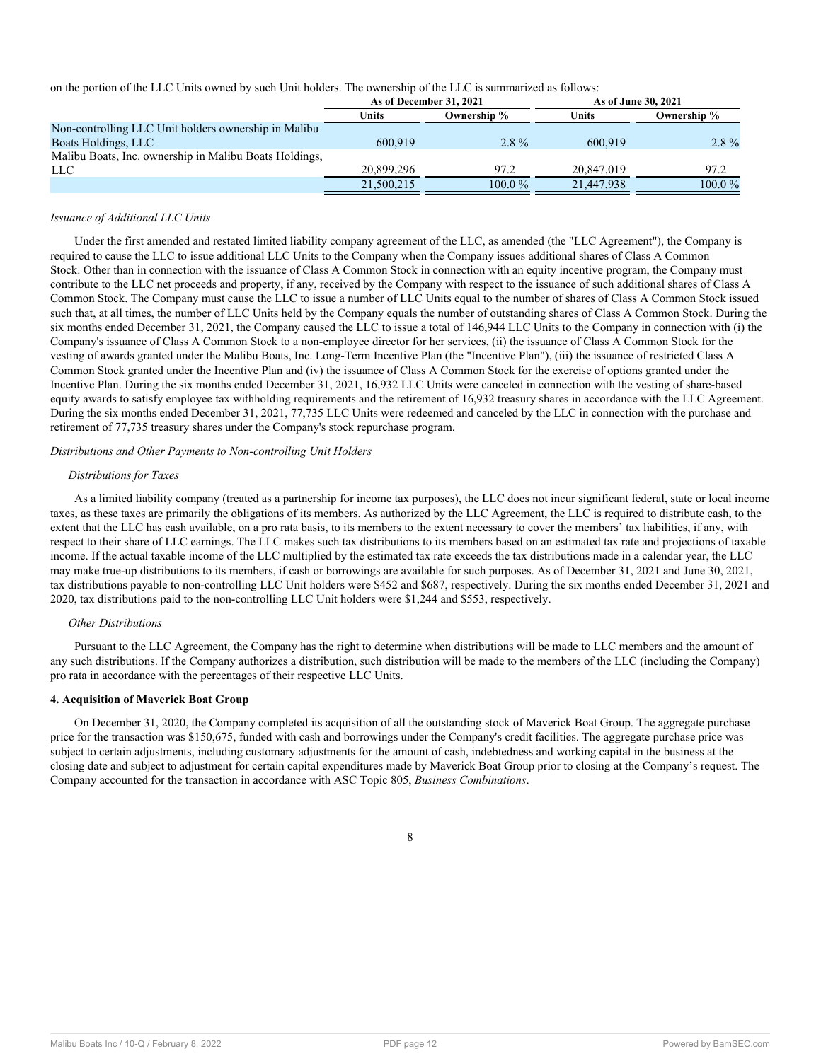on the portion of the LLC Units owned by such Unit holders. The ownership of the LLC is summarized as follows:

|                                                        |            | As of December 31, 2021 |            | As of June 30, 2021 |
|--------------------------------------------------------|------------|-------------------------|------------|---------------------|
|                                                        | Units      | Ownership %             | Units      | Ownership %         |
| Non-controlling LLC Unit holders ownership in Malibu   |            |                         |            |                     |
| Boats Holdings, LLC                                    | 600.919    | $2.8\%$                 | 600.919    | $2.8\%$             |
| Malibu Boats, Inc. ownership in Malibu Boats Holdings, |            |                         |            |                     |
| <b>LLC</b>                                             | 20.899.296 | 97.2                    | 20.847.019 | 97.2                |
|                                                        | 21,500,215 | $100.0\%$               | 21,447,938 | $100.0\,\%$         |

#### *Issuance of Additional LLC Units*

Under the first amended and restated limited liability company agreement of the LLC, as amended (the "LLC Agreement"), the Company is required to cause the LLC to issue additional LLC Units to the Company when the Company issues additional shares of Class A Common Stock. Other than in connection with the issuance of Class A Common Stock in connection with an equity incentive program, the Company must contribute to the LLC net proceeds and property, if any, received by the Company with respect to the issuance of such additional shares of Class A Common Stock. The Company must cause the LLC to issue a number of LLC Units equal to the number of shares of Class A Common Stock issued such that, at all times, the number of LLC Units held by the Company equals the number of outstanding shares of Class A Common Stock. During the six months ended December 31, 2021, the Company caused the LLC to issue a total of 146,944 LLC Units to the Company in connection with (i) the Company's issuance of Class A Common Stock to a non-employee director for her services, (ii) the issuance of Class A Common Stock for the vesting of awards granted under the Malibu Boats, Inc. Long-Term Incentive Plan (the "Incentive Plan"), (iii) the issuance of restricted Class A Common Stock granted under the Incentive Plan and (iv) the issuance of Class A Common Stock for the exercise of options granted under the Incentive Plan. During the six months ended December 31, 2021, 16,932 LLC Units were canceled in connection with the vesting of share-based equity awards to satisfy employee tax withholding requirements and the retirement of 16,932 treasury shares in accordance with the LLC Agreement. During the six months ended December 31, 2021, 77,735 LLC Units were redeemed and canceled by the LLC in connection with the purchase and retirement of 77,735 treasury shares under the Company's stock repurchase program.

#### *Distributions and Other Payments to Non-controlling Unit Holders*

#### *Distributions for Taxes*

As a limited liability company (treated as a partnership for income tax purposes), the LLC does not incur significant federal, state or local income taxes, as these taxes are primarily the obligations of its members. As authorized by the LLC Agreement, the LLC is required to distribute cash, to the extent that the LLC has cash available, on a pro rata basis, to its members to the extent necessary to cover the members' tax liabilities, if any, with respect to their share of LLC earnings. The LLC makes such tax distributions to its members based on an estimated tax rate and projections of taxable income. If the actual taxable income of the LLC multiplied by the estimated tax rate exceeds the tax distributions made in a calendar year, the LLC may make true-up distributions to its members, if cash or borrowings are available for such purposes. As of December 31, 2021 and June 30, 2021, tax distributions payable to non-controlling LLC Unit holders were \$452 and \$687, respectively. During the six months ended December 31, 2021 and 2020, tax distributions paid to the non-controlling LLC Unit holders were \$1,244 and \$553, respectively.

#### *Other Distributions*

Pursuant to the LLC Agreement, the Company has the right to determine when distributions will be made to LLC members and the amount of any such distributions. If the Company authorizes a distribution, such distribution will be made to the members of the LLC (including the Company) pro rata in accordance with the percentages of their respective LLC Units.

## **4. Acquisition of Maverick Boat Group**

On December 31, 2020, the Company completed its acquisition of all the outstanding stock of Maverick Boat Group. The aggregate purchase price for the transaction was \$150,675, funded with cash and borrowings under the Company's credit facilities. The aggregate purchase price was subject to certain adjustments, including customary adjustments for the amount of cash, indebtedness and working capital in the business at the closing date and subject to adjustment for certain capital expenditures made by Maverick Boat Group prior to closing at the Company's request. The Company accounted for the transaction in accordance with ASC Topic 805, *Business Combinations*.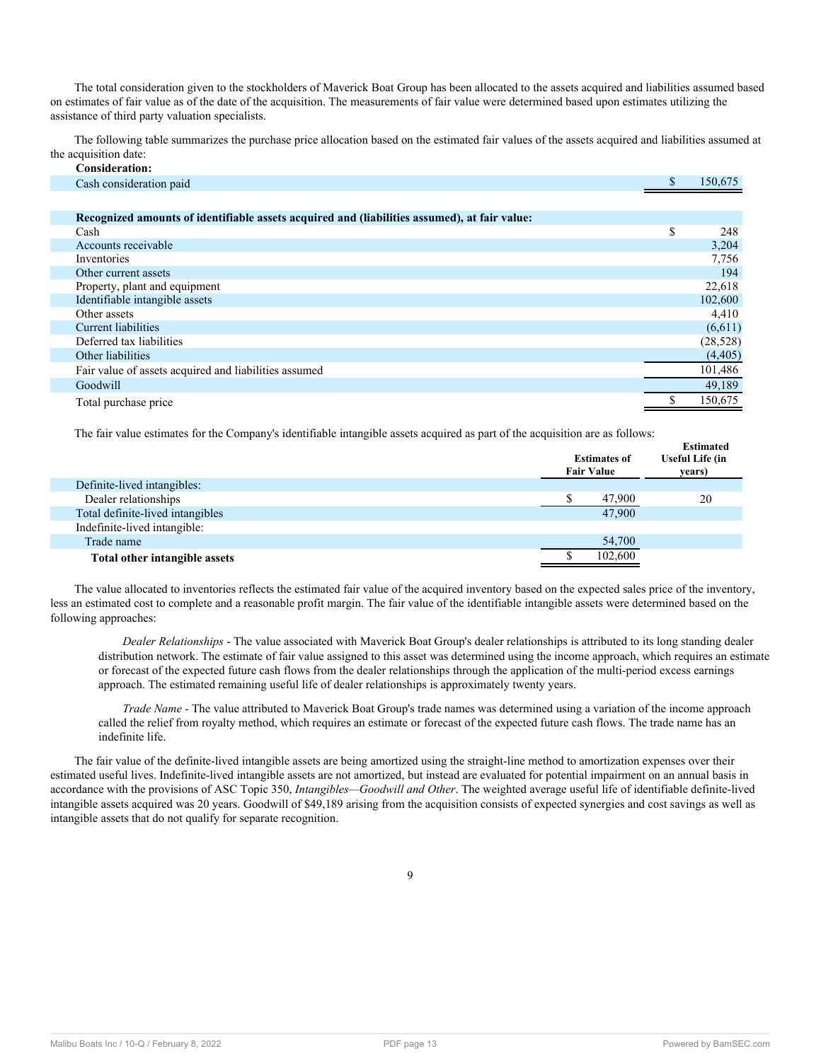The total consideration given to the stockholders of Maverick Boat Group has been allocated to the assets acquired and liabilities assumed based on estimates of fair value as of the date of the acquisition. The measurements of fair value were determined based upon estimates utilizing the assistance of third party valuation specialists.

The following table summarizes the purchase price allocation based on the estimated fair values of the assets acquired and liabilities assumed at the acquisition date: **Consideration:**

| Consideration:                                                                               |           |
|----------------------------------------------------------------------------------------------|-----------|
| Cash consideration paid                                                                      | 150,675   |
|                                                                                              |           |
| Recognized amounts of identifiable assets acquired and (liabilities assumed), at fair value: |           |
| Cash                                                                                         | \$<br>248 |
| Accounts receivable                                                                          | 3,204     |
| Inventories                                                                                  | 7,756     |
| Other current assets                                                                         | 194       |
| Property, plant and equipment                                                                | 22,618    |
| Identifiable intangible assets                                                               | 102,600   |
| Other assets                                                                                 | 4,410     |
| Current liabilities                                                                          | (6,611)   |
| Deferred tax liabilities                                                                     | (28, 528) |
| Other liabilities                                                                            | (4, 405)  |
| Fair value of assets acquired and liabilities assumed                                        | 101,486   |
| Goodwill                                                                                     | 49,189    |
| Total purchase price                                                                         | 150,675   |

The fair value estimates for the Company's identifiable intangible assets acquired as part of the acquisition are as follows:

| The fair value estimates for the company's identifiable mangloie assets acquired as part of the acquisition are as follows. |  |                                          |                                                      |  |  |  |  |  |
|-----------------------------------------------------------------------------------------------------------------------------|--|------------------------------------------|------------------------------------------------------|--|--|--|--|--|
|                                                                                                                             |  | <b>Estimates of</b><br><b>Fair Value</b> | <b>Estimated</b><br><b>Useful Life (in</b><br>years) |  |  |  |  |  |
| Definite-lived intangibles:                                                                                                 |  |                                          |                                                      |  |  |  |  |  |
| Dealer relationships                                                                                                        |  | 47,900                                   | 20                                                   |  |  |  |  |  |
| Total definite-lived intangibles                                                                                            |  | 47.900                                   |                                                      |  |  |  |  |  |
| Indefinite-lived intangible:                                                                                                |  |                                          |                                                      |  |  |  |  |  |
| Trade name                                                                                                                  |  | 54,700                                   |                                                      |  |  |  |  |  |
| Total other intangible assets                                                                                               |  | 102,600                                  |                                                      |  |  |  |  |  |

The value allocated to inventories reflects the estimated fair value of the acquired inventory based on the expected sales price of the inventory, less an estimated cost to complete and a reasonable profit margin. The fair value of the identifiable intangible assets were determined based on the following approaches:

*Dealer Relationships* - The value associated with Maverick Boat Group's dealer relationships is attributed to its long standing dealer distribution network. The estimate of fair value assigned to this asset was determined using the income approach, which requires an estimate or forecast of the expected future cash flows from the dealer relationships through the application of the multi-period excess earnings approach. The estimated remaining useful life of dealer relationships is approximately twenty years.

*Trade Name -* The value attributed to Maverick Boat Group's trade names was determined using a variation of the income approach called the relief from royalty method, which requires an estimate or forecast of the expected future cash flows. The trade name has an indefinite life.

The fair value of the definite-lived intangible assets are being amortized using the straight-line method to amortization expenses over their estimated useful lives. Indefinite-lived intangible assets are not amortized, but instead are evaluated for potential impairment on an annual basis in accordance with the provisions of ASC Topic 350, *Intangibles—Goodwill and Other*. The weighted average useful life of identifiable definite-lived intangible assets acquired was 20 years. Goodwill of \$49,189 arising from the acquisition consists of expected synergies and cost savings as well as intangible assets that do not qualify for separate recognition.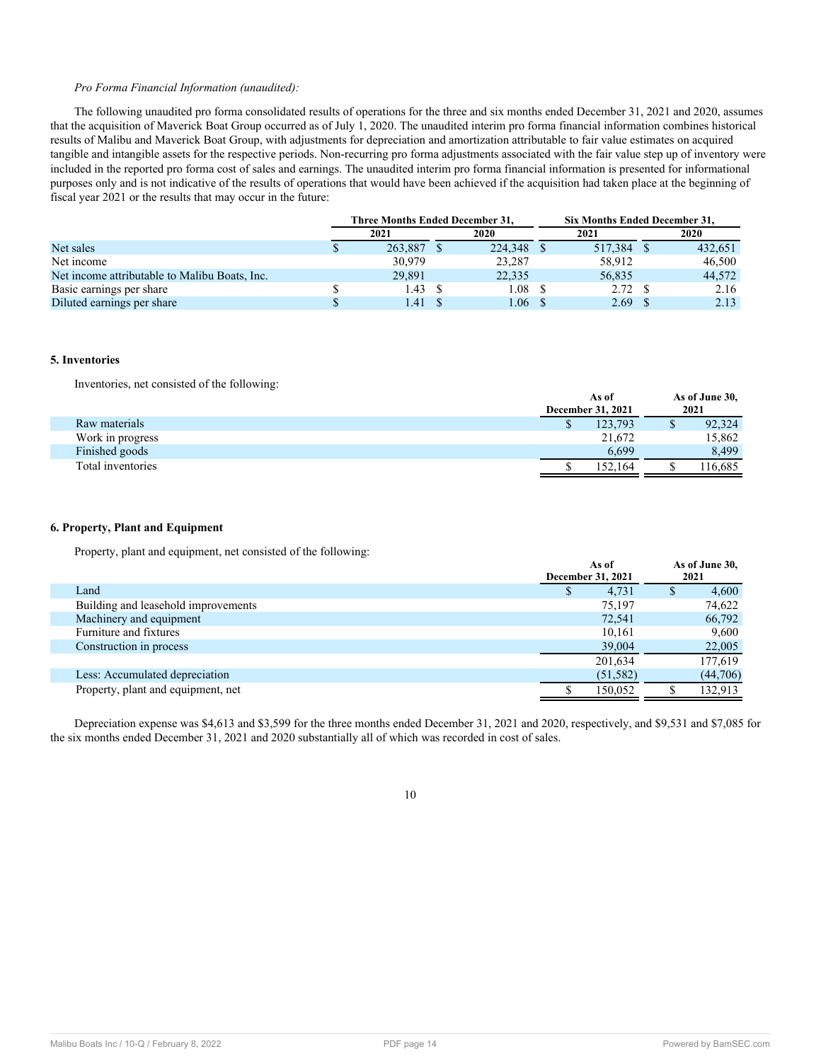## *Pro Forma Financial Information (unaudited):*

The following unaudited pro forma consolidated results of operations for the three and six months ended December 31, 2021 and 2020, assumes that the acquisition of Maverick Boat Group occurred as of July 1, 2020. The unaudited interim pro forma financial information combines historical results of Malibu and Maverick Boat Group, with adjustments for depreciation and amortization attributable to fair value estimates on acquired tangible and intangible assets for the respective periods. Non-recurring pro forma adjustments associated with the fair value step up of inventory were included in the reported pro forma cost of sales and earnings. The unaudited interim pro forma financial information is presented for informational purposes only and is not indicative of the results of operations that would have been achieved if the acquisition had taken place at the beginning of fiscal year 2021 or the results that may occur in the future:

|                                               | <b>Three Months Ended December 31.</b> |         |         | <b>Six Months Ended December 31.</b> |         |  |
|-----------------------------------------------|----------------------------------------|---------|---------|--------------------------------------|---------|--|
|                                               | 2021                                   | 2020    | 2021    |                                      | 2020    |  |
| Net sales                                     | 263.887                                | 224,348 | 517,384 |                                      | 432.651 |  |
| Net income                                    | 30.979                                 | 23,287  | 58,912  |                                      | 46,500  |  |
| Net income attributable to Malibu Boats, Inc. | 29.891                                 | 22,335  | 56,835  |                                      | 44,572  |  |
| Basic earnings per share                      | 1.43                                   | 1.08    | 2.72S   |                                      | 2.16    |  |
| Diluted earnings per share                    | .41                                    | .06     | 2.69    |                                      | 2.13    |  |

#### **5. Inventories**

Inventories, net consisted of the following:

| As of   |                          | As of June 30,<br>2021 |
|---------|--------------------------|------------------------|
| 123.793 |                          | 92,324                 |
| 21,672  |                          | 15,862                 |
| 6.699   |                          | 8.499                  |
| 152.164 |                          | 16,685ء                |
|         | <b>December 31, 2021</b> |                        |

#### **6. Property, Plant and Equipment**

Property, plant and equipment, net consisted of the following:

|                                     |  | As of<br>December 31, 2021 |  | 2021     |  | As of June 30, |
|-------------------------------------|--|----------------------------|--|----------|--|----------------|
| Land                                |  | 4,731                      |  | 4,600    |  |                |
| Building and leasehold improvements |  | 75,197                     |  | 74,622   |  |                |
| Machinery and equipment             |  | 72.541                     |  | 66,792   |  |                |
| Furniture and fixtures              |  | 10,161                     |  | 9,600    |  |                |
| Construction in process             |  | 39,004                     |  | 22,005   |  |                |
|                                     |  | 201,634                    |  | 177,619  |  |                |
| Less: Accumulated depreciation      |  | (51, 582)                  |  | (44,706) |  |                |
| Property, plant and equipment, net  |  | 150.052                    |  | 132.913  |  |                |

Depreciation expense was \$4,613 and \$3,599 for the three months ended December 31, 2021 and 2020, respectively, and \$9,531 and \$7,085 for the six months ended December 31, 2021 and 2020 substantially all of which was recorded in cost of sales.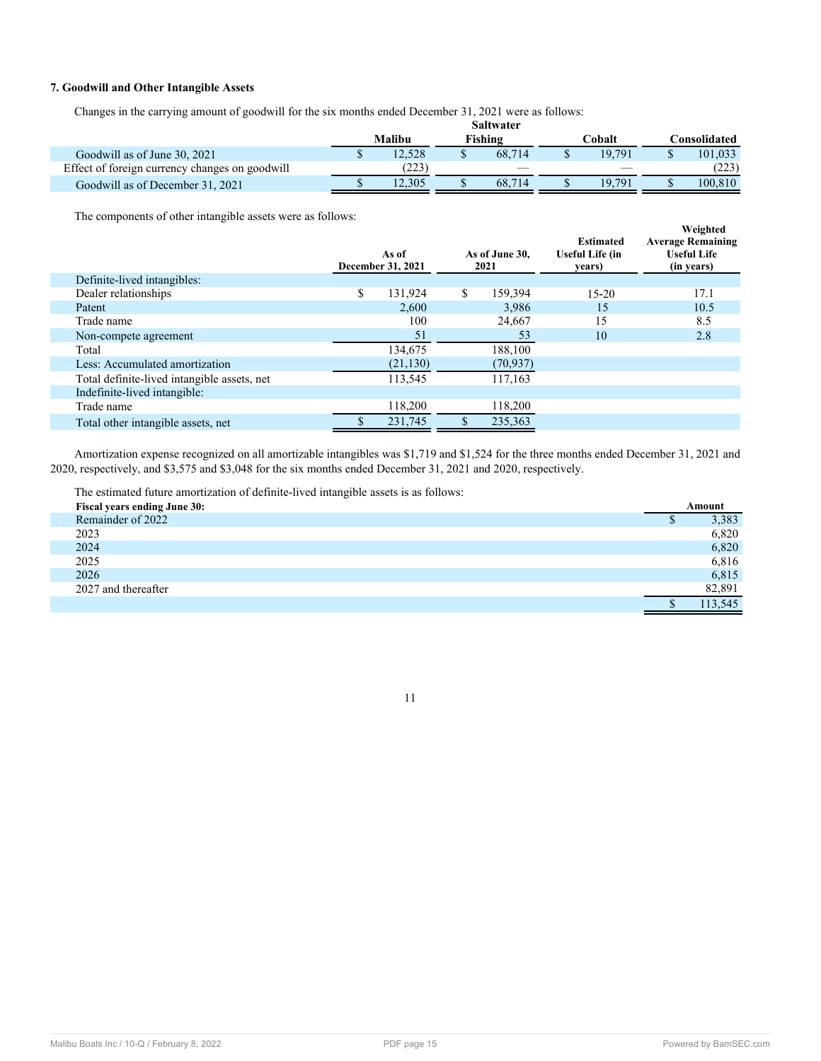## **7. Goodwill and Other Intangible Assets**

Changes in the carrying amount of goodwill for the six months ended December 31, 2021 were as follows:

|                                                |        | Saltwater |        |                      |
|------------------------------------------------|--------|-----------|--------|----------------------|
|                                                | Malibu | Fishing   | ∑obalt | C <b>onsolidated</b> |
| Goodwill as of June 30, 2021                   | 12.528 | 68.714    | 19.791 | 101.033              |
| Effect of foreign currency changes on goodwill | (223)  |           |        | (223)                |
| Goodwill as of December 31, 2021               | 12.305 | 68.714    | 19.791 | 100.810.             |

The components of other intangible assets were as follows:

|                                             | As of<br>December 31, 2021 | As of June 30,<br>2021 | <b>Estimated</b><br><b>Useful Life (in</b><br>years) | Weighted<br><b>Average Remaining</b><br><b>Useful Life</b><br>(in years) |
|---------------------------------------------|----------------------------|------------------------|------------------------------------------------------|--------------------------------------------------------------------------|
| Definite-lived intangibles:                 |                            |                        |                                                      |                                                                          |
| Dealer relationships                        | \$<br>131,924              | \$<br>159,394          | $15 - 20$                                            | 17.1                                                                     |
| Patent                                      | 2.600                      | 3.986                  | 15                                                   | 10.5                                                                     |
| Trade name                                  | 100                        | 24,667                 | 15                                                   | 8.5                                                                      |
| Non-compete agreement                       | 51                         | 53                     | 10                                                   | 2.8                                                                      |
| Total                                       | 134.675                    | 188,100                |                                                      |                                                                          |
| Less: Accumulated amortization              | (21, 130)                  | (70, 937)              |                                                      |                                                                          |
| Total definite-lived intangible assets, net | 113,545                    | 117,163                |                                                      |                                                                          |
| Indefinite-lived intangible:                |                            |                        |                                                      |                                                                          |
| Trade name                                  | 118,200                    | 118,200                |                                                      |                                                                          |
| Total other intangible assets, net          | 231,745                    | 235,363                |                                                      |                                                                          |

Amortization expense recognized on all amortizable intangibles was \$1,719 and \$1,524 for the three months ended December 31, 2021 and 2020, respectively, and \$3,575 and \$3,048 for the six months ended December 31, 2021 and 2020, respectively.

The estimated future amortization of definite-lived intangible assets is as follows:

| <b>Fiscal years ending June 30:</b> | Amount  |
|-------------------------------------|---------|
| Remainder of 2022                   | 3,383   |
| 2023                                | 6,820   |
| 2024                                | 6,820   |
| 2025                                | 6,816   |
| 2026                                | 6,815   |
| 2027 and thereafter                 | 82,891  |
|                                     | 113.545 |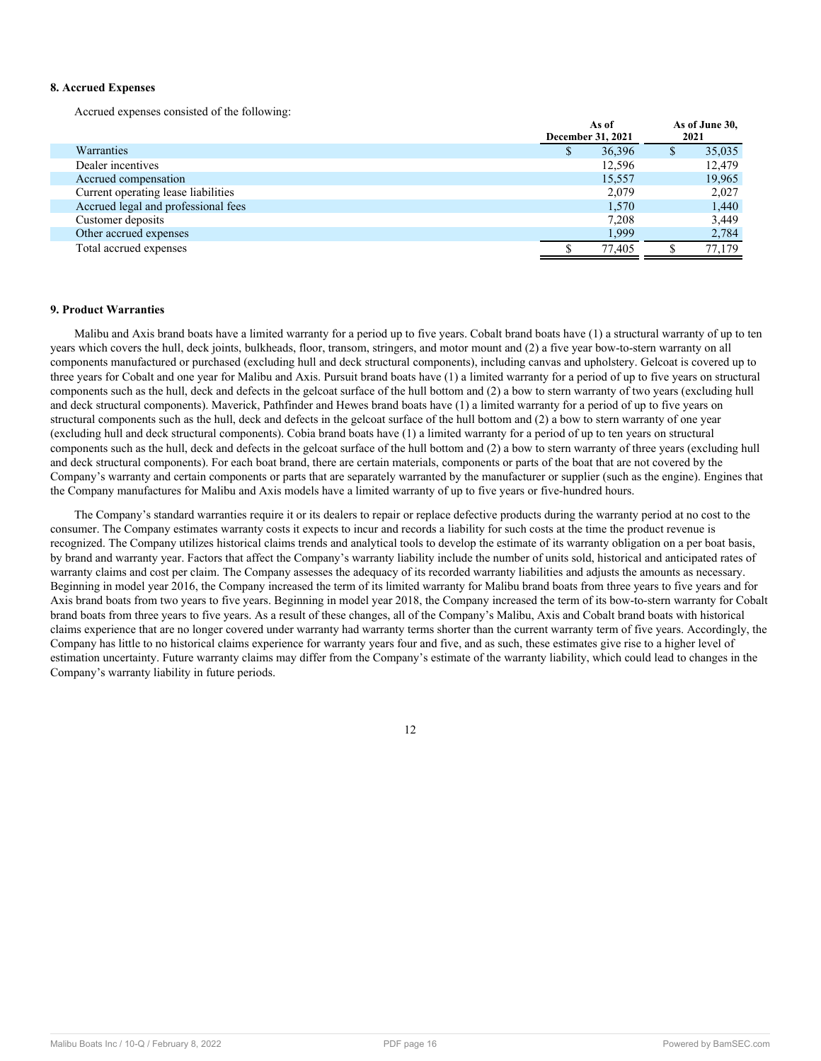## **8. Accrued Expenses**

Accrued expenses consisted of the following:

|                                     |   | As of<br>December 31, 2021 |   | As of June 30,<br>2021 |
|-------------------------------------|---|----------------------------|---|------------------------|
| Warranties                          | D | 36,396                     | D | 35,035                 |
| Dealer incentives                   |   | 12,596                     |   | 12,479                 |
| Accrued compensation                |   | 15,557                     |   | 19,965                 |
| Current operating lease liabilities |   | 2,079                      |   | 2.027                  |
| Accrued legal and professional fees |   | 1,570                      |   | 1,440                  |
| Customer deposits                   |   | 7,208                      |   | 3,449                  |
| Other accrued expenses              |   | 1,999                      |   | 2,784                  |
| Total accrued expenses              |   | 77.405                     |   | 77,179                 |

## <span id="page-15-0"></span>**9. Product Warranties**

Malibu and Axis brand boats have a limited warranty for a period up to five years. Cobalt brand boats have (1) a structural warranty of up to ten years which covers the hull, deck joints, bulkheads, floor, transom, stringers, and motor mount and (2) a five year bow-to-stern warranty on all components manufactured or purchased (excluding hull and deck structural components), including canvas and upholstery. Gelcoat is covered up to three years for Cobalt and one year for Malibu and Axis. Pursuit brand boats have (1) a limited warranty for a period of up to five years on structural components such as the hull, deck and defects in the gelcoat surface of the hull bottom and (2) a bow to stern warranty of two years (excluding hull and deck structural components). Maverick, Pathfinder and Hewes brand boats have (1) a limited warranty for a period of up to five years on structural components such as the hull, deck and defects in the gelcoat surface of the hull bottom and (2) a bow to stern warranty of one year (excluding hull and deck structural components). Cobia brand boats have (1) a limited warranty for a period of up to ten years on structural components such as the hull, deck and defects in the gelcoat surface of the hull bottom and (2) a bow to stern warranty of three years (excluding hull and deck structural components). For each boat brand, there are certain materials, components or parts of the boat that are not covered by the Company's warranty and certain components or parts that are separately warranted by the manufacturer or supplier (such as the engine). Engines that the Company manufactures for Malibu and Axis models have a limited warranty of up to five years or five-hundred hours.

The Company's standard warranties require it or its dealers to repair or replace defective products during the warranty period at no cost to the consumer. The Company estimates warranty costs it expects to incur and records a liability for such costs at the time the product revenue is recognized. The Company utilizes historical claims trends and analytical tools to develop the estimate of its warranty obligation on a per boat basis, by brand and warranty year. Factors that affect the Company's warranty liability include the number of units sold, historical and anticipated rates of warranty claims and cost per claim. The Company assesses the adequacy of its recorded warranty liabilities and adjusts the amounts as necessary. Beginning in model year 2016, the Company increased the term of its limited warranty for Malibu brand boats from three years to five years and for Axis brand boats from two years to five years. Beginning in model year 2018, the Company increased the term of its bow-to-stern warranty for Cobalt brand boats from three years to five years. As a result of these changes, all of the Company's Malibu, Axis and Cobalt brand boats with historical claims experience that are no longer covered under warranty had warranty terms shorter than the current warranty term of five years. Accordingly, the Company has little to no historical claims experience for warranty years four and five, and as such, these estimates give rise to a higher level of estimation uncertainty. Future warranty claims may differ from the Company's estimate of the warranty liability, which could lead to changes in the Company's warranty liability in future periods.

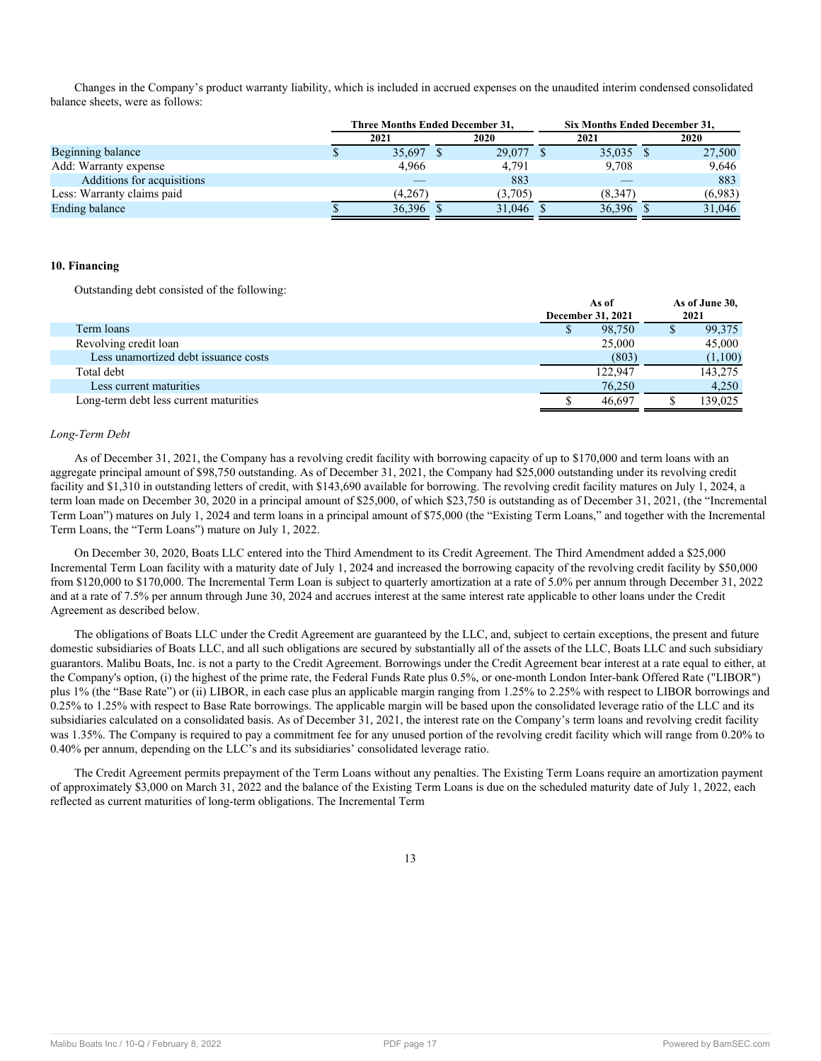Changes in the Company's product warranty liability, which is included in accrued expenses on the unaudited interim condensed consolidated balance sheets, were as follows:

|                            |         | <b>Three Months Ended December 31,</b> | Six Months Ended December 31, |         |
|----------------------------|---------|----------------------------------------|-------------------------------|---------|
|                            | 2021    | 2020                                   | 2021                          | 2020    |
| Beginning balance          | 35,697  | 29,077                                 | 35,035                        | 27,500  |
| Add: Warranty expense      | 4.966   | 4,791                                  | 9.708                         | 9,646   |
| Additions for acquisitions |         | 883                                    |                               | 883     |
| Less: Warranty claims paid | (4,267) | (3.705)                                | (8.347)                       | (6.983) |
| Ending balance             | 36,396  | 31.046                                 | 36,396                        | 31.046  |

#### **10. Financing**

Outstanding debt consisted of the following:

|                                        | AS 01<br><b>December 31, 2021</b> |         | AS 01 JUNE JU,<br>2021 |
|----------------------------------------|-----------------------------------|---------|------------------------|
| Term loans                             |                                   | 98,750  | 99,375                 |
| Revolving credit loan                  |                                   | 25,000  | 45,000                 |
| Less unamortized debt issuance costs   |                                   | (803)   | (1,100)                |
| Total debt                             |                                   | 122,947 | 143,275                |
| Less current maturities                |                                   | 76.250  | 4.250                  |
| Long-term debt less current maturities |                                   | 46.697  | 139,025                |

**As of**

**As of June 30,**

#### *Long-Term Debt*

As of December 31, 2021, the Company has a revolving credit facility with borrowing capacity of up to \$170,000 and term loans with an aggregate principal amount of \$98,750 outstanding. As of December 31, 2021, the Company had \$25,000 outstanding under its revolving credit facility and \$1,310 in outstanding letters of credit, with \$143,690 available for borrowing. The revolving credit facility matures on July 1, 2024, a term loan made on December 30, 2020 in a principal amount of \$25,000, of which \$23,750 is outstanding as of December 31, 2021, (the "Incremental Term Loan") matures on July 1, 2024 and term loans in a principal amount of \$75,000 (the "Existing Term Loans," and together with the Incremental Term Loans, the "Term Loans") mature on July 1, 2022.

On December 30, 2020, Boats LLC entered into the Third Amendment to its Credit Agreement. The Third Amendment added a \$25,000 Incremental Term Loan facility with a maturity date of July 1, 2024 and increased the borrowing capacity of the revolving credit facility by \$50,000 from \$120,000 to \$170,000. The Incremental Term Loan is subject to quarterly amortization at a rate of 5.0% per annum through December 31, 2022 and at a rate of 7.5% per annum through June 30, 2024 and accrues interest at the same interest rate applicable to other loans under the Credit Agreement as described below.

The obligations of Boats LLC under the Credit Agreement are guaranteed by the LLC, and, subject to certain exceptions, the present and future domestic subsidiaries of Boats LLC, and all such obligations are secured by substantially all of the assets of the LLC, Boats LLC and such subsidiary guarantors. Malibu Boats, Inc. is not a party to the Credit Agreement. Borrowings under the Credit Agreement bear interest at a rate equal to either, at the Company's option, (i) the highest of the prime rate, the Federal Funds Rate plus 0.5%, or one-month London Inter-bank Offered Rate ("LIBOR") plus 1% (the "Base Rate") or (ii) LIBOR, in each case plus an applicable margin ranging from 1.25% to 2.25% with respect to LIBOR borrowings and 0.25% to 1.25% with respect to Base Rate borrowings. The applicable margin will be based upon the consolidated leverage ratio of the LLC and its subsidiaries calculated on a consolidated basis. As of December 31, 2021, the interest rate on the Company's term loans and revolving credit facility was 1.35%. The Company is required to pay a commitment fee for any unused portion of the revolving credit facility which will range from 0.20% to 0.40% per annum, depending on the LLC's and its subsidiaries' consolidated leverage ratio.

The Credit Agreement permits prepayment of the Term Loans without any penalties. The Existing Term Loans require an amortization payment of approximately \$3,000 on March 31, 2022 and the balance of the Existing Term Loans is due on the scheduled maturity date of July 1, 2022, each reflected as current maturities of long-term obligations. The Incremental Term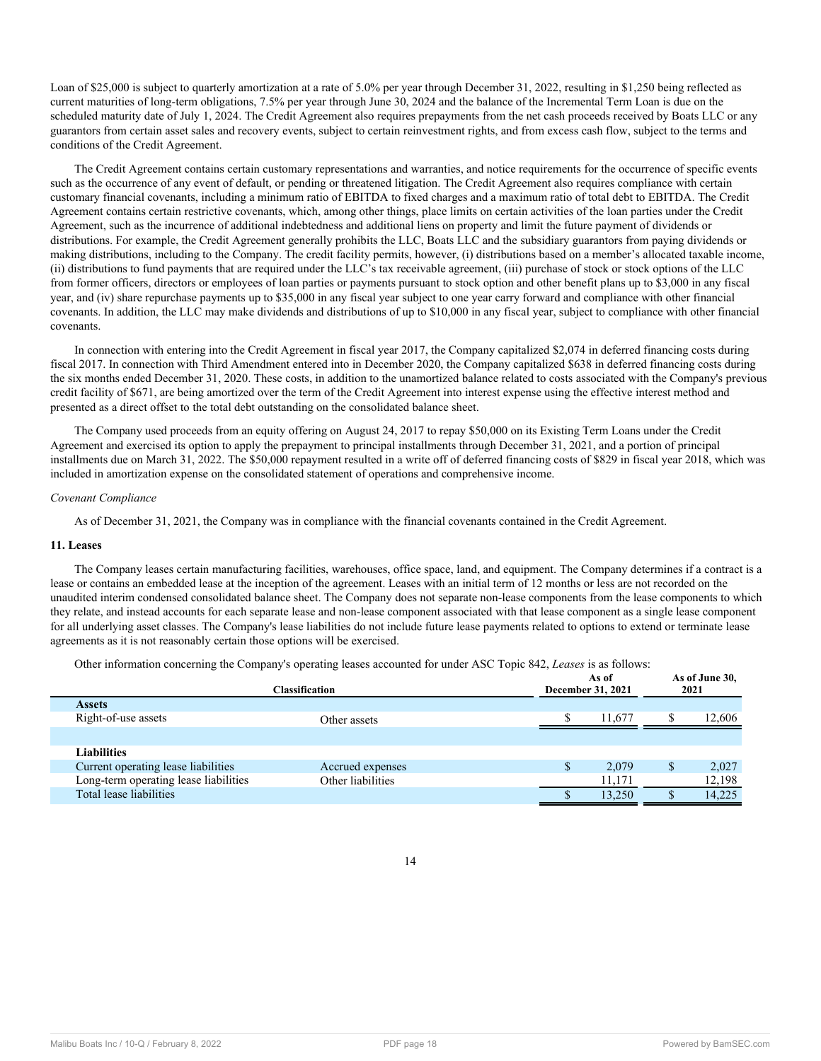Loan of \$25,000 is subject to quarterly amortization at a rate of 5.0% per year through December 31, 2022, resulting in \$1,250 being reflected as current maturities of long-term obligations, 7.5% per year through June 30, 2024 and the balance of the Incremental Term Loan is due on the scheduled maturity date of July 1, 2024. The Credit Agreement also requires prepayments from the net cash proceeds received by Boats LLC or any guarantors from certain asset sales and recovery events, subject to certain reinvestment rights, and from excess cash flow, subject to the terms and conditions of the Credit Agreement.

The Credit Agreement contains certain customary representations and warranties, and notice requirements for the occurrence of specific events such as the occurrence of any event of default, or pending or threatened litigation. The Credit Agreement also requires compliance with certain customary financial covenants, including a minimum ratio of EBITDA to fixed charges and a maximum ratio of total debt to EBITDA. The Credit Agreement contains certain restrictive covenants, which, among other things, place limits on certain activities of the loan parties under the Credit Agreement, such as the incurrence of additional indebtedness and additional liens on property and limit the future payment of dividends or distributions. For example, the Credit Agreement generally prohibits the LLC, Boats LLC and the subsidiary guarantors from paying dividends or making distributions, including to the Company. The credit facility permits, however, (i) distributions based on a member's allocated taxable income, (ii) distributions to fund payments that are required under the LLC's tax receivable agreement, (iii) purchase of stock or stock options of the LLC from former officers, directors or employees of loan parties or payments pursuant to stock option and other benefit plans up to \$3,000 in any fiscal year, and (iv) share repurchase payments up to \$35,000 in any fiscal year subject to one year carry forward and compliance with other financial covenants. In addition, the LLC may make dividends and distributions of up to \$10,000 in any fiscal year, subject to compliance with other financial covenants.

In connection with entering into the Credit Agreement in fiscal year 2017, the Company capitalized \$2,074 in deferred financing costs during fiscal 2017. In connection with Third Amendment entered into in December 2020, the Company capitalized \$638 in deferred financing costs during the six months ended December 31, 2020. These costs, in addition to the unamortized balance related to costs associated with the Company's previous credit facility of \$671, are being amortized over the term of the Credit Agreement into interest expense using the effective interest method and presented as a direct offset to the total debt outstanding on the consolidated balance sheet.

The Company used proceeds from an equity offering on August 24, 2017 to repay \$50,000 on its Existing Term Loans under the Credit Agreement and exercised its option to apply the prepayment to principal installments through December 31, 2021, and a portion of principal installments due on March 31, 2022. The \$50,000 repayment resulted in a write off of deferred financing costs of \$829 in fiscal year 2018, which was included in amortization expense on the consolidated statement of operations and comprehensive income.

## *Covenant Compliance*

As of December 31, 2021, the Company was in compliance with the financial covenants contained in the Credit Agreement.

## **11. Leases**

The Company leases certain manufacturing facilities, warehouses, office space, land, and equipment. The Company determines if a contract is a lease or contains an embedded lease at the inception of the agreement. Leases with an initial term of 12 months or less are not recorded on the unaudited interim condensed consolidated balance sheet. The Company does not separate non-lease components from the lease components to which they relate, and instead accounts for each separate lease and non-lease component associated with that lease component as a single lease component for all underlying asset classes. The Company's lease liabilities do not include future lease payments related to options to extend or terminate lease agreements as it is not reasonably certain those options will be exercised.

Other information concerning the Company's operating leases accounted for under ASC Topic 842, *Leases* is as follows:

| <b>Assets</b>                         | Other information concerning the Company's operating reases accounted for under TWC Topic 0+2, Leases is as follows.<br>As of<br><b>December 31, 2021</b><br><b>Classification</b> |  | As of June 30,<br>2021 |        |        |
|---------------------------------------|------------------------------------------------------------------------------------------------------------------------------------------------------------------------------------|--|------------------------|--------|--------|
| Right-of-use assets                   | Other assets                                                                                                                                                                       |  |                        | 11.677 | 12,606 |
|                                       |                                                                                                                                                                                    |  |                        |        |        |
| <b>Liabilities</b>                    |                                                                                                                                                                                    |  |                        |        |        |
| Current operating lease liabilities   | Accrued expenses                                                                                                                                                                   |  | S                      | 2,079  | 2,027  |
| Long-term operating lease liabilities | Other liabilities                                                                                                                                                                  |  |                        | 11,171 | 12,198 |
| Total lease liabilities               |                                                                                                                                                                                    |  |                        | 13.250 | 14,225 |
|                                       |                                                                                                                                                                                    |  |                        |        |        |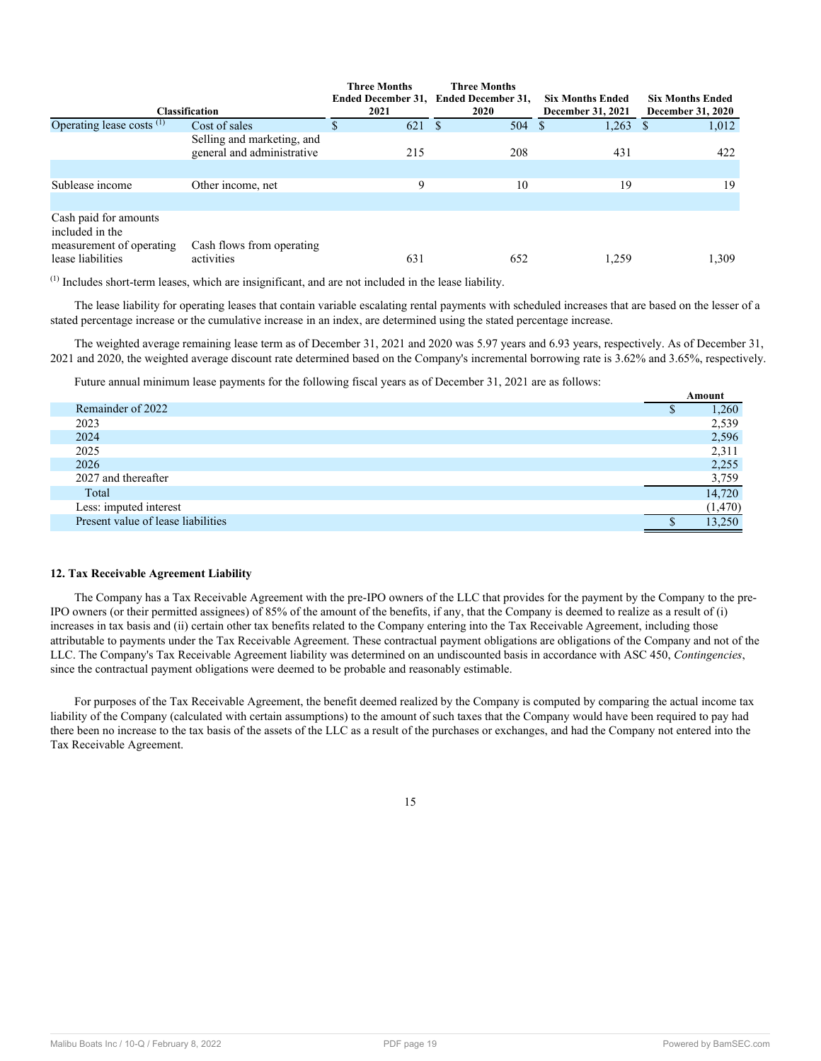|                                                                                           |                                                          | <b>Three Months</b> | <b>Three Months</b>                   |                          |                          |
|-------------------------------------------------------------------------------------------|----------------------------------------------------------|---------------------|---------------------------------------|--------------------------|--------------------------|
|                                                                                           |                                                          |                     | Ended December 31, Ended December 31, | <b>Six Months Ended</b>  | <b>Six Months Ended</b>  |
|                                                                                           | <b>Classification</b>                                    | 2021                | <b>2020</b>                           | <b>December 31, 2021</b> | <b>December 31, 2020</b> |
| Operating lease costs <sup>(1)</sup>                                                      | Cost of sales                                            | 621 \$              | 504                                   | 1,263<br>-S              | 1,012                    |
|                                                                                           | Selling and marketing, and<br>general and administrative | 215                 | 208                                   | 431                      | 422                      |
|                                                                                           |                                                          |                     |                                       |                          |                          |
| Sublease income                                                                           | Other income, net                                        | 9                   | 10                                    | 19                       | 19                       |
|                                                                                           |                                                          |                     |                                       |                          |                          |
| Cash paid for amounts<br>included in the<br>measurement of operating<br>lease liabilities | Cash flows from operating<br>activities                  | 631                 | 652                                   | 1,259                    | 1,309                    |
|                                                                                           |                                                          |                     |                                       |                          |                          |

(1) Includes short-term leases, which are insignificant, and are not included in the lease liability.

The lease liability for operating leases that contain variable escalating rental payments with scheduled increases that are based on the lesser of a stated percentage increase or the cumulative increase in an index, are determined using the stated percentage increase.

The weighted average remaining lease term as of December 31, 2021 and 2020 was 5.97 years and 6.93 years, respectively. As of December 31, 2021 and 2020, the weighted average discount rate determined based on the Company's incremental borrowing rate is 3.62% and 3.65%, respectively.

Future annual minimum lease payments for the following fiscal years as of December 31, 2021 are as follows:

|                                    | Amount  |
|------------------------------------|---------|
| Remainder of 2022                  | 1,260   |
| 2023                               | 2,539   |
| 2024                               | 2,596   |
| 2025                               | 2,311   |
| 2026                               | 2,255   |
| 2027 and thereafter                | 3,759   |
| Total                              | 14,720  |
| Less: imputed interest             | (1,470) |
| Present value of lease liabilities | 13.250  |

## **12. Tax Receivable Agreement Liability**

The Company has a Tax Receivable Agreement with the pre-IPO owners of the LLC that provides for the payment by the Company to the pre-IPO owners (or their permitted assignees) of 85% of the amount of the benefits, if any, that the Company is deemed to realize as a result of (i) increases in tax basis and (ii) certain other tax benefits related to the Company entering into the Tax Receivable Agreement, including those attributable to payments under the Tax Receivable Agreement. These contractual payment obligations are obligations of the Company and not of the LLC. The Company's Tax Receivable Agreement liability was determined on an undiscounted basis in accordance with ASC 450, *Contingencies*, since the contractual payment obligations were deemed to be probable and reasonably estimable.

For purposes of the Tax Receivable Agreement, the benefit deemed realized by the Company is computed by comparing the actual income tax liability of the Company (calculated with certain assumptions) to the amount of such taxes that the Company would have been required to pay had there been no increase to the tax basis of the assets of the LLC as a result of the purchases or exchanges, and had the Company not entered into the Tax Receivable Agreement.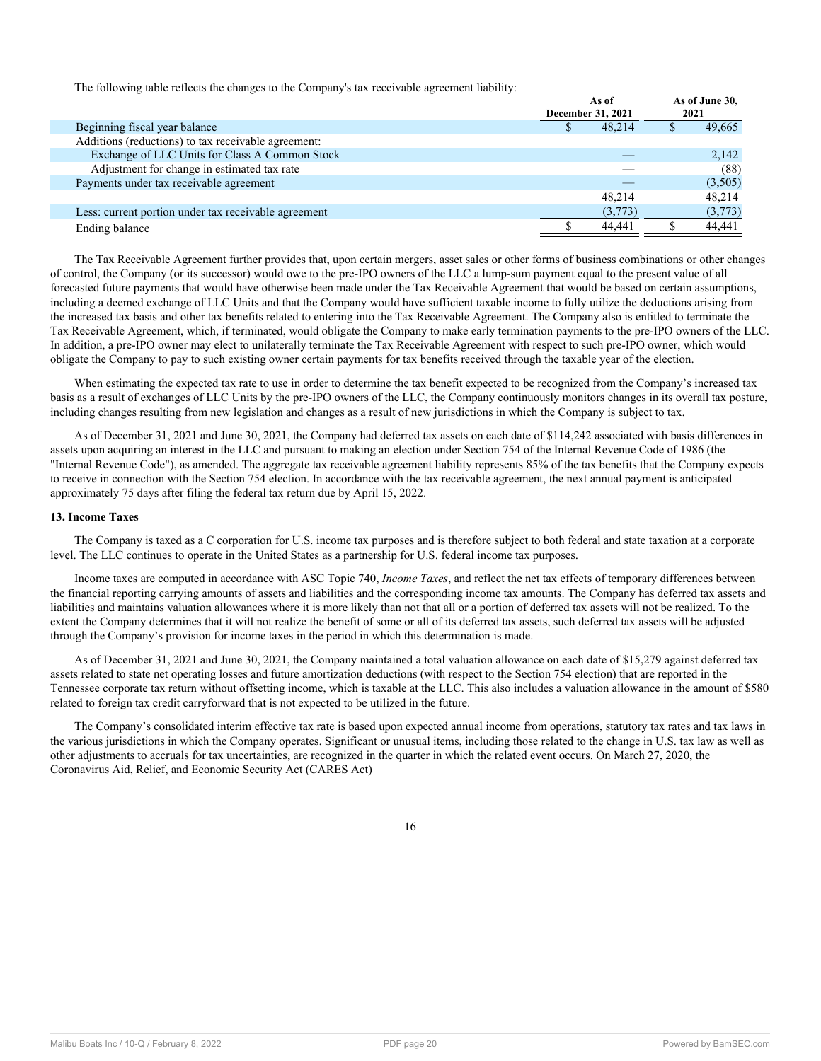The following table reflects the changes to the Company's tax receivable agreement liability:

|                                                      | As of<br><b>December 31, 2021</b> | As of June 30,<br>2021 |
|------------------------------------------------------|-----------------------------------|------------------------|
| Beginning fiscal year balance                        | 48.214                            | 49,665                 |
| Additions (reductions) to tax receivable agreement:  |                                   |                        |
| Exchange of LLC Units for Class A Common Stock       |                                   | 2,142                  |
| Adjustment for change in estimated tax rate          |                                   | (88)                   |
| Payments under tax receivable agreement              |                                   | (3,505)                |
|                                                      | 48.214                            | 48.214                 |
| Less: current portion under tax receivable agreement | (3,773)                           | (3,773)                |
| Ending balance                                       | 44.441                            | 44,441                 |

The Tax Receivable Agreement further provides that, upon certain mergers, asset sales or other forms of business combinations or other changes of control, the Company (or its successor) would owe to the pre-IPO owners of the LLC a lump-sum payment equal to the present value of all forecasted future payments that would have otherwise been made under the Tax Receivable Agreement that would be based on certain assumptions, including a deemed exchange of LLC Units and that the Company would have sufficient taxable income to fully utilize the deductions arising from the increased tax basis and other tax benefits related to entering into the Tax Receivable Agreement. The Company also is entitled to terminate the Tax Receivable Agreement, which, if terminated, would obligate the Company to make early termination payments to the pre-IPO owners of the LLC. In addition, a pre-IPO owner may elect to unilaterally terminate the Tax Receivable Agreement with respect to such pre-IPO owner, which would obligate the Company to pay to such existing owner certain payments for tax benefits received through the taxable year of the election.

When estimating the expected tax rate to use in order to determine the tax benefit expected to be recognized from the Company's increased tax basis as a result of exchanges of LLC Units by the pre-IPO owners of the LLC, the Company continuously monitors changes in its overall tax posture, including changes resulting from new legislation and changes as a result of new jurisdictions in which the Company is subject to tax.

As of December 31, 2021 and June 30, 2021, the Company had deferred tax assets on each date of \$114,242 associated with basis differences in assets upon acquiring an interest in the LLC and pursuant to making an election under Section 754 of the Internal Revenue Code of 1986 (the "Internal Revenue Code"), as amended. The aggregate tax receivable agreement liability represents 85% of the tax benefits that the Company expects to receive in connection with the Section 754 election. In accordance with the tax receivable agreement, the next annual payment is anticipated approximately 75 days after filing the federal tax return due by April 15, 2022.

#### **13. Income Taxes**

The Company is taxed as a C corporation for U.S. income tax purposes and is therefore subject to both federal and state taxation at a corporate level. The LLC continues to operate in the United States as a partnership for U.S. federal income tax purposes.

Income taxes are computed in accordance with ASC Topic 740, *Income Taxes*, and reflect the net tax effects of temporary differences between the financial reporting carrying amounts of assets and liabilities and the corresponding income tax amounts. The Company has deferred tax assets and liabilities and maintains valuation allowances where it is more likely than not that all or a portion of deferred tax assets will not be realized. To the extent the Company determines that it will not realize the benefit of some or all of its deferred tax assets, such deferred tax assets will be adjusted through the Company's provision for income taxes in the period in which this determination is made.

As of December 31, 2021 and June 30, 2021, the Company maintained a total valuation allowance on each date of \$15,279 against deferred tax assets related to state net operating losses and future amortization deductions (with respect to the Section 754 election) that are reported in the Tennessee corporate tax return without offsetting income, which is taxable at the LLC. This also includes a valuation allowance in the amount of \$580 related to foreign tax credit carryforward that is not expected to be utilized in the future.

The Company's consolidated interim effective tax rate is based upon expected annual income from operations, statutory tax rates and tax laws in the various jurisdictions in which the Company operates. Significant or unusual items, including those related to the change in U.S. tax law as well as other adjustments to accruals for tax uncertainties, are recognized in the quarter in which the related event occurs. On March 27, 2020, the Coronavirus Aid, Relief, and Economic Security Act (CARES Act)

<sup>16</sup>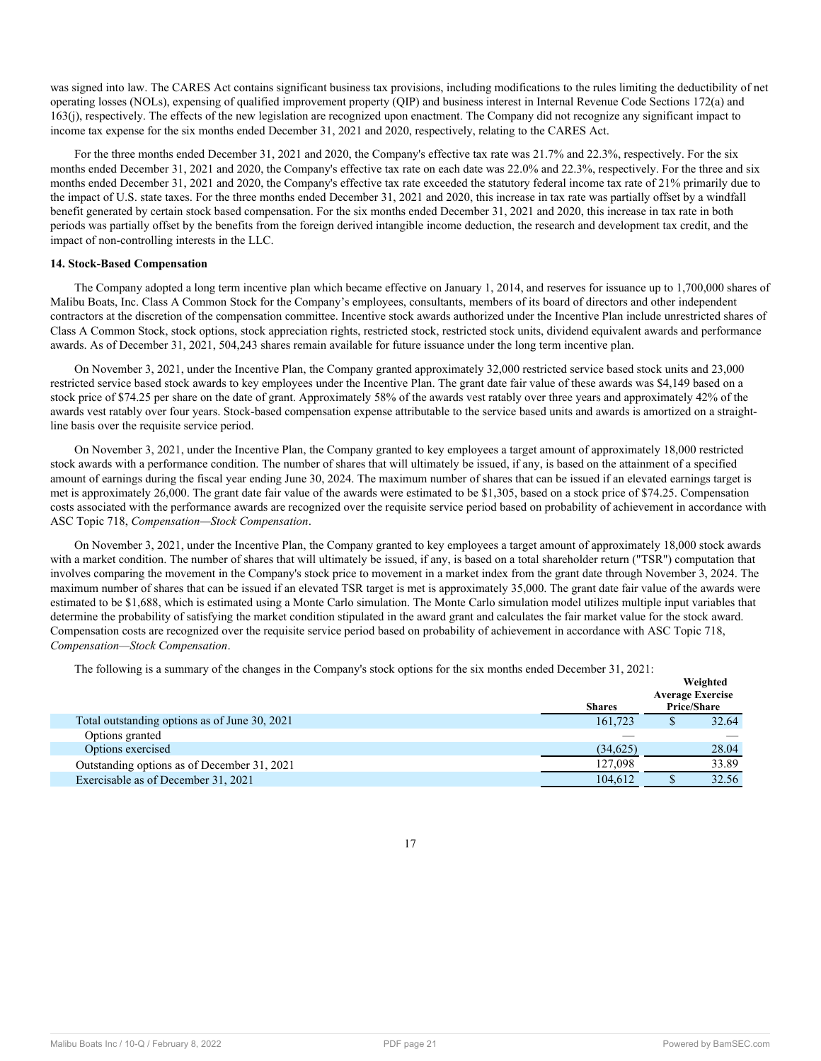was signed into law. The CARES Act contains significant business tax provisions, including modifications to the rules limiting the deductibility of net operating losses (NOLs), expensing of qualified improvement property (QIP) and business interest in Internal Revenue Code Sections 172(a) and 163(j), respectively. The effects of the new legislation are recognized upon enactment. The Company did not recognize any significant impact to income tax expense for the six months ended December 31, 2021 and 2020, respectively, relating to the CARES Act.

For the three months ended December 31, 2021 and 2020, the Company's effective tax rate was 21.7% and 22.3%, respectively. For the six months ended December 31, 2021 and 2020, the Company's effective tax rate on each date was 22.0% and 22.3%, respectively. For the three and six months ended December 31, 2021 and 2020, the Company's effective tax rate exceeded the statutory federal income tax rate of 21% primarily due to the impact of U.S. state taxes. For the three months ended December 31, 2021 and 2020, this increase in tax rate was partially offset by a windfall benefit generated by certain stock based compensation. For the six months ended December 31, 2021 and 2020, this increase in tax rate in both periods was partially offset by the benefits from the foreign derived intangible income deduction, the research and development tax credit, and the impact of non-controlling interests in the LLC.

## <span id="page-20-0"></span>**14. Stock-Based Compensation**

The Company adopted a long term incentive plan which became effective on January 1, 2014, and reserves for issuance up to 1,700,000 shares of Malibu Boats, Inc. Class A Common Stock for the Company's employees, consultants, members of its board of directors and other independent contractors at the discretion of the compensation committee. Incentive stock awards authorized under the Incentive Plan include unrestricted shares of Class A Common Stock, stock options, stock appreciation rights, restricted stock, restricted stock units, dividend equivalent awards and performance awards. As of December 31, 2021, 504,243 shares remain available for future issuance under the long term incentive plan.

On November 3, 2021, under the Incentive Plan, the Company granted approximately 32,000 restricted service based stock units and 23,000 restricted service based stock awards to key employees under the Incentive Plan. The grant date fair value of these awards was \$4,149 based on a stock price of \$74.25 per share on the date of grant. Approximately 58% of the awards vest ratably over three years and approximately 42% of the awards vest ratably over four years. Stock-based compensation expense attributable to the service based units and awards is amortized on a straightline basis over the requisite service period.

On November 3, 2021, under the Incentive Plan, the Company granted to key employees a target amount of approximately 18,000 restricted stock awards with a performance condition. The number of shares that will ultimately be issued, if any, is based on the attainment of a specified amount of earnings during the fiscal year ending June 30, 2024. The maximum number of shares that can be issued if an elevated earnings target is met is approximately 26,000. The grant date fair value of the awards were estimated to be \$1,305, based on a stock price of \$74.25. Compensation costs associated with the performance awards are recognized over the requisite service period based on probability of achievement in accordance with ASC Topic 718, *Compensation—Stock Compensation*.

On November 3, 2021, under the Incentive Plan, the Company granted to key employees a target amount of approximately 18,000 stock awards with a market condition. The number of shares that will ultimately be issued, if any, is based on a total shareholder return ("TSR") computation that involves comparing the movement in the Company's stock price to movement in a market index from the grant date through November 3, 2024. The maximum number of shares that can be issued if an elevated TSR target is met is approximately 35,000. The grant date fair value of the awards were estimated to be \$1,688, which is estimated using a Monte Carlo simulation. The Monte Carlo simulation model utilizes multiple input variables that determine the probability of satisfying the market condition stipulated in the award grant and calculates the fair market value for the stock award. Compensation costs are recognized over the requisite service period based on probability of achievement in accordance with ASC Topic 718, *Compensation—Stock Compensation*.

The following is a summary of the changes in the Company's stock options for the six months ended December 31, 2021:

|                                               | <b>Shares</b> | Weighted<br><b>Average Exercise</b><br><b>Price/Share</b> |
|-----------------------------------------------|---------------|-----------------------------------------------------------|
| Total outstanding options as of June 30, 2021 | 161.723       | 32.64                                                     |
| Options granted                               |               |                                                           |
| Options exercised                             | (34,625)      | 28.04                                                     |
| Outstanding options as of December 31, 2021   | 127.098       | 33.89                                                     |
| Exercisable as of December 31, 2021           | 104.612       | 32.56                                                     |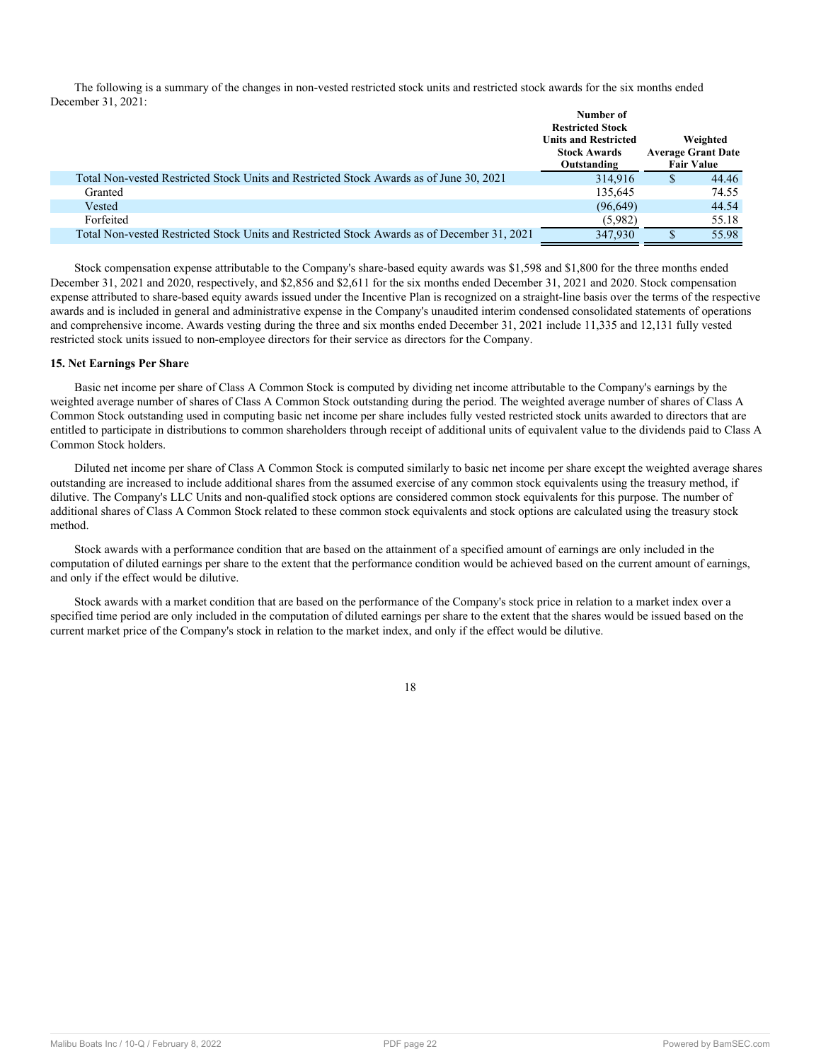The following is a summary of the changes in non-vested restricted stock units and restricted stock awards for the six months ended December 31, 2021:

|                                                                                             | Number of<br><b>Restricted Stock</b>                              |                                                            |
|---------------------------------------------------------------------------------------------|-------------------------------------------------------------------|------------------------------------------------------------|
|                                                                                             | <b>Units and Restricted</b><br><b>Stock Awards</b><br>Outstanding | Weighted<br><b>Average Grant Date</b><br><b>Fair Value</b> |
| Total Non-vested Restricted Stock Units and Restricted Stock Awards as of June 30, 2021     | 314,916                                                           | 44.46                                                      |
| Granted                                                                                     | 135.645                                                           | 74.55                                                      |
| Vested                                                                                      | (96, 649)                                                         | 44.54                                                      |
| Forfeited                                                                                   | (5,982)                                                           | 55.18                                                      |
| Total Non-vested Restricted Stock Units and Restricted Stock Awards as of December 31, 2021 | 347.930                                                           | 55.98                                                      |

Stock compensation expense attributable to the Company's share-based equity awards was \$1,598 and \$1,800 for the three months ended December 31, 2021 and 2020, respectively, and \$2,856 and \$2,611 for the six months ended December 31, 2021 and 2020. Stock compensation expense attributed to share-based equity awards issued under the Incentive Plan is recognized on a straight-line basis over the terms of the respective awards and is included in general and administrative expense in the Company's unaudited interim condensed consolidated statements of operations and comprehensive income. Awards vesting during the three and six months ended December 31, 2021 include 11,335 and 12,131 fully vested restricted stock units issued to non-employee directors for their service as directors for the Company.

## **15. Net Earnings Per Share**

Basic net income per share of Class A Common Stock is computed by dividing net income attributable to the Company's earnings by the weighted average number of shares of Class A Common Stock outstanding during the period. The weighted average number of shares of Class A Common Stock outstanding used in computing basic net income per share includes fully vested restricted stock units awarded to directors that are entitled to participate in distributions to common shareholders through receipt of additional units of equivalent value to the dividends paid to Class A Common Stock holders.

Diluted net income per share of Class A Common Stock is computed similarly to basic net income per share except the weighted average shares outstanding are increased to include additional shares from the assumed exercise of any common stock equivalents using the treasury method, if dilutive. The Company's LLC Units and non-qualified stock options are considered common stock equivalents for this purpose. The number of additional shares of Class A Common Stock related to these common stock equivalents and stock options are calculated using the treasury stock method.

Stock awards with a performance condition that are based on the attainment of a specified amount of earnings are only included in the computation of diluted earnings per share to the extent that the performance condition would be achieved based on the current amount of earnings, and only if the effect would be dilutive.

Stock awards with a market condition that are based on the performance of the Company's stock price in relation to a market index over a specified time period are only included in the computation of diluted earnings per share to the extent that the shares would be issued based on the current market price of the Company's stock in relation to the market index, and only if the effect would be dilutive.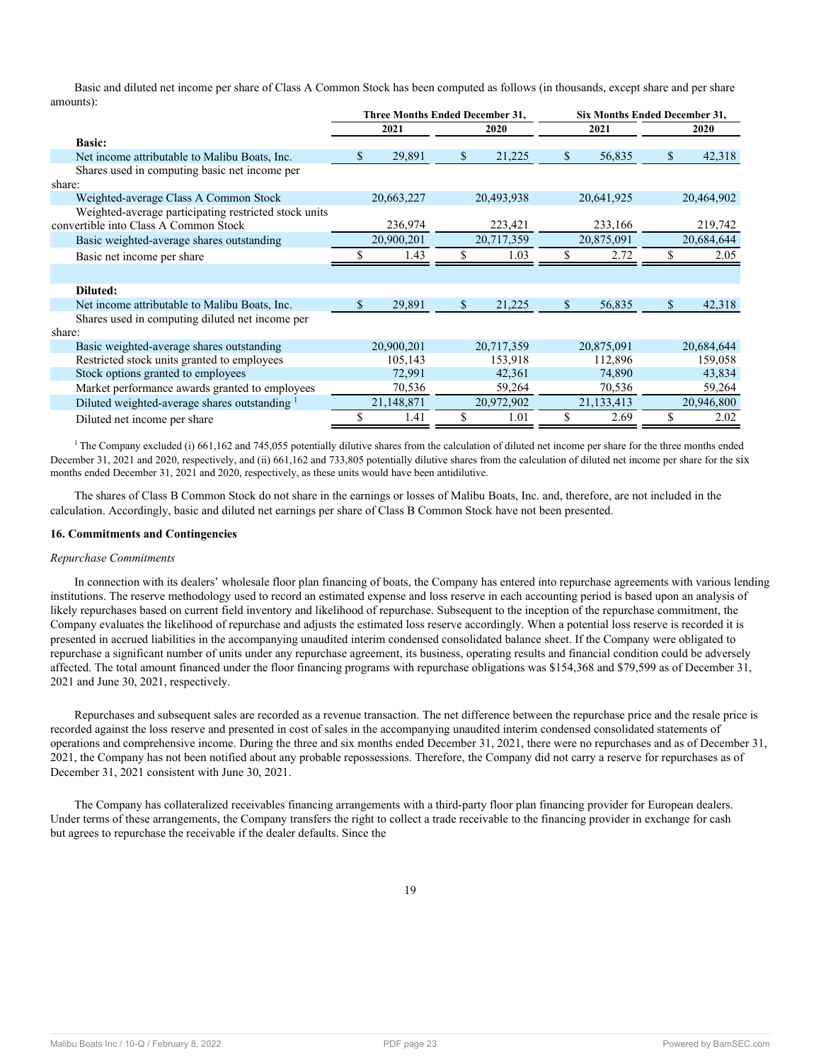Basic and diluted net income per share of Class A Common Stock has been computed as follows (in thousands, except share and per share amounts):

|                                                          |    | <b>Three Months Ended December 31,</b> |    |            | <b>Six Months Ended December 31,</b> |            |    |            |  |
|----------------------------------------------------------|----|----------------------------------------|----|------------|--------------------------------------|------------|----|------------|--|
|                                                          |    | 2021<br>2020                           |    |            |                                      | 2021       |    | 2020       |  |
| <b>Basic:</b>                                            |    |                                        |    |            |                                      |            |    |            |  |
| Net income attributable to Malibu Boats, Inc.            | S. | 29,891                                 | \$ | 21,225     | S                                    | 56,835     | \$ | 42,318     |  |
| Shares used in computing basic net income per            |    |                                        |    |            |                                      |            |    |            |  |
| share:                                                   |    |                                        |    |            |                                      |            |    |            |  |
| Weighted-average Class A Common Stock                    |    | 20,663,227                             |    | 20,493,938 |                                      | 20,641,925 |    | 20,464,902 |  |
| Weighted-average participating restricted stock units    |    |                                        |    |            |                                      |            |    |            |  |
| convertible into Class A Common Stock                    |    | 236,974                                |    | 223,421    |                                      | 233,166    |    | 219,742    |  |
| Basic weighted-average shares outstanding                |    | 20,900,201                             |    | 20,717,359 |                                      | 20,875,091 |    | 20,684,644 |  |
| Basic net income per share                               |    | 1.43                                   | S  | 1.03       |                                      | 2.72       |    | 2.05       |  |
|                                                          |    |                                        |    |            |                                      |            |    |            |  |
| Diluted:                                                 |    |                                        |    |            |                                      |            |    |            |  |
| Net income attributable to Malibu Boats, Inc.            | S  | 29,891                                 | \$ | 21,225     | S                                    | 56,835     | \$ | 42,318     |  |
| Shares used in computing diluted net income per          |    |                                        |    |            |                                      |            |    |            |  |
| share:                                                   |    |                                        |    |            |                                      |            |    |            |  |
| Basic weighted-average shares outstanding                |    | 20,900,201                             |    | 20,717,359 |                                      | 20,875,091 |    | 20,684,644 |  |
| Restricted stock units granted to employees              |    | 105,143                                |    | 153,918    |                                      | 112,896    |    | 159,058    |  |
| Stock options granted to employees                       |    | 72,991                                 |    | 42,361     |                                      | 74,890     |    | 43,834     |  |
| Market performance awards granted to employees           |    | 70,536                                 |    | 59,264     |                                      | 70,536     |    | 59,264     |  |
| Diluted weighted-average shares outstanding <sup>1</sup> |    | 21,148,871                             |    | 20,972,902 |                                      | 21,133,413 |    | 20,946,800 |  |
| Diluted net income per share                             |    | 1.41                                   | S  | 1.01       |                                      | 2.69       |    | 2.02       |  |

<sup>1</sup> The Company excluded (i) 661,162 and 745,055 potentially dilutive shares from the calculation of diluted net income per share for the three months ended December 31, 2021 and 2020, respectively, and (ii) 661,162 and 733,805 potentially dilutive shares from the calculation of diluted net income per share for the six months ended December 31, 2021 and 2020, respectively, as these units would have been antidilutive.

The shares of Class B Common Stock do not share in the earnings or losses of Malibu Boats, Inc. and, therefore, are not included in the calculation. Accordingly, basic and diluted net earnings per share of Class B Common Stock have not been presented.

## <span id="page-22-0"></span>**16. Commitments and Contingencies**

#### *Repurchase Commitments*

In connection with its dealers' wholesale floor plan financing of boats, the Company has entered into repurchase agreements with various lending institutions. The reserve methodology used to record an estimated expense and loss reserve in each accounting period is based upon an analysis of likely repurchases based on current field inventory and likelihood of repurchase. Subsequent to the inception of the repurchase commitment, the Company evaluates the likelihood of repurchase and adjusts the estimated loss reserve accordingly. When a potential loss reserve is recorded it is presented in accrued liabilities in the accompanying unaudited interim condensed consolidated balance sheet. If the Company were obligated to repurchase a significant number of units under any repurchase agreement, its business, operating results and financial condition could be adversely affected. The total amount financed under the floor financing programs with repurchase obligations was \$154,368 and \$79,599 as of December 31, 2021 and June 30, 2021, respectively.

Repurchases and subsequent sales are recorded as a revenue transaction. The net difference between the repurchase price and the resale price is recorded against the loss reserve and presented in cost of sales in the accompanying unaudited interim condensed consolidated statements of operations and comprehensive income. During the three and six months ended December 31, 2021, there were no repurchases and as of December 31, 2021, the Company has not been notified about any probable repossessions. Therefore, the Company did not carry a reserve for repurchases as of December 31, 2021 consistent with June 30, 2021.

The Company has collateralized receivables financing arrangements with a third-party floor plan financing provider for European dealers. Under terms of these arrangements, the Company transfers the right to collect a trade receivable to the financing provider in exchange for cash but agrees to repurchase the receivable if the dealer defaults. Since the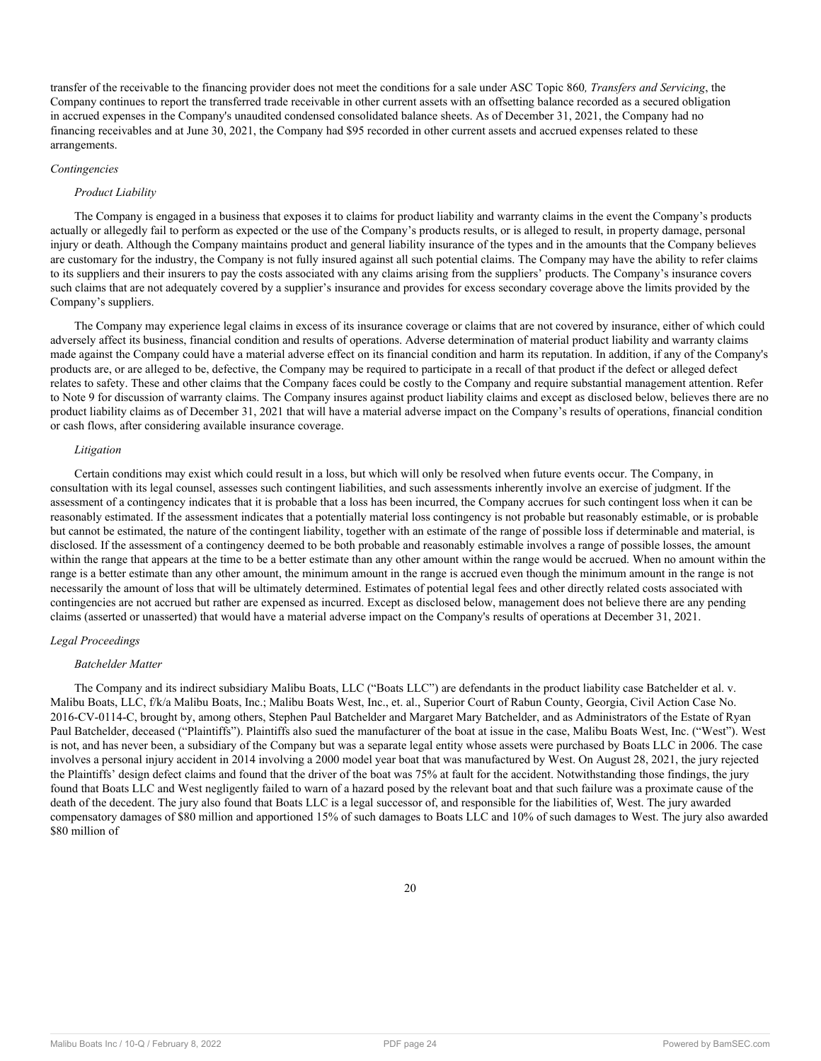transfer of the receivable to the financing provider does not meet the conditions for a sale under ASC Topic 860*, Transfers and Servicing*, the Company continues to report the transferred trade receivable in other current assets with an offsetting balance recorded as a secured obligation in accrued expenses in the Company's unaudited condensed consolidated balance sheets. As of December 31, 2021, the Company had no financing receivables and at June 30, 2021, the Company had \$95 recorded in other current assets and accrued expenses related to these arrangements.

#### *Contingencies*

## *Product Liability*

The Company is engaged in a business that exposes it to claims for product liability and warranty claims in the event the Company's products actually or allegedly fail to perform as expected or the use of the Company's products results, or is alleged to result, in property damage, personal injury or death. Although the Company maintains product and general liability insurance of the types and in the amounts that the Company believes are customary for the industry, the Company is not fully insured against all such potential claims. The Company may have the ability to refer claims to its suppliers and their insurers to pay the costs associated with any claims arising from the suppliers' products. The Company's insurance covers such claims that are not adequately covered by a supplier's insurance and provides for excess secondary coverage above the limits provided by the Company's suppliers.

The Company may experience legal claims in excess of its insurance coverage or claims that are not covered by insurance, either of which could adversely affect its business, financial condition and results of operations. Adverse determination of material product liability and warranty claims made against the Company could have a material adverse effect on its financial condition and harm its reputation. In addition, if any of the Company's products are, or are alleged to be, defective, the Company may be required to participate in a recall of that product if the defect or alleged defect relates to safety. These and other claims that the Company faces could be costly to the Company and require substantial management attention. Refer to [Note 9](#page-15-0) for discussion of warranty claims. The Company insures against product liability claims and except as disclosed below, believes there are no product liability claims as of December 31, 2021 that will have a material adverse impact on the Company's results of operations, financial condition or cash flows, after considering available insurance coverage.

#### *Litigation*

Certain conditions may exist which could result in a loss, but which will only be resolved when future events occur. The Company, in consultation with its legal counsel, assesses such contingent liabilities, and such assessments inherently involve an exercise of judgment. If the assessment of a contingency indicates that it is probable that a loss has been incurred, the Company accrues for such contingent loss when it can be reasonably estimated. If the assessment indicates that a potentially material loss contingency is not probable but reasonably estimable, or is probable but cannot be estimated, the nature of the contingent liability, together with an estimate of the range of possible loss if determinable and material, is disclosed. If the assessment of a contingency deemed to be both probable and reasonably estimable involves a range of possible losses, the amount within the range that appears at the time to be a better estimate than any other amount within the range would be accrued. When no amount within the range is a better estimate than any other amount, the minimum amount in the range is accrued even though the minimum amount in the range is not necessarily the amount of loss that will be ultimately determined. Estimates of potential legal fees and other directly related costs associated with contingencies are not accrued but rather are expensed as incurred. Except as disclosed below, management does not believe there are any pending claims (asserted or unasserted) that would have a material adverse impact on the Company's results of operations at December 31, 2021.

#### *Legal Proceedings*

#### *Batchelder Matter*

The Company and its indirect subsidiary Malibu Boats, LLC ("Boats LLC") are defendants in the product liability case Batchelder et al. v. Malibu Boats, LLC, f/k/a Malibu Boats, Inc.; Malibu Boats West, Inc., et. al., Superior Court of Rabun County, Georgia, Civil Action Case No. 2016-CV-0114-C, brought by, among others, Stephen Paul Batchelder and Margaret Mary Batchelder, and as Administrators of the Estate of Ryan Paul Batchelder, deceased ("Plaintiffs"). Plaintiffs also sued the manufacturer of the boat at issue in the case, Malibu Boats West, Inc. ("West"). West is not, and has never been, a subsidiary of the Company but was a separate legal entity whose assets were purchased by Boats LLC in 2006. The case involves a personal injury accident in 2014 involving a 2000 model year boat that was manufactured by West. On August 28, 2021, the jury rejected the Plaintiffs' design defect claims and found that the driver of the boat was 75% at fault for the accident. Notwithstanding those findings, the jury found that Boats LLC and West negligently failed to warn of a hazard posed by the relevant boat and that such failure was a proximate cause of the death of the decedent. The jury also found that Boats LLC is a legal successor of, and responsible for the liabilities of, West. The jury awarded compensatory damages of \$80 million and apportioned 15% of such damages to Boats LLC and 10% of such damages to West. The jury also awarded \$80 million of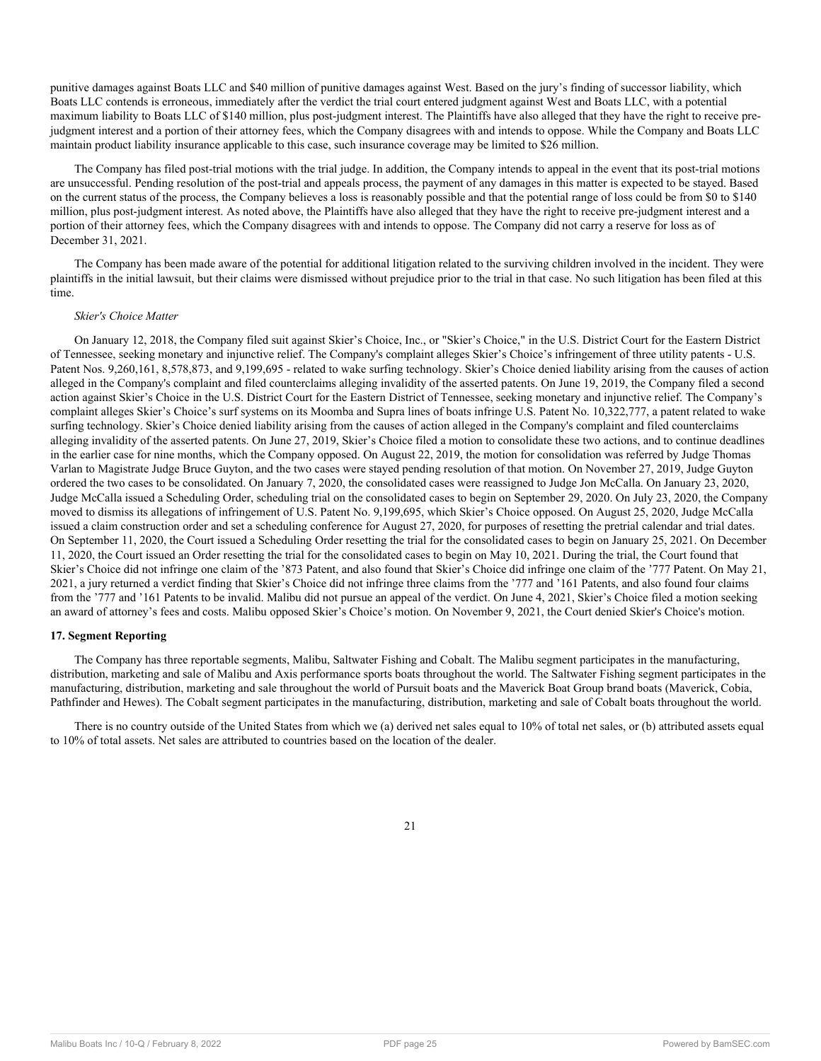punitive damages against Boats LLC and \$40 million of punitive damages against West. Based on the jury's finding of successor liability, which Boats LLC contends is erroneous, immediately after the verdict the trial court entered judgment against West and Boats LLC, with a potential maximum liability to Boats LLC of \$140 million, plus post-judgment interest. The Plaintiffs have also alleged that they have the right to receive prejudgment interest and a portion of their attorney fees, which the Company disagrees with and intends to oppose. While the Company and Boats LLC maintain product liability insurance applicable to this case, such insurance coverage may be limited to \$26 million.

The Company has filed post-trial motions with the trial judge. In addition, the Company intends to appeal in the event that its post-trial motions are unsuccessful. Pending resolution of the post-trial and appeals process, the payment of any damages in this matter is expected to be stayed. Based on the current status of the process, the Company believes a loss is reasonably possible and that the potential range of loss could be from \$0 to \$140 million, plus post-judgment interest. As noted above, the Plaintiffs have also alleged that they have the right to receive pre-judgment interest and a portion of their attorney fees, which the Company disagrees with and intends to oppose. The Company did not carry a reserve for loss as of December 31, 2021.

The Company has been made aware of the potential for additional litigation related to the surviving children involved in the incident. They were plaintiffs in the initial lawsuit, but their claims were dismissed without prejudice prior to the trial in that case. No such litigation has been filed at this time.

#### *Skier's Choice Matter*

On January 12, 2018, the Company filed suit against Skier's Choice, Inc., or "Skier's Choice," in the U.S. District Court for the Eastern District of Tennessee, seeking monetary and injunctive relief. The Company's complaint alleges Skier's Choice's infringement of three utility patents - U.S. Patent Nos. 9,260,161, 8,578,873, and 9,199,695 - related to wake surfing technology. Skier's Choice denied liability arising from the causes of action alleged in the Company's complaint and filed counterclaims alleging invalidity of the asserted patents. On June 19, 2019, the Company filed a second action against Skier's Choice in the U.S. District Court for the Eastern District of Tennessee, seeking monetary and injunctive relief. The Company's complaint alleges Skier's Choice's surf systems on its Moomba and Supra lines of boats infringe U.S. Patent No. 10,322,777, a patent related to wake surfing technology. Skier's Choice denied liability arising from the causes of action alleged in the Company's complaint and filed counterclaims alleging invalidity of the asserted patents. On June 27, 2019, Skier's Choice filed a motion to consolidate these two actions, and to continue deadlines in the earlier case for nine months, which the Company opposed. On August 22, 2019, the motion for consolidation was referred by Judge Thomas Varlan to Magistrate Judge Bruce Guyton, and the two cases were stayed pending resolution of that motion. On November 27, 2019, Judge Guyton ordered the two cases to be consolidated. On January 7, 2020, the consolidated cases were reassigned to Judge Jon McCalla. On January 23, 2020, Judge McCalla issued a Scheduling Order, scheduling trial on the consolidated cases to begin on September 29, 2020. On July 23, 2020, the Company moved to dismiss its allegations of infringement of U.S. Patent No. 9,199,695, which Skier's Choice opposed. On August 25, 2020, Judge McCalla issued a claim construction order and set a scheduling conference for August 27, 2020, for purposes of resetting the pretrial calendar and trial dates. On September 11, 2020, the Court issued a Scheduling Order resetting the trial for the consolidated cases to begin on January 25, 2021. On December 11, 2020, the Court issued an Order resetting the trial for the consolidated cases to begin on May 10, 2021. During the trial, the Court found that Skier's Choice did not infringe one claim of the '873 Patent, and also found that Skier's Choice did infringe one claim of the '777 Patent. On May 21, 2021, a jury returned a verdict finding that Skier's Choice did not infringe three claims from the '777 and '161 Patents, and also found four claims from the '777 and '161 Patents to be invalid. Malibu did not pursue an appeal of the verdict. On June 4, 2021, Skier's Choice filed a motion seeking an award of attorney's fees and costs. Malibu opposed Skier's Choice's motion. On November 9, 2021, the Court denied Skier's Choice's motion.

## <span id="page-24-0"></span>**17. Segment Reporting**

The Company has three reportable segments, Malibu, Saltwater Fishing and Cobalt. The Malibu segment participates in the manufacturing, distribution, marketing and sale of Malibu and Axis performance sports boats throughout the world. The Saltwater Fishing segment participates in the manufacturing, distribution, marketing and sale throughout the world of Pursuit boats and the Maverick Boat Group brand boats (Maverick, Cobia, Pathfinder and Hewes). The Cobalt segment participates in the manufacturing, distribution, marketing and sale of Cobalt boats throughout the world.

There is no country outside of the United States from which we (a) derived net sales equal to 10% of total net sales, or (b) attributed assets equal to 10% of total assets. Net sales are attributed to countries based on the location of the dealer.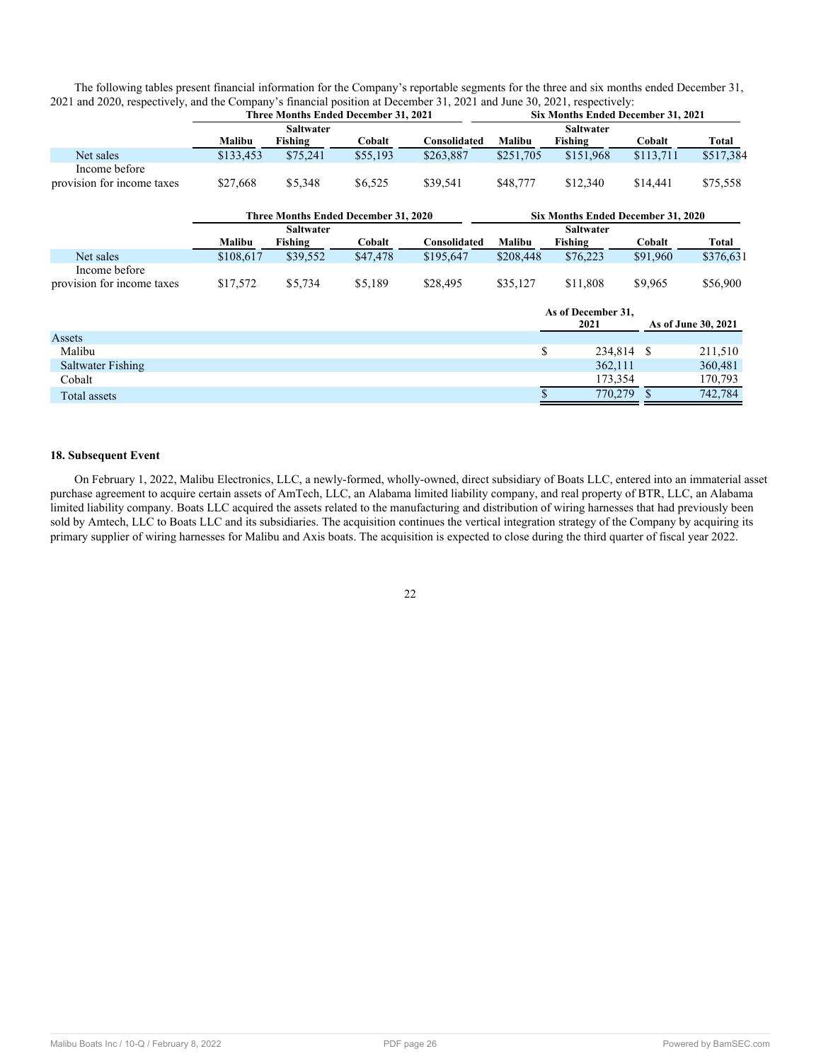| The following tables present financial information for the Company's reportable segments for the three and six months ended December 31, |                                    |
|------------------------------------------------------------------------------------------------------------------------------------------|------------------------------------|
| 2021 and 2020, respectively, and the Company's financial position at December 31, 2021 and June 30, 2021, respectively:                  |                                    |
| Three Months Ended December 31, 2021                                                                                                     | Siv Months Ended December 31, 2021 |

|                            |           | Three Months Ended December 31, 2021 |          |              | Six Months Ended December 31, 2021 |                                    |            |                     |
|----------------------------|-----------|--------------------------------------|----------|--------------|------------------------------------|------------------------------------|------------|---------------------|
|                            |           | <b>Saltwater</b>                     |          |              |                                    | <b>Saltwater</b>                   |            |                     |
|                            | Malibu    | <b>Fishing</b>                       | Cobalt   | Consolidated | Malibu                             | <b>Fishing</b>                     | Cobalt     | Total               |
| Net sales                  | \$133,453 | \$75,241                             | \$55,193 | \$263,887    | \$251,705                          | \$151,968                          | \$113,711  | \$517,384           |
| Income before              |           |                                      |          |              |                                    |                                    |            |                     |
| provision for income taxes | \$27,668  | \$5,348                              | \$6,525  | \$39,541     | \$48,777                           | \$12,340                           | \$14,441   | \$75,558            |
|                            |           | Three Months Ended December 31, 2020 |          |              |                                    | Six Months Ended December 31, 2020 |            |                     |
|                            |           | <b>Saltwater</b>                     |          |              |                                    | <b>Saltwater</b>                   |            |                     |
|                            | Malibu    | Fishing                              | Cobalt   | Consolidated | Malibu                             | Fishing                            | Cobalt     | Total               |
| Net sales                  | \$108,617 | \$39,552                             | \$47,478 | \$195,647    | \$208,448                          | \$76,223                           | \$91,960   | \$376,631           |
| Income before              |           |                                      |          |              |                                    |                                    |            |                     |
| provision for income taxes | \$17,572  | \$5,734                              | \$5,189  | \$28,495     | \$35,127                           | \$11,808                           | \$9,965    | \$56,900            |
|                            |           |                                      |          |              |                                    | As of December 31,                 |            |                     |
|                            |           |                                      |          |              |                                    | 2021                               |            | As of June 30, 2021 |
| Assets                     |           |                                      |          |              |                                    |                                    |            |                     |
| Malibu                     |           |                                      |          |              | \$                                 |                                    | 234,814 \$ | 211,510             |
| Saltwater Fishing          |           |                                      |          |              |                                    | 362,111                            |            | 360,481             |
| Cobalt                     |           |                                      |          |              |                                    | 173,354                            |            | 170,793             |
| Total assets               |           |                                      |          |              |                                    | 770,279                            |            | 742,784             |
|                            |           |                                      |          |              |                                    |                                    |            |                     |

## **18. Subsequent Event**

<span id="page-25-0"></span>On February 1, 2022, Malibu Electronics, LLC, a newly-formed, wholly-owned, direct subsidiary of Boats LLC, entered into an immaterial asset purchase agreement to acquire certain assets of AmTech, LLC, an Alabama limited liability company, and real property of BTR, LLC, an Alabama limited liability company. Boats LLC acquired the assets related to the manufacturing and distribution of wiring harnesses that had previously been sold by Amtech, LLC to Boats LLC and its subsidiaries. The acquisition continues the vertical integration strategy of the Company by acquiring its primary supplier of wiring harnesses for Malibu and Axis boats. The acquisition is expected to close during the third quarter of fiscal year 2022.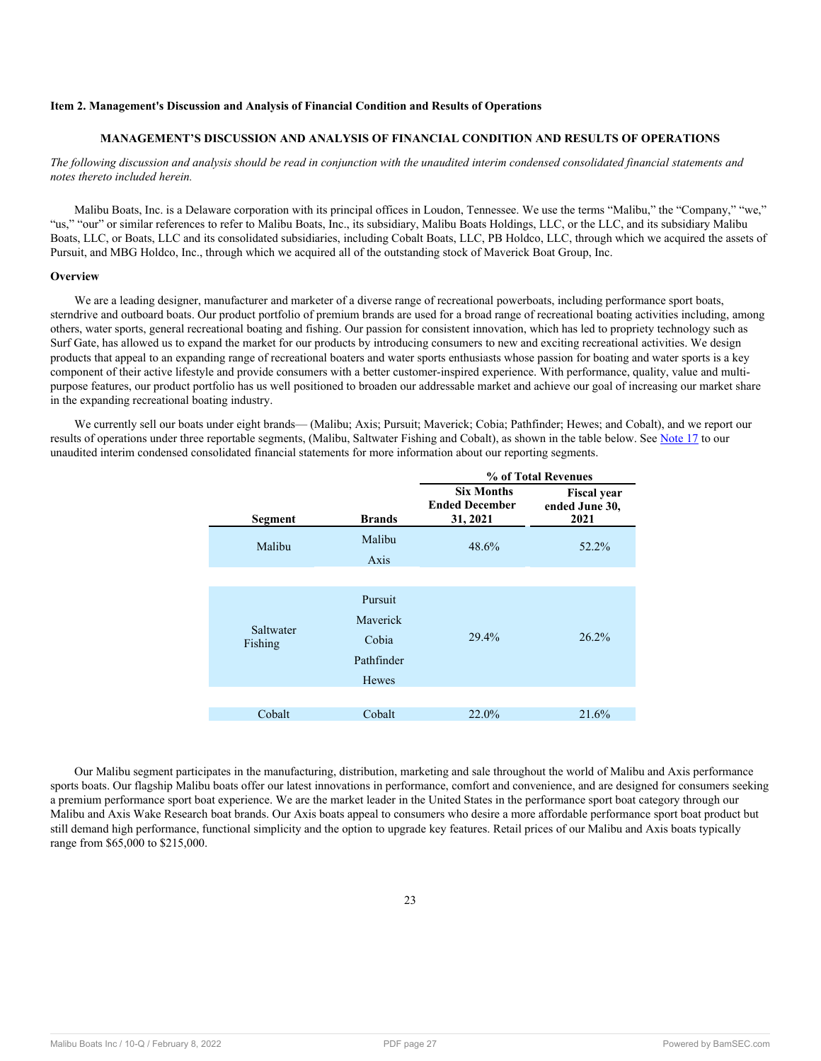## **Item 2. Management's Discussion and Analysis of Financial Condition and Results of Operations**

## **MANAGEMENT'S DISCUSSION AND ANALYSIS OF FINANCIAL CONDITION AND RESULTS OF OPERATIONS**

## *The following discussion and analysis should be read in conjunction with the unaudited interim condensed consolidated financial statements and notes thereto included herein.*

Malibu Boats, Inc. is a Delaware corporation with its principal offices in Loudon, Tennessee. We use the terms "Malibu," the "Company," "we," "us," "our" or similar references to refer to Malibu Boats, Inc., its subsidiary, Malibu Boats Holdings, LLC, or the LLC, and its subsidiary Malibu Boats, LLC, or Boats, LLC and its consolidated subsidiaries, including Cobalt Boats, LLC, PB Holdco, LLC, through which we acquired the assets of Pursuit, and MBG Holdco, Inc., through which we acquired all of the outstanding stock of Maverick Boat Group, Inc.

#### **Overview**

We are a leading designer, manufacturer and marketer of a diverse range of recreational powerboats, including performance sport boats, sterndrive and outboard boats. Our product portfolio of premium brands are used for a broad range of recreational boating activities including, among others, water sports, general recreational boating and fishing. Our passion for consistent innovation, which has led to propriety technology such as Surf Gate, has allowed us to expand the market for our products by introducing consumers to new and exciting recreational activities. We design products that appeal to an expanding range of recreational boaters and water sports enthusiasts whose passion for boating and water sports is a key component of their active lifestyle and provide consumers with a better customer-inspired experience. With performance, quality, value and multipurpose features, our product portfolio has us well positioned to broaden our addressable market and achieve our goal of increasing our market share in the expanding recreational boating industry.

We currently sell our boats under eight brands— (Malibu; Axis; Pursuit; Maverick; Cobia; Pathfinder; Hewes; and Cobalt), and we report our results of operations under three reportable segments, (Malibu, Saltwater Fishing and Cobalt), as shown in the table below. See [Note 17](#page-24-0) to our unaudited interim condensed consolidated financial statements for more information about our reporting segments.

|                      |                                                     | % of Total Revenues                                    |                                              |  |  |  |  |
|----------------------|-----------------------------------------------------|--------------------------------------------------------|----------------------------------------------|--|--|--|--|
| Segment              | <b>Brands</b>                                       | <b>Six Months</b><br><b>Ended December</b><br>31, 2021 | <b>Fiscal year</b><br>ended June 30,<br>2021 |  |  |  |  |
| Malibu               | Malibu<br>Axis                                      | 48.6%                                                  | 52.2%                                        |  |  |  |  |
| Saltwater<br>Fishing | Pursuit<br>Mayerick<br>Cobia<br>Pathfinder<br>Hewes | 29.4%                                                  | 26.2%                                        |  |  |  |  |
| Cobalt               | Cobalt                                              | 22.0%                                                  | 21.6%                                        |  |  |  |  |

Our Malibu segment participates in the manufacturing, distribution, marketing and sale throughout the world of Malibu and Axis performance sports boats. Our flagship Malibu boats offer our latest innovations in performance, comfort and convenience, and are designed for consumers seeking a premium performance sport boat experience. We are the market leader in the United States in the performance sport boat category through our Malibu and Axis Wake Research boat brands. Our Axis boats appeal to consumers who desire a more affordable performance sport boat product but still demand high performance, functional simplicity and the option to upgrade key features. Retail prices of our Malibu and Axis boats typically range from \$65,000 to \$215,000.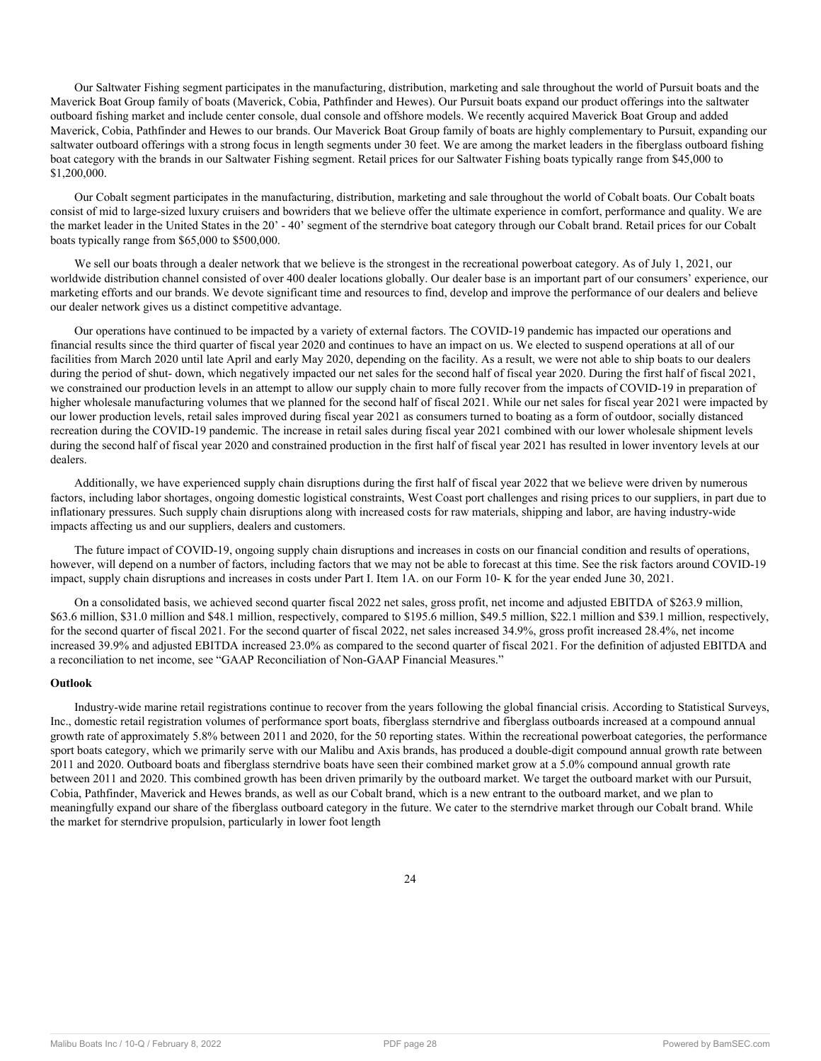Our Saltwater Fishing segment participates in the manufacturing, distribution, marketing and sale throughout the world of Pursuit boats and the Maverick Boat Group family of boats (Maverick, Cobia, Pathfinder and Hewes). Our Pursuit boats expand our product offerings into the saltwater outboard fishing market and include center console, dual console and offshore models. We recently acquired Maverick Boat Group and added Maverick, Cobia, Pathfinder and Hewes to our brands. Our Maverick Boat Group family of boats are highly complementary to Pursuit, expanding our saltwater outboard offerings with a strong focus in length segments under 30 feet. We are among the market leaders in the fiberglass outboard fishing boat category with the brands in our Saltwater Fishing segment. Retail prices for our Saltwater Fishing boats typically range from \$45,000 to \$1,200,000.

Our Cobalt segment participates in the manufacturing, distribution, marketing and sale throughout the world of Cobalt boats. Our Cobalt boats consist of mid to large-sized luxury cruisers and bowriders that we believe offer the ultimate experience in comfort, performance and quality. We are the market leader in the United States in the 20' - 40' segment of the sterndrive boat category through our Cobalt brand. Retail prices for our Cobalt boats typically range from \$65,000 to \$500,000.

We sell our boats through a dealer network that we believe is the strongest in the recreational powerboat category. As of July 1, 2021, our worldwide distribution channel consisted of over 400 dealer locations globally. Our dealer base is an important part of our consumers' experience, our marketing efforts and our brands. We devote significant time and resources to find, develop and improve the performance of our dealers and believe our dealer network gives us a distinct competitive advantage.

Our operations have continued to be impacted by a variety of external factors. The COVID-19 pandemic has impacted our operations and financial results since the third quarter of fiscal year 2020 and continues to have an impact on us. We elected to suspend operations at all of our facilities from March 2020 until late April and early May 2020, depending on the facility. As a result, we were not able to ship boats to our dealers during the period of shut- down, which negatively impacted our net sales for the second half of fiscal year 2020. During the first half of fiscal 2021, we constrained our production levels in an attempt to allow our supply chain to more fully recover from the impacts of COVID-19 in preparation of higher wholesale manufacturing volumes that we planned for the second half of fiscal 2021. While our net sales for fiscal year 2021 were impacted by our lower production levels, retail sales improved during fiscal year 2021 as consumers turned to boating as a form of outdoor, socially distanced recreation during the COVID-19 pandemic. The increase in retail sales during fiscal year 2021 combined with our lower wholesale shipment levels during the second half of fiscal year 2020 and constrained production in the first half of fiscal year 2021 has resulted in lower inventory levels at our dealers.

Additionally, we have experienced supply chain disruptions during the first half of fiscal year 2022 that we believe were driven by numerous factors, including labor shortages, ongoing domestic logistical constraints, West Coast port challenges and rising prices to our suppliers, in part due to inflationary pressures. Such supply chain disruptions along with increased costs for raw materials, shipping and labor, are having industry-wide impacts affecting us and our suppliers, dealers and customers.

The future impact of COVID-19, ongoing supply chain disruptions and increases in costs on our financial condition and results of operations, however, will depend on a number of factors, including factors that we may not be able to forecast at this time. See the risk factors around COVID-19 impact, supply chain disruptions and increases in costs under Part I. Item 1A. on our Form 10- K for the year ended June 30, 2021.

On a consolidated basis, we achieved second quarter fiscal 2022 net sales, gross profit, net income and adjusted EBITDA of \$263.9 million, \$63.6 million, \$31.0 million and \$48.1 million, respectively, compared to \$195.6 million, \$49.5 million, \$22.1 million and \$39.1 million, respectively, for the second quarter of fiscal 2021. For the second quarter of fiscal 2022, net sales increased 34.9%, gross profit increased 28.4%, net income increased 39.9% and adjusted EBITDA increased 23.0% as compared to the second quarter of fiscal 2021. For the definition of adjusted EBITDA and a reconciliation to net income, see "GAAP Reconciliation of Non-GAAP Financial Measures."

## **Outlook**

Industry-wide marine retail registrations continue to recover from the years following the global financial crisis. According to Statistical Surveys, Inc., domestic retail registration volumes of performance sport boats, fiberglass sterndrive and fiberglass outboards increased at a compound annual growth rate of approximately 5.8% between 2011 and 2020, for the 50 reporting states. Within the recreational powerboat categories, the performance sport boats category, which we primarily serve with our Malibu and Axis brands, has produced a double-digit compound annual growth rate between 2011 and 2020. Outboard boats and fiberglass sterndrive boats have seen their combined market grow at a 5.0% compound annual growth rate between 2011 and 2020. This combined growth has been driven primarily by the outboard market. We target the outboard market with our Pursuit, Cobia, Pathfinder, Maverick and Hewes brands, as well as our Cobalt brand, which is a new entrant to the outboard market, and we plan to meaningfully expand our share of the fiberglass outboard category in the future. We cater to the sterndrive market through our Cobalt brand. While the market for sterndrive propulsion, particularly in lower foot length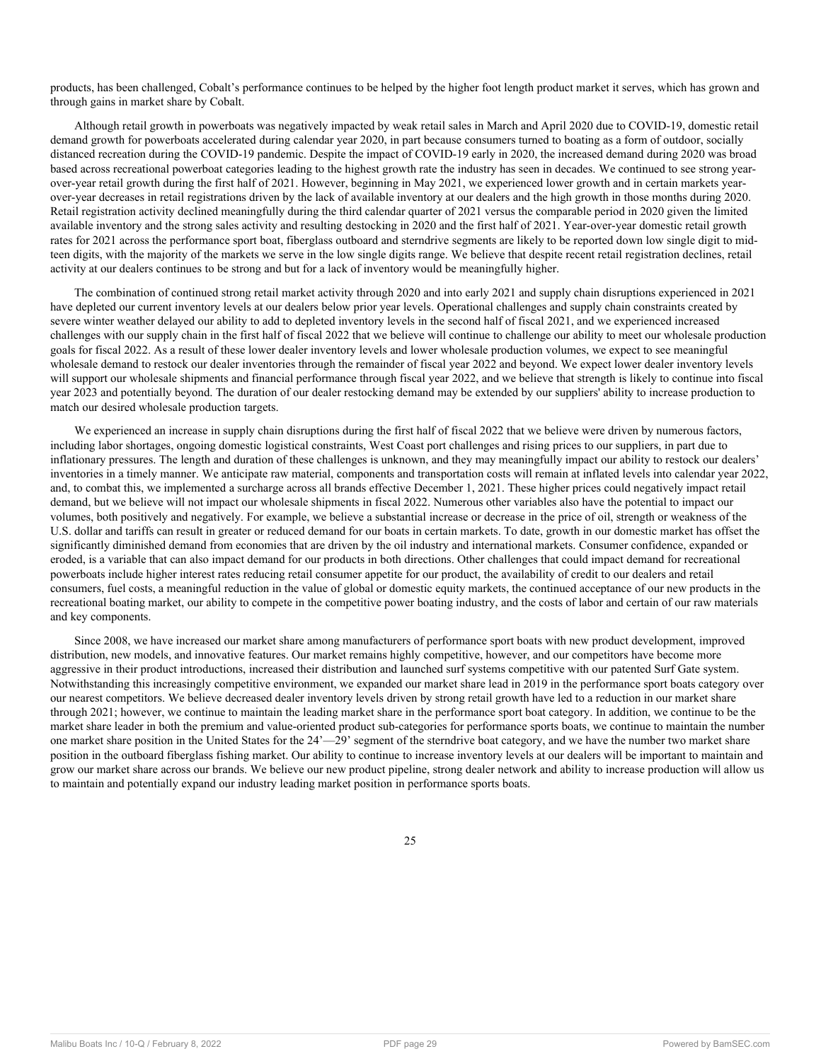products, has been challenged, Cobalt's performance continues to be helped by the higher foot length product market it serves, which has grown and through gains in market share by Cobalt.

Although retail growth in powerboats was negatively impacted by weak retail sales in March and April 2020 due to COVID-19, domestic retail demand growth for powerboats accelerated during calendar year 2020, in part because consumers turned to boating as a form of outdoor, socially distanced recreation during the COVID-19 pandemic. Despite the impact of COVID-19 early in 2020, the increased demand during 2020 was broad based across recreational powerboat categories leading to the highest growth rate the industry has seen in decades. We continued to see strong yearover-year retail growth during the first half of 2021. However, beginning in May 2021, we experienced lower growth and in certain markets yearover-year decreases in retail registrations driven by the lack of available inventory at our dealers and the high growth in those months during 2020. Retail registration activity declined meaningfully during the third calendar quarter of 2021 versus the comparable period in 2020 given the limited available inventory and the strong sales activity and resulting destocking in 2020 and the first half of 2021. Year-over-year domestic retail growth rates for 2021 across the performance sport boat, fiberglass outboard and sterndrive segments are likely to be reported down low single digit to midteen digits, with the majority of the markets we serve in the low single digits range. We believe that despite recent retail registration declines, retail activity at our dealers continues to be strong and but for a lack of inventory would be meaningfully higher.

The combination of continued strong retail market activity through 2020 and into early 2021 and supply chain disruptions experienced in 2021 have depleted our current inventory levels at our dealers below prior year levels. Operational challenges and supply chain constraints created by severe winter weather delayed our ability to add to depleted inventory levels in the second half of fiscal 2021, and we experienced increased challenges with our supply chain in the first half of fiscal 2022 that we believe will continue to challenge our ability to meet our wholesale production goals for fiscal 2022. As a result of these lower dealer inventory levels and lower wholesale production volumes, we expect to see meaningful wholesale demand to restock our dealer inventories through the remainder of fiscal year 2022 and beyond. We expect lower dealer inventory levels will support our wholesale shipments and financial performance through fiscal year 2022, and we believe that strength is likely to continue into fiscal year 2023 and potentially beyond. The duration of our dealer restocking demand may be extended by our suppliers' ability to increase production to match our desired wholesale production targets.

We experienced an increase in supply chain disruptions during the first half of fiscal 2022 that we believe were driven by numerous factors, including labor shortages, ongoing domestic logistical constraints, West Coast port challenges and rising prices to our suppliers, in part due to inflationary pressures. The length and duration of these challenges is unknown, and they may meaningfully impact our ability to restock our dealers' inventories in a timely manner. We anticipate raw material, components and transportation costs will remain at inflated levels into calendar year 2022, and, to combat this, we implemented a surcharge across all brands effective December 1, 2021. These higher prices could negatively impact retail demand, but we believe will not impact our wholesale shipments in fiscal 2022. Numerous other variables also have the potential to impact our volumes, both positively and negatively. For example, we believe a substantial increase or decrease in the price of oil, strength or weakness of the U.S. dollar and tariffs can result in greater or reduced demand for our boats in certain markets. To date, growth in our domestic market has offset the significantly diminished demand from economies that are driven by the oil industry and international markets. Consumer confidence, expanded or eroded, is a variable that can also impact demand for our products in both directions. Other challenges that could impact demand for recreational powerboats include higher interest rates reducing retail consumer appetite for our product, the availability of credit to our dealers and retail consumers, fuel costs, a meaningful reduction in the value of global or domestic equity markets, the continued acceptance of our new products in the recreational boating market, our ability to compete in the competitive power boating industry, and the costs of labor and certain of our raw materials and key components.

Since 2008, we have increased our market share among manufacturers of performance sport boats with new product development, improved distribution, new models, and innovative features. Our market remains highly competitive, however, and our competitors have become more aggressive in their product introductions, increased their distribution and launched surf systems competitive with our patented Surf Gate system. Notwithstanding this increasingly competitive environment, we expanded our market share lead in 2019 in the performance sport boats category over our nearest competitors. We believe decreased dealer inventory levels driven by strong retail growth have led to a reduction in our market share through 2021; however, we continue to maintain the leading market share in the performance sport boat category. In addition, we continue to be the market share leader in both the premium and value-oriented product sub-categories for performance sports boats, we continue to maintain the number one market share position in the United States for the 24'—29' segment of the sterndrive boat category, and we have the number two market share position in the outboard fiberglass fishing market. Our ability to continue to increase inventory levels at our dealers will be important to maintain and grow our market share across our brands. We believe our new product pipeline, strong dealer network and ability to increase production will allow us to maintain and potentially expand our industry leading market position in performance sports boats.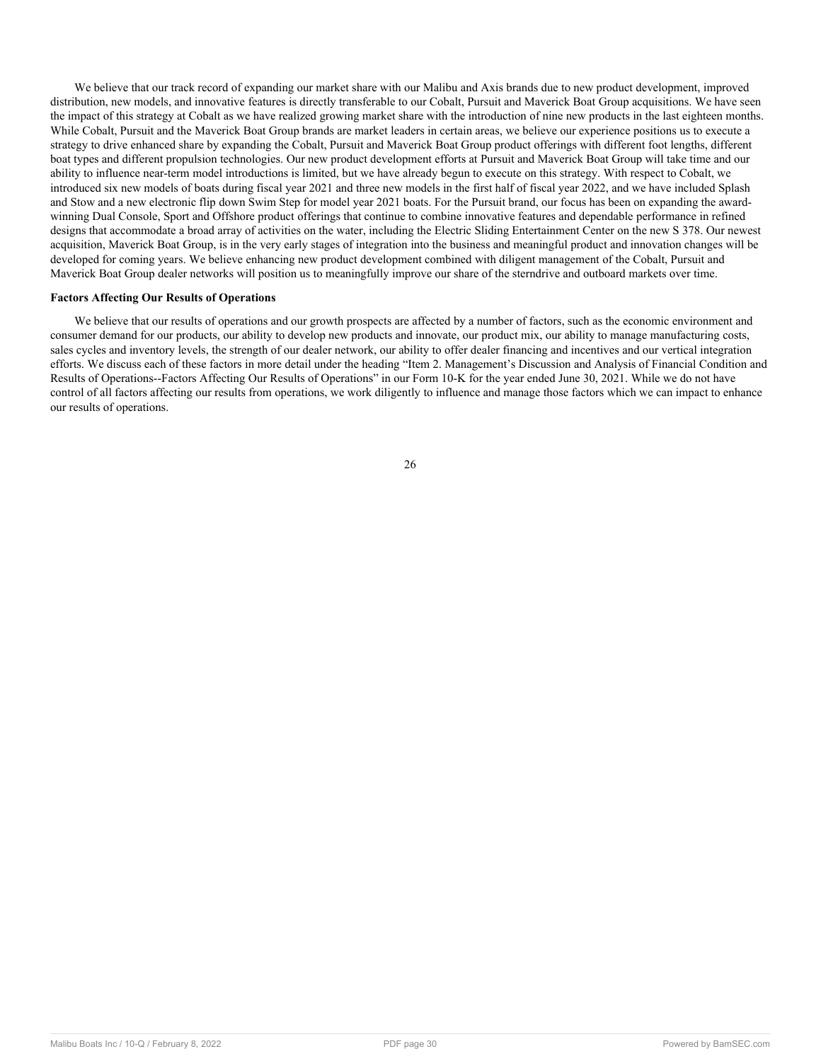We believe that our track record of expanding our market share with our Malibu and Axis brands due to new product development, improved distribution, new models, and innovative features is directly transferable to our Cobalt, Pursuit and Maverick Boat Group acquisitions. We have seen the impact of this strategy at Cobalt as we have realized growing market share with the introduction of nine new products in the last eighteen months. While Cobalt, Pursuit and the Maverick Boat Group brands are market leaders in certain areas, we believe our experience positions us to execute a strategy to drive enhanced share by expanding the Cobalt, Pursuit and Maverick Boat Group product offerings with different foot lengths, different boat types and different propulsion technologies. Our new product development efforts at Pursuit and Maverick Boat Group will take time and our ability to influence near-term model introductions is limited, but we have already begun to execute on this strategy. With respect to Cobalt, we introduced six new models of boats during fiscal year 2021 and three new models in the first half of fiscal year 2022, and we have included Splash and Stow and a new electronic flip down Swim Step for model year 2021 boats. For the Pursuit brand, our focus has been on expanding the awardwinning Dual Console, Sport and Offshore product offerings that continue to combine innovative features and dependable performance in refined designs that accommodate a broad array of activities on the water, including the Electric Sliding Entertainment Center on the new S 378. Our newest acquisition, Maverick Boat Group, is in the very early stages of integration into the business and meaningful product and innovation changes will be developed for coming years. We believe enhancing new product development combined with diligent management of the Cobalt, Pursuit and Maverick Boat Group dealer networks will position us to meaningfully improve our share of the sterndrive and outboard markets over time.

#### **Factors Affecting Our Results of Operations**

We believe that our results of operations and our growth prospects are affected by a number of factors, such as the economic environment and consumer demand for our products, our ability to develop new products and innovate, our product mix, our ability to manage manufacturing costs, sales cycles and inventory levels, the strength of our dealer network, our ability to offer dealer financing and incentives and our vertical integration efforts. We discuss each of these factors in more detail under the heading "Item 2. Management's Discussion and Analysis of Financial Condition and Results of Operations--Factors Affecting Our Results of Operations" in our Form 10-K for the year ended June 30, 2021. While we do not have control of all factors affecting our results from operations, we work diligently to influence and manage those factors which we can impact to enhance our results of operations.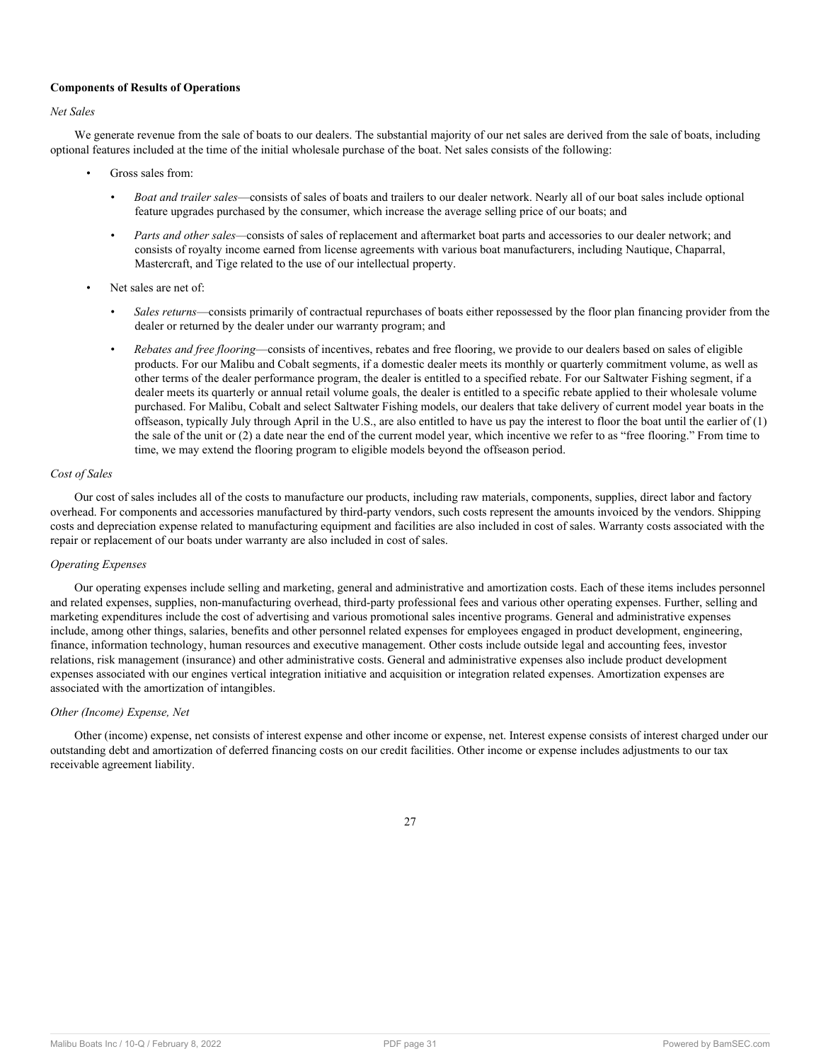## **Components of Results of Operations**

## *Net Sales*

We generate revenue from the sale of boats to our dealers. The substantial majority of our net sales are derived from the sale of boats, including optional features included at the time of the initial wholesale purchase of the boat. Net sales consists of the following:

- Gross sales from:
	- *Boat and trailer sales*—consists of sales of boats and trailers to our dealer network. Nearly all of our boat sales include optional feature upgrades purchased by the consumer, which increase the average selling price of our boats; and
	- *Parts and other sales—*consists of sales of replacement and aftermarket boat parts and accessories to our dealer network; and consists of royalty income earned from license agreements with various boat manufacturers, including Nautique, Chaparral, Mastercraft, and Tige related to the use of our intellectual property.
- Net sales are net of:
	- *Sales returns*—consists primarily of contractual repurchases of boats either repossessed by the floor plan financing provider from the dealer or returned by the dealer under our warranty program; and
	- *Rebates and free flooring*—consists of incentives, rebates and free flooring, we provide to our dealers based on sales of eligible products. For our Malibu and Cobalt segments, if a domestic dealer meets its monthly or quarterly commitment volume, as well as other terms of the dealer performance program, the dealer is entitled to a specified rebate. For our Saltwater Fishing segment, if a dealer meets its quarterly or annual retail volume goals, the dealer is entitled to a specific rebate applied to their wholesale volume purchased. For Malibu, Cobalt and select Saltwater Fishing models, our dealers that take delivery of current model year boats in the offseason, typically July through April in the U.S., are also entitled to have us pay the interest to floor the boat until the earlier of (1) the sale of the unit or (2) a date near the end of the current model year, which incentive we refer to as "free flooring." From time to time, we may extend the flooring program to eligible models beyond the offseason period.

## *Cost of Sales*

Our cost of sales includes all of the costs to manufacture our products, including raw materials, components, supplies, direct labor and factory overhead. For components and accessories manufactured by third-party vendors, such costs represent the amounts invoiced by the vendors. Shipping costs and depreciation expense related to manufacturing equipment and facilities are also included in cost of sales. Warranty costs associated with the repair or replacement of our boats under warranty are also included in cost of sales.

## *Operating Expenses*

Our operating expenses include selling and marketing, general and administrative and amortization costs. Each of these items includes personnel and related expenses, supplies, non-manufacturing overhead, third-party professional fees and various other operating expenses. Further, selling and marketing expenditures include the cost of advertising and various promotional sales incentive programs. General and administrative expenses include, among other things, salaries, benefits and other personnel related expenses for employees engaged in product development, engineering, finance, information technology, human resources and executive management. Other costs include outside legal and accounting fees, investor relations, risk management (insurance) and other administrative costs. General and administrative expenses also include product development expenses associated with our engines vertical integration initiative and acquisition or integration related expenses. Amortization expenses are associated with the amortization of intangibles.

## *Other (Income) Expense, Net*

Other (income) expense, net consists of interest expense and other income or expense, net. Interest expense consists of interest charged under our outstanding debt and amortization of deferred financing costs on our credit facilities. Other income or expense includes adjustments to our tax receivable agreement liability.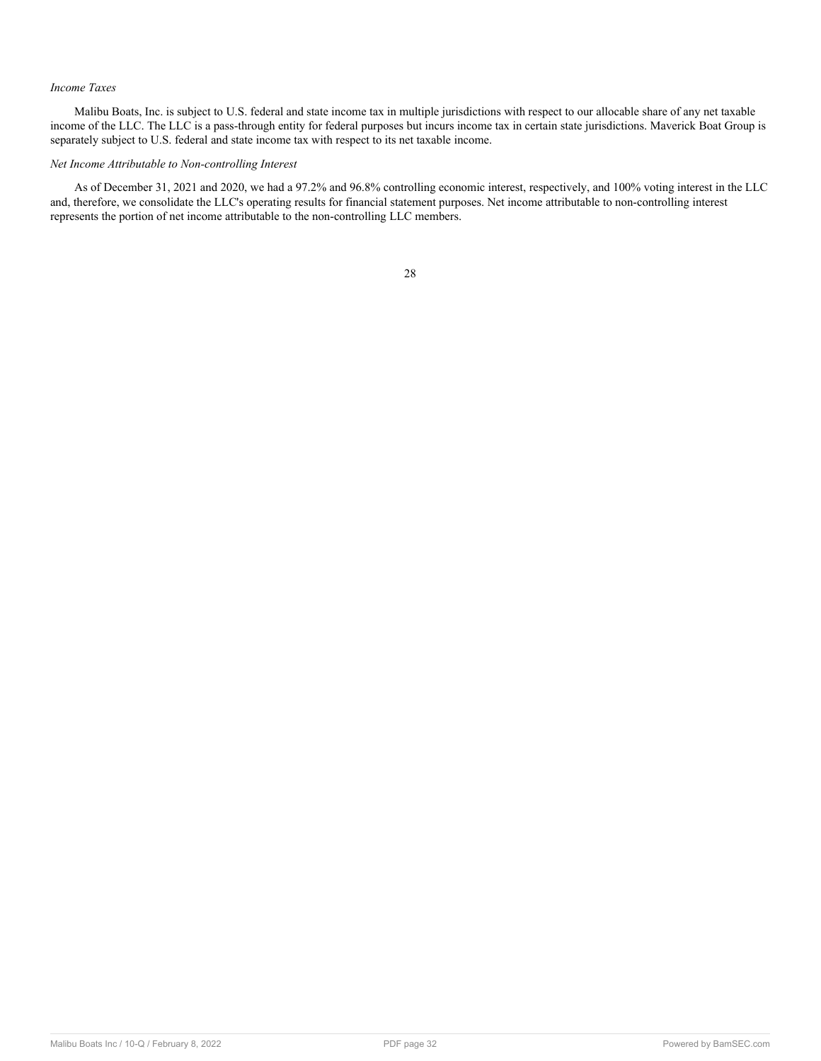## *Income Taxes*

Malibu Boats, Inc. is subject to U.S. federal and state income tax in multiple jurisdictions with respect to our allocable share of any net taxable income of the LLC. The LLC is a pass-through entity for federal purposes but incurs income tax in certain state jurisdictions. Maverick Boat Group is separately subject to U.S. federal and state income tax with respect to its net taxable income.

## *Net Income Attributable to Non-controlling Interest*

As of December 31, 2021 and 2020, we had a 97.2% and 96.8% controlling economic interest, respectively, and 100% voting interest in the LLC and, therefore, we consolidate the LLC's operating results for financial statement purposes. Net income attributable to non-controlling interest represents the portion of net income attributable to the non-controlling LLC members.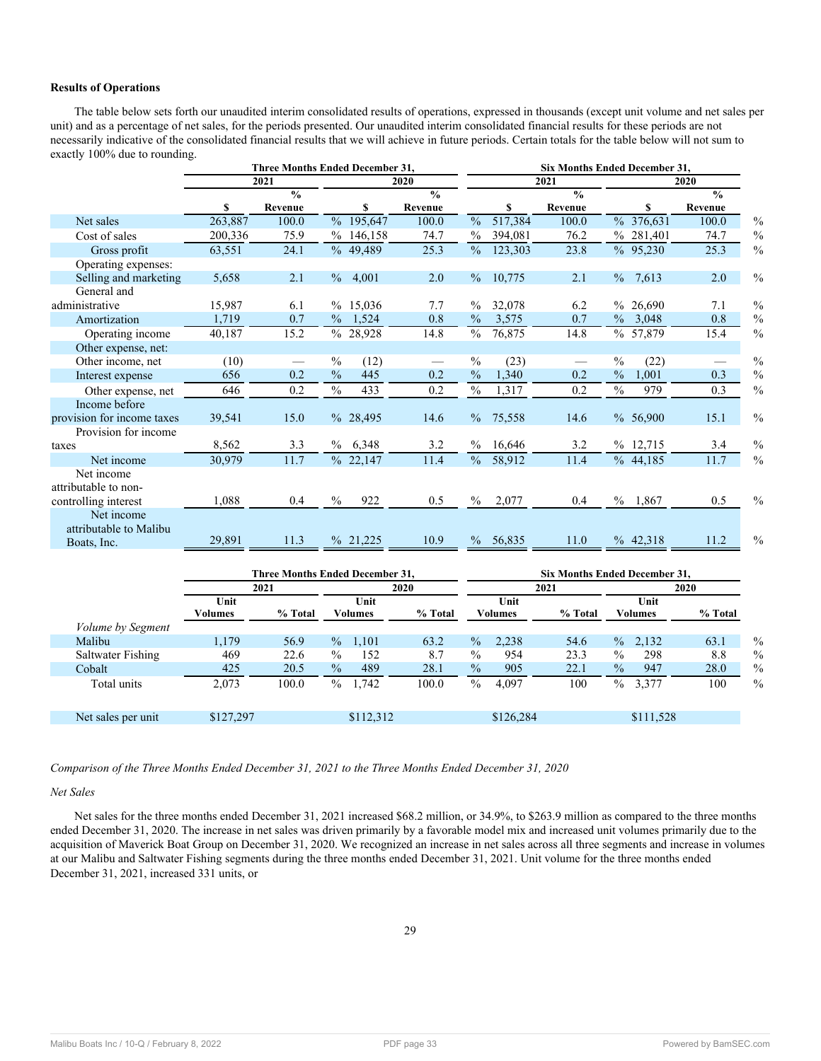## **Results of Operations**

The table below sets forth our unaudited interim consolidated results of operations, expressed in thousands (except unit volume and net sales per unit) and as a percentage of net sales, for the periods presented. Our unaudited interim consolidated financial results for these periods are not necessarily indicative of the consolidated financial results that we will achieve in future periods. Certain totals for the table below will not sum to exactly 100% due to rounding.

|                            |         | <b>Three Months Ended December 31,</b> |               |           |               | Six Months Ended December 31, |             |                          |               |            |               |               |
|----------------------------|---------|----------------------------------------|---------------|-----------|---------------|-------------------------------|-------------|--------------------------|---------------|------------|---------------|---------------|
|                            |         | 2021                                   |               |           | 2020          |                               |             | 2021                     |               |            | 2020          |               |
|                            |         | $\overline{\frac{0}{0}}$               |               |           | $\frac{0}{0}$ |                               |             | $\overline{\frac{0}{0}}$ |               |            | $\frac{0}{0}$ |               |
|                            | S       | Revenue                                |               | \$        | Revenue       |                               | S           | Revenue                  |               | S          | Revenue       |               |
| Net sales                  | 263,887 | 100.0                                  |               | % 195,647 | 100.0         | $\frac{0}{0}$                 | 517,384     | 100.0                    |               | % 376,631  | 100.0         | $\frac{0}{0}$ |
| Cost of sales              | 200,336 | 75.9                                   |               | % 146,158 | 74.7          | $\frac{0}{0}$                 | 394,081     | 76.2                     |               | % 281,401  | 74.7          | $\frac{0}{0}$ |
| Gross profit               | 63,551  | 24.1                                   |               | % 49,489  | 25.3          | $\%$                          | 123,303     | 23.8                     |               | %95,230    | 25.3          | $\frac{0}{0}$ |
| Operating expenses:        |         |                                        |               |           |               |                               |             |                          |               |            |               |               |
| Selling and marketing      | 5,658   | 2.1                                    |               | % 4,001   | 2.0           | $\%$                          | 10,775      | 2.1                      |               | $\%$ 7,613 | 2.0           | $\frac{0}{0}$ |
| General and                |         |                                        |               |           |               |                               |             |                          |               |            |               |               |
| administrative             | 15,987  | 6.1                                    |               | % 15,036  | 7.7           | $\frac{0}{0}$                 | 32,078      | 6.2                      | $\%$          | 26,690     | 7.1           | $\frac{0}{0}$ |
| Amortization               | 1,719   | 0.7                                    |               | % 1,524   | 0.8           | $\frac{0}{0}$                 | 3,575       | 0.7                      |               | $\%$ 3,048 | 0.8           | $\frac{0}{0}$ |
| Operating income           | 40,187  | 15.2                                   |               | % 28,928  | 14.8          | $\%$                          | 76,875      | 14.8                     |               | % 57,879   | 15.4          | $\frac{0}{0}$ |
| Other expense, net:        |         |                                        |               |           |               |                               |             |                          |               |            |               |               |
| Other income, net          | (10)    |                                        | $\frac{0}{0}$ | (12)      |               | $\frac{0}{0}$                 | (23)        |                          | $\frac{0}{0}$ | (22)       |               | $\frac{0}{0}$ |
| Interest expense           | 656     | 0.2                                    | $\frac{0}{0}$ | 445       | 0.2           | $\frac{0}{0}$                 | 1,340       | 0.2                      | $\frac{0}{0}$ | 1,001      | 0.3           | $\frac{0}{0}$ |
| Other expense, net         | 646     | 0.2                                    | $\frac{0}{0}$ | 433       | 0.2           | $\%$                          | 1,317       | 0.2                      | $\%$          | 979        | 0.3           | $\frac{0}{0}$ |
| Income before              |         |                                        |               |           |               |                               |             |                          |               |            |               |               |
| provision for income taxes | 39,541  | 15.0                                   |               | % 28,495  | 14.6          | $\%$                          | 75,558      | 14.6                     |               | % 56,900   | 15.1          | $\frac{0}{0}$ |
| Provision for income       |         |                                        |               |           |               |                               |             |                          |               |            |               |               |
| taxes                      | 8,562   | 3.3                                    |               | % 6,348   | 3.2           |                               | $\%$ 16,646 | 3.2                      |               | % 12,715   | 3.4           | $\frac{0}{0}$ |
| Net income                 | 30,979  | 11.7                                   |               | % 22,147  | 11.4          | $\%$                          | 58,912      | 11.4                     |               | % 44,185   | 11.7          | $\frac{0}{0}$ |
| Net income                 |         |                                        |               |           |               |                               |             |                          |               |            |               |               |
| attributable to non-       |         |                                        |               |           |               |                               |             |                          |               |            |               |               |
| controlling interest       | 1,088   | 0.4                                    | $\frac{0}{0}$ | 922       | 0.5           | $\%$                          | 2,077       | 0.4                      | $\%$          | 1,867      | 0.5           | $\frac{0}{0}$ |
| Net income                 |         |                                        |               |           |               |                               |             |                          |               |            |               |               |
| attributable to Malibu     |         |                                        |               |           |               |                               |             |                          |               |            |               |               |
| Boats, Inc.                | 29,891  | 11.3                                   |               | % 21,225  | 10.9          | $\%$                          | 56,835      | 11.0                     |               | % 42,318   | 11.2          | $\frac{0}{0}$ |
|                            |         |                                        |               |           |               |                               |             |                          |               |            |               |               |

|                          |                 | <b>Three Months Ended December 31,</b> |               |                 |         |               |                        | <b>Six Months Ended December 31.</b> |               |                 |         |  |  |
|--------------------------|-----------------|----------------------------------------|---------------|-----------------|---------|---------------|------------------------|--------------------------------------|---------------|-----------------|---------|--|--|
|                          | 2021            |                                        | 2020          |                 |         |               | 2021                   |                                      |               | 2020            |         |  |  |
|                          | Unit<br>Volumes | % Total                                |               | Unit<br>Volumes | % Total |               | Unit<br><b>Volumes</b> | % Total                              |               | Unit<br>Volumes | % Total |  |  |
| <i>Volume by Segment</i> |                 |                                        |               |                 |         |               |                        |                                      |               |                 |         |  |  |
| Malibu                   | 1,179           | 56.9                                   | $\frac{0}{6}$ | 1,101           | 63.2    | $\%$          | 2,238                  | 54.6                                 | $\%$          | 2,132           | 63.1    |  |  |
| Saltwater Fishing        | 469             | 22.6                                   | $\%$          | 152             | 8.7     | $\%$          | 954                    | 23.3                                 | $\frac{0}{0}$ | 298             | 8.8     |  |  |
| Cobalt                   | 425             | 20.5                                   | $\frac{0}{0}$ | 489             | 28.1    | $\frac{0}{0}$ | 905                    | 22.1                                 | $\frac{0}{0}$ | 947             | 28.0    |  |  |
| Total units              | 2.073           | 100.0                                  | $\%$          | 1,742           | 100.0   | $\%$          | 4.097                  | 100                                  | $\frac{0}{0}$ | 3,377           | 100     |  |  |
| Net sales per unit       | \$127,297       |                                        |               | \$112,312       |         |               | \$126,284              |                                      |               | \$111,528       |         |  |  |

*Comparison of the Three Months Ended December 31, 2021 to the Three Months Ended December 31, 2020*

## *Net Sales*

Net sales for the three months ended December 31, 2021 increased \$68.2 million, or 34.9%, to \$263.9 million as compared to the three months ended December 31, 2020. The increase in net sales was driven primarily by a favorable model mix and increased unit volumes primarily due to the acquisition of Maverick Boat Group on December 31, 2020. We recognized an increase in net sales across all three segments and increase in volumes at our Malibu and Saltwater Fishing segments during the three months ended December 31, 2021. Unit volume for the three months ended December 31, 2021, increased 331 units, or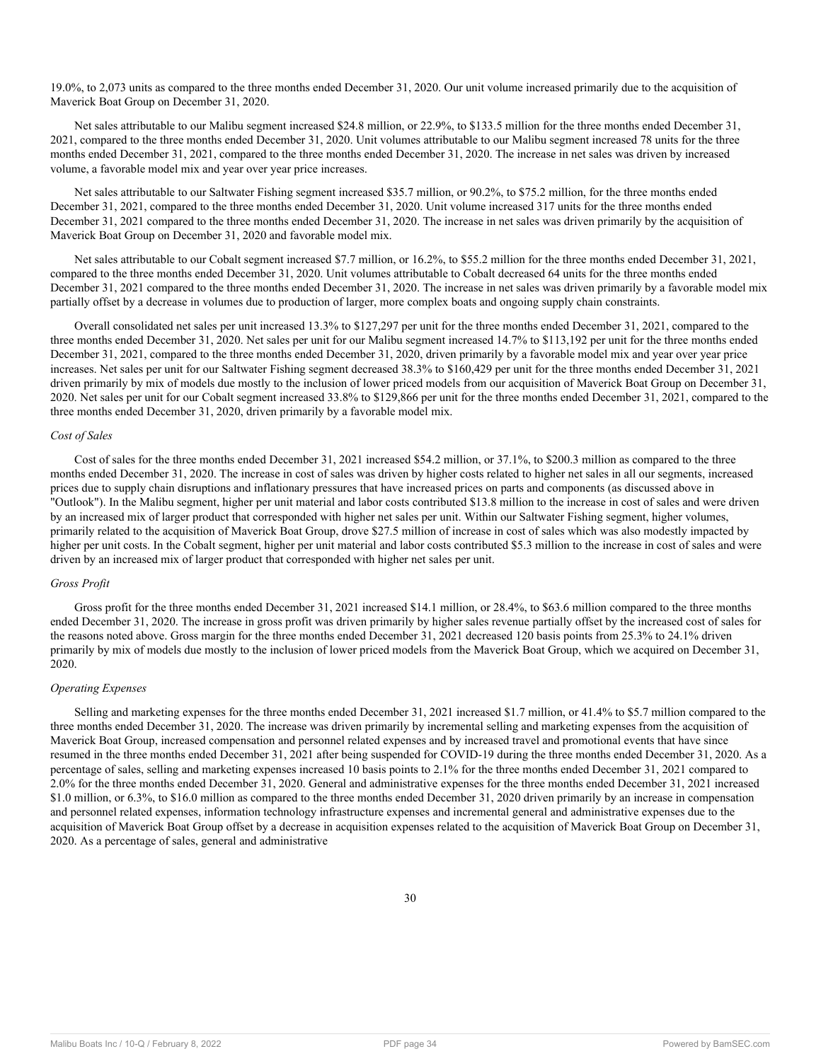19.0%, to 2,073 units as compared to the three months ended December 31, 2020. Our unit volume increased primarily due to the acquisition of Maverick Boat Group on December 31, 2020.

Net sales attributable to our Malibu segment increased \$24.8 million, or 22.9%, to \$133.5 million for the three months ended December 31, 2021, compared to the three months ended December 31, 2020. Unit volumes attributable to our Malibu segment increased 78 units for the three months ended December 31, 2021, compared to the three months ended December 31, 2020. The increase in net sales was driven by increased volume, a favorable model mix and year over year price increases.

Net sales attributable to our Saltwater Fishing segment increased \$35.7 million, or 90.2%, to \$75.2 million, for the three months ended December 31, 2021, compared to the three months ended December 31, 2020. Unit volume increased 317 units for the three months ended December 31, 2021 compared to the three months ended December 31, 2020. The increase in net sales was driven primarily by the acquisition of Maverick Boat Group on December 31, 2020 and favorable model mix.

Net sales attributable to our Cobalt segment increased \$7.7 million, or 16.2%, to \$55.2 million for the three months ended December 31, 2021, compared to the three months ended December 31, 2020. Unit volumes attributable to Cobalt decreased 64 units for the three months ended December 31, 2021 compared to the three months ended December 31, 2020. The increase in net sales was driven primarily by a favorable model mix partially offset by a decrease in volumes due to production of larger, more complex boats and ongoing supply chain constraints.

Overall consolidated net sales per unit increased 13.3% to \$127,297 per unit for the three months ended December 31, 2021, compared to the three months ended December 31, 2020. Net sales per unit for our Malibu segment increased 14.7% to \$113,192 per unit for the three months ended December 31, 2021, compared to the three months ended December 31, 2020, driven primarily by a favorable model mix and year over year price increases. Net sales per unit for our Saltwater Fishing segment decreased 38.3% to \$160,429 per unit for the three months ended December 31, 2021 driven primarily by mix of models due mostly to the inclusion of lower priced models from our acquisition of Maverick Boat Group on December 31, 2020. Net sales per unit for our Cobalt segment increased 33.8% to \$129,866 per unit for the three months ended December 31, 2021, compared to the three months ended December 31, 2020, driven primarily by a favorable model mix.

#### *Cost of Sales*

Cost of sales for the three months ended December 31, 2021 increased \$54.2 million, or 37.1%, to \$200.3 million as compared to the three months ended December 31, 2020. The increase in cost of sales was driven by higher costs related to higher net sales in all our segments, increased prices due to supply chain disruptions and inflationary pressures that have increased prices on parts and components (as discussed above in "Outlook"). In the Malibu segment, higher per unit material and labor costs contributed \$13.8 million to the increase in cost of sales and were driven by an increased mix of larger product that corresponded with higher net sales per unit. Within our Saltwater Fishing segment, higher volumes, primarily related to the acquisition of Maverick Boat Group, drove \$27.5 million of increase in cost of sales which was also modestly impacted by higher per unit costs. In the Cobalt segment, higher per unit material and labor costs contributed \$5.3 million to the increase in cost of sales and were driven by an increased mix of larger product that corresponded with higher net sales per unit.

## *Gross Profit*

Gross profit for the three months ended December 31, 2021 increased \$14.1 million, or 28.4%, to \$63.6 million compared to the three months ended December 31, 2020. The increase in gross profit was driven primarily by higher sales revenue partially offset by the increased cost of sales for the reasons noted above. Gross margin for the three months ended December 31, 2021 decreased 120 basis points from 25.3% to 24.1% driven primarily by mix of models due mostly to the inclusion of lower priced models from the Maverick Boat Group, which we acquired on December 31, 2020.

## *Operating Expenses*

Selling and marketing expenses for the three months ended December 31, 2021 increased \$1.7 million, or 41.4% to \$5.7 million compared to the three months ended December 31, 2020. The increase was driven primarily by incremental selling and marketing expenses from the acquisition of Maverick Boat Group, increased compensation and personnel related expenses and by increased travel and promotional events that have since resumed in the three months ended December 31, 2021 after being suspended for COVID-19 during the three months ended December 31, 2020. As a percentage of sales, selling and marketing expenses increased 10 basis points to 2.1% for the three months ended December 31, 2021 compared to 2.0% for the three months ended December 31, 2020. General and administrative expenses for the three months ended December 31, 2021 increased \$1.0 million, or 6.3%, to \$16.0 million as compared to the three months ended December 31, 2020 driven primarily by an increase in compensation and personnel related expenses, information technology infrastructure expenses and incremental general and administrative expenses due to the acquisition of Maverick Boat Group offset by a decrease in acquisition expenses related to the acquisition of Maverick Boat Group on December 31, 2020. As a percentage of sales, general and administrative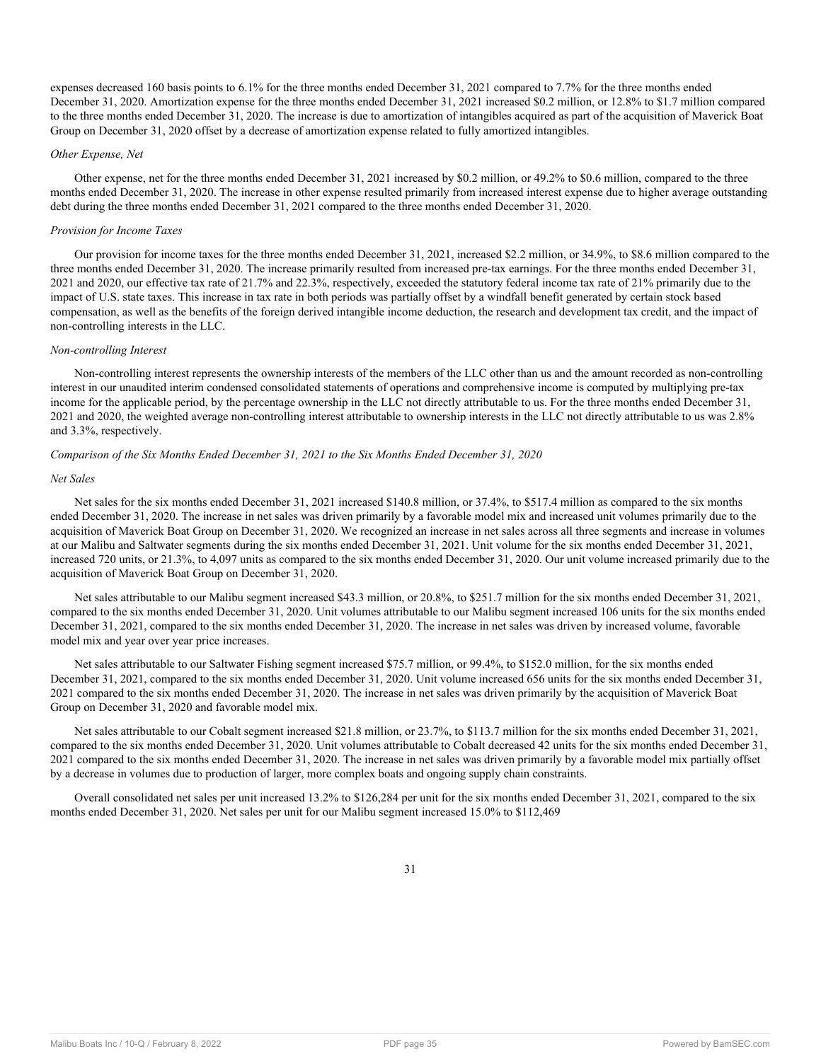expenses decreased 160 basis points to 6.1% for the three months ended December 31, 2021 compared to 7.7% for the three months ended December 31, 2020. Amortization expense for the three months ended December 31, 2021 increased \$0.2 million, or 12.8% to \$1.7 million compared to the three months ended December 31, 2020. The increase is due to amortization of intangibles acquired as part of the acquisition of Maverick Boat Group on December 31, 2020 offset by a decrease of amortization expense related to fully amortized intangibles.

#### *Other Expense, Net*

Other expense, net for the three months ended December 31, 2021 increased by \$0.2 million, or 49.2% to \$0.6 million, compared to the three months ended December 31, 2020. The increase in other expense resulted primarily from increased interest expense due to higher average outstanding debt during the three months ended December 31, 2021 compared to the three months ended December 31, 2020.

#### *Provision for Income Taxes*

Our provision for income taxes for the three months ended December 31, 2021, increased \$2.2 million, or 34.9%, to \$8.6 million compared to the three months ended December 31, 2020. The increase primarily resulted from increased pre-tax earnings. For the three months ended December 31, 2021 and 2020, our effective tax rate of 21.7% and 22.3%, respectively, exceeded the statutory federal income tax rate of 21% primarily due to the impact of U.S. state taxes. This increase in tax rate in both periods was partially offset by a windfall benefit generated by certain stock based compensation, as well as the benefits of the foreign derived intangible income deduction, the research and development tax credit, and the impact of non-controlling interests in the LLC.

#### *Non-controlling Interest*

Non-controlling interest represents the ownership interests of the members of the LLC other than us and the amount recorded as non-controlling interest in our unaudited interim condensed consolidated statements of operations and comprehensive income is computed by multiplying pre-tax income for the applicable period, by the percentage ownership in the LLC not directly attributable to us. For the three months ended December 31, 2021 and 2020, the weighted average non-controlling interest attributable to ownership interests in the LLC not directly attributable to us was 2.8% and 3.3%, respectively.

#### *Comparison of the Six Months Ended December 31, 2021 to the Six Months Ended December 31, 2020*

#### *Net Sales*

Net sales for the six months ended December 31, 2021 increased \$140.8 million, or 37.4%, to \$517.4 million as compared to the six months ended December 31, 2020. The increase in net sales was driven primarily by a favorable model mix and increased unit volumes primarily due to the acquisition of Maverick Boat Group on December 31, 2020. We recognized an increase in net sales across all three segments and increase in volumes at our Malibu and Saltwater segments during the six months ended December 31, 2021. Unit volume for the six months ended December 31, 2021, increased 720 units, or 21.3%, to 4,097 units as compared to the six months ended December 31, 2020. Our unit volume increased primarily due to the acquisition of Maverick Boat Group on December 31, 2020.

Net sales attributable to our Malibu segment increased \$43.3 million, or 20.8%, to \$251.7 million for the six months ended December 31, 2021, compared to the six months ended December 31, 2020. Unit volumes attributable to our Malibu segment increased 106 units for the six months ended December 31, 2021, compared to the six months ended December 31, 2020. The increase in net sales was driven by increased volume, favorable model mix and year over year price increases.

Net sales attributable to our Saltwater Fishing segment increased \$75.7 million, or 99.4%, to \$152.0 million, for the six months ended December 31, 2021, compared to the six months ended December 31, 2020. Unit volume increased 656 units for the six months ended December 31, 2021 compared to the six months ended December 31, 2020. The increase in net sales was driven primarily by the acquisition of Maverick Boat Group on December 31, 2020 and favorable model mix.

Net sales attributable to our Cobalt segment increased \$21.8 million, or 23.7%, to \$113.7 million for the six months ended December 31, 2021, compared to the six months ended December 31, 2020. Unit volumes attributable to Cobalt decreased 42 units for the six months ended December 31, 2021 compared to the six months ended December 31, 2020. The increase in net sales was driven primarily by a favorable model mix partially offset by a decrease in volumes due to production of larger, more complex boats and ongoing supply chain constraints.

Overall consolidated net sales per unit increased 13.2% to \$126,284 per unit for the six months ended December 31, 2021, compared to the six months ended December 31, 2020. Net sales per unit for our Malibu segment increased 15.0% to \$112,469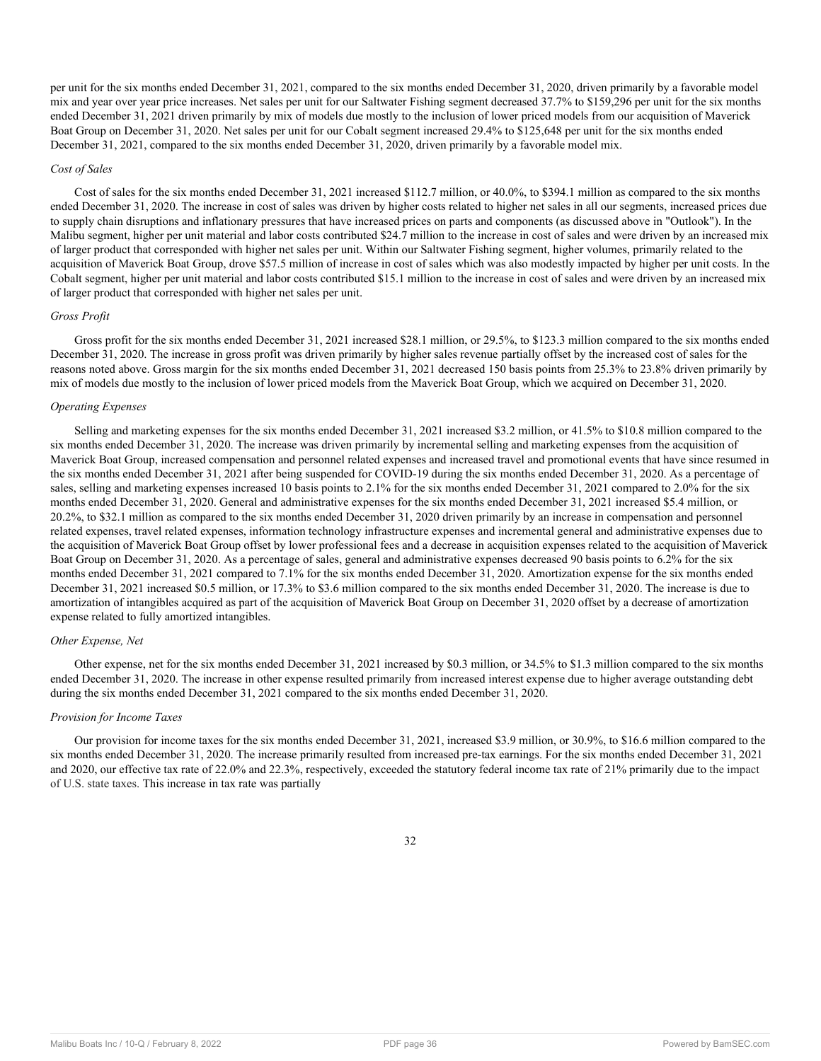per unit for the six months ended December 31, 2021, compared to the six months ended December 31, 2020, driven primarily by a favorable model mix and year over year price increases. Net sales per unit for our Saltwater Fishing segment decreased 37.7% to \$159,296 per unit for the six months ended December 31, 2021 driven primarily by mix of models due mostly to the inclusion of lower priced models from our acquisition of Maverick Boat Group on December 31, 2020. Net sales per unit for our Cobalt segment increased 29.4% to \$125,648 per unit for the six months ended December 31, 2021, compared to the six months ended December 31, 2020, driven primarily by a favorable model mix.

#### *Cost of Sales*

Cost of sales for the six months ended December 31, 2021 increased \$112.7 million, or 40.0%, to \$394.1 million as compared to the six months ended December 31, 2020. The increase in cost of sales was driven by higher costs related to higher net sales in all our segments, increased prices due to supply chain disruptions and inflationary pressures that have increased prices on parts and components (as discussed above in "Outlook"). In the Malibu segment, higher per unit material and labor costs contributed \$24.7 million to the increase in cost of sales and were driven by an increased mix of larger product that corresponded with higher net sales per unit. Within our Saltwater Fishing segment, higher volumes, primarily related to the acquisition of Maverick Boat Group, drove \$57.5 million of increase in cost of sales which was also modestly impacted by higher per unit costs. In the Cobalt segment, higher per unit material and labor costs contributed \$15.1 million to the increase in cost of sales and were driven by an increased mix of larger product that corresponded with higher net sales per unit.

#### *Gross Profit*

Gross profit for the six months ended December 31, 2021 increased \$28.1 million, or 29.5%, to \$123.3 million compared to the six months ended December 31, 2020. The increase in gross profit was driven primarily by higher sales revenue partially offset by the increased cost of sales for the reasons noted above. Gross margin for the six months ended December 31, 2021 decreased 150 basis points from 25.3% to 23.8% driven primarily by mix of models due mostly to the inclusion of lower priced models from the Maverick Boat Group, which we acquired on December 31, 2020.

## *Operating Expenses*

Selling and marketing expenses for the six months ended December 31, 2021 increased \$3.2 million, or 41.5% to \$10.8 million compared to the six months ended December 31, 2020. The increase was driven primarily by incremental selling and marketing expenses from the acquisition of Maverick Boat Group, increased compensation and personnel related expenses and increased travel and promotional events that have since resumed in the six months ended December 31, 2021 after being suspended for COVID-19 during the six months ended December 31, 2020. As a percentage of sales, selling and marketing expenses increased 10 basis points to 2.1% for the six months ended December 31, 2021 compared to 2.0% for the six months ended December 31, 2020. General and administrative expenses for the six months ended December 31, 2021 increased \$5.4 million, or 20.2%, to \$32.1 million as compared to the six months ended December 31, 2020 driven primarily by an increase in compensation and personnel related expenses, travel related expenses, information technology infrastructure expenses and incremental general and administrative expenses due to the acquisition of Maverick Boat Group offset by lower professional fees and a decrease in acquisition expenses related to the acquisition of Maverick Boat Group on December 31, 2020. As a percentage of sales, general and administrative expenses decreased 90 basis points to 6.2% for the six months ended December 31, 2021 compared to 7.1% for the six months ended December 31, 2020. Amortization expense for the six months ended December 31, 2021 increased \$0.5 million, or 17.3% to \$3.6 million compared to the six months ended December 31, 2020. The increase is due to amortization of intangibles acquired as part of the acquisition of Maverick Boat Group on December 31, 2020 offset by a decrease of amortization expense related to fully amortized intangibles.

#### *Other Expense, Net*

Other expense, net for the six months ended December 31, 2021 increased by \$0.3 million, or 34.5% to \$1.3 million compared to the six months ended December 31, 2020. The increase in other expense resulted primarily from increased interest expense due to higher average outstanding debt during the six months ended December 31, 2021 compared to the six months ended December 31, 2020.

## *Provision for Income Taxes*

Our provision for income taxes for the six months ended December 31, 2021, increased \$3.9 million, or 30.9%, to \$16.6 million compared to the six months ended December 31, 2020. The increase primarily resulted from increased pre-tax earnings. For the six months ended December 31, 2021 and 2020, our effective tax rate of 22.0% and 22.3%, respectively, exceeded the statutory federal income tax rate of 21% primarily due to the impact of U.S. state taxes. This increase in tax rate was partially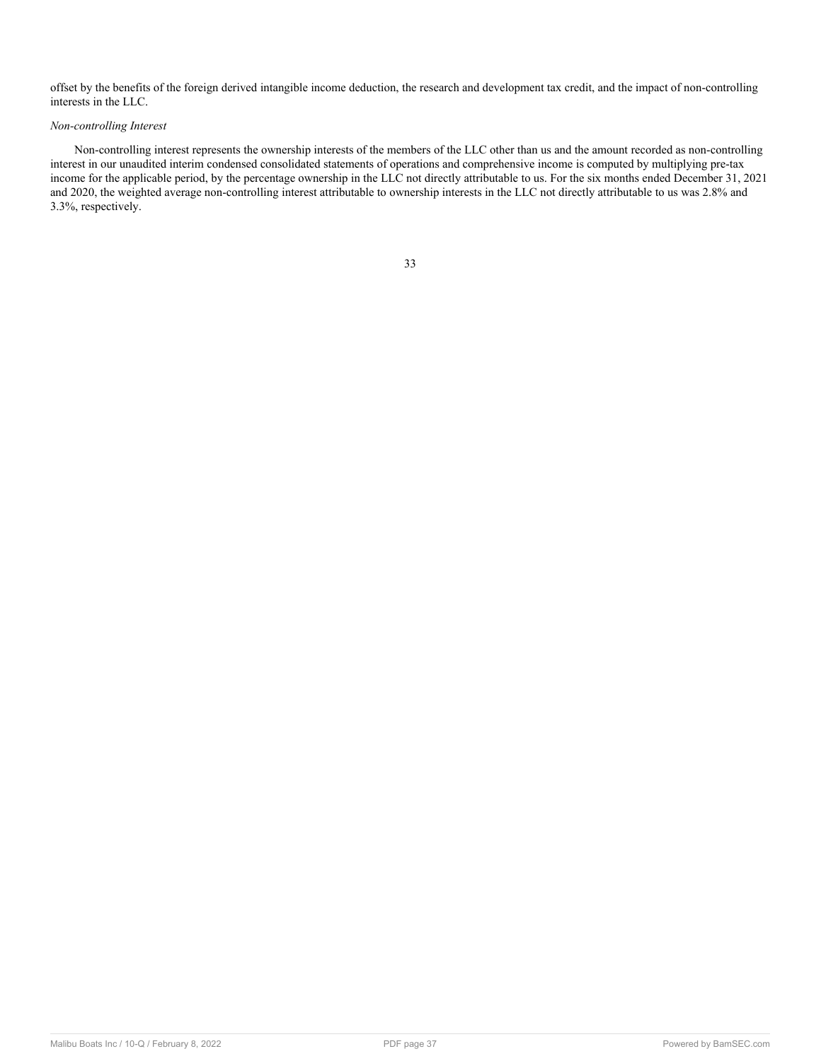offset by the benefits of the foreign derived intangible income deduction, the research and development tax credit, and the impact of non-controlling interests in the LLC.

## *Non-controlling Interest*

Non-controlling interest represents the ownership interests of the members of the LLC other than us and the amount recorded as non-controlling interest in our unaudited interim condensed consolidated statements of operations and comprehensive income is computed by multiplying pre-tax income for the applicable period, by the percentage ownership in the LLC not directly attributable to us. For the six months ended December 31, 2021 and 2020, the weighted average non-controlling interest attributable to ownership interests in the LLC not directly attributable to us was 2.8% and 3.3%, respectively.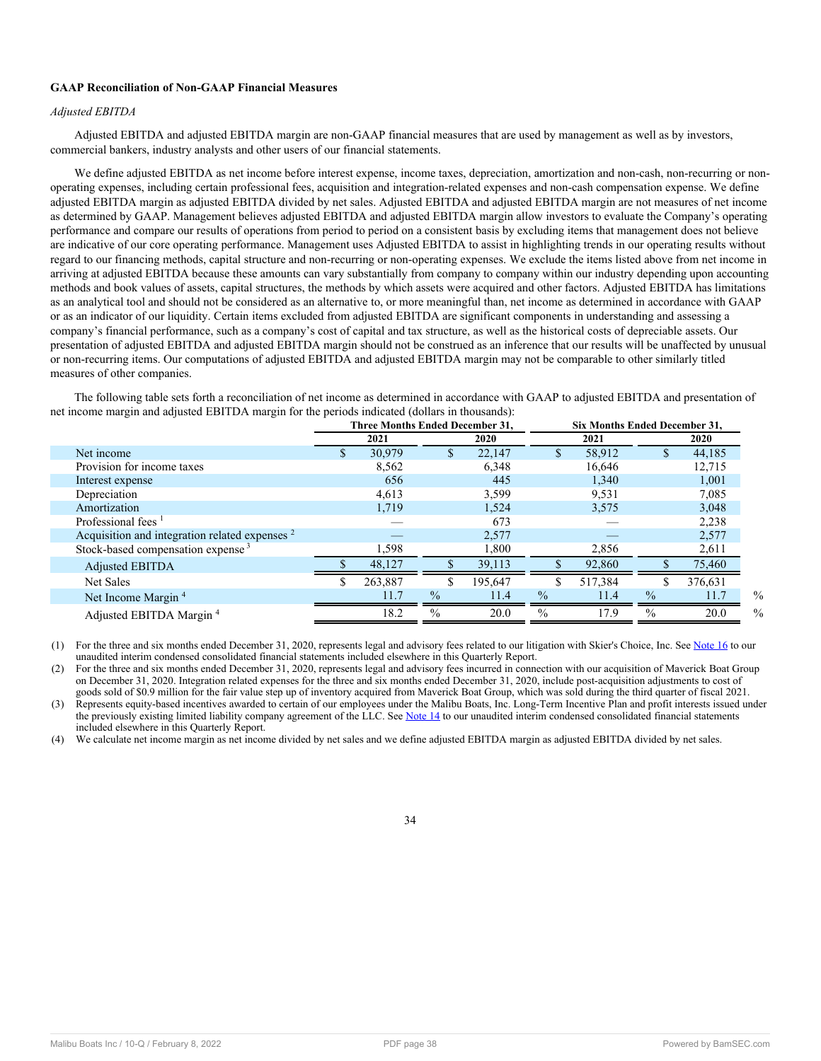## **GAAP Reconciliation of Non-GAAP Financial Measures**

## *Adjusted EBITDA*

Adjusted EBITDA and adjusted EBITDA margin are non-GAAP financial measures that are used by management as well as by investors, commercial bankers, industry analysts and other users of our financial statements.

We define adjusted EBITDA as net income before interest expense, income taxes, depreciation, amortization and non-cash, non-recurring or nonoperating expenses, including certain professional fees, acquisition and integration-related expenses and non-cash compensation expense. We define adjusted EBITDA margin as adjusted EBITDA divided by net sales. Adjusted EBITDA and adjusted EBITDA margin are not measures of net income as determined by GAAP. Management believes adjusted EBITDA and adjusted EBITDA margin allow investors to evaluate the Company's operating performance and compare our results of operations from period to period on a consistent basis by excluding items that management does not believe are indicative of our core operating performance. Management uses Adjusted EBITDA to assist in highlighting trends in our operating results without regard to our financing methods, capital structure and non-recurring or non-operating expenses. We exclude the items listed above from net income in arriving at adjusted EBITDA because these amounts can vary substantially from company to company within our industry depending upon accounting methods and book values of assets, capital structures, the methods by which assets were acquired and other factors. Adjusted EBITDA has limitations as an analytical tool and should not be considered as an alternative to, or more meaningful than, net income as determined in accordance with GAAP or as an indicator of our liquidity. Certain items excluded from adjusted EBITDA are significant components in understanding and assessing a company's financial performance, such as a company's cost of capital and tax structure, as well as the historical costs of depreciable assets. Our presentation of adjusted EBITDA and adjusted EBITDA margin should not be construed as an inference that our results will be unaffected by unusual or non-recurring items. Our computations of adjusted EBITDA and adjusted EBITDA margin may not be comparable to other similarly titled measures of other companies.

The following table sets forth a reconciliation of net income as determined in accordance with GAAP to adjusted EBITDA and presentation of net income margin and adjusted EBITDA margin for the periods indicated (dollars in thousands):

|                                                           | <b>Three Months Ended December 31,</b> |         |               |         |               | <b>Six Months Ended December 31,</b> |               |         |  |  |  |
|-----------------------------------------------------------|----------------------------------------|---------|---------------|---------|---------------|--------------------------------------|---------------|---------|--|--|--|
|                                                           |                                        | 2021    | <b>2020</b>   |         |               | 2021                                 |               | 2020    |  |  |  |
| Net income                                                |                                        | 30,979  |               | 22.147  | \$            | 58,912                               | \$            | 44,185  |  |  |  |
| Provision for income taxes                                |                                        | 8,562   |               | 6,348   |               | 16,646                               |               | 12,715  |  |  |  |
| Interest expense                                          |                                        | 656     |               | 445     |               | 1,340                                |               | 1,001   |  |  |  |
| Depreciation                                              |                                        | 4,613   |               | 3,599   |               | 9,531                                |               | 7,085   |  |  |  |
| Amortization                                              |                                        | 1,719   |               | 1,524   |               | 3,575                                |               | 3,048   |  |  |  |
| Professional fees $1$                                     |                                        |         |               | 673     |               |                                      |               | 2,238   |  |  |  |
| Acquisition and integration related expenses <sup>2</sup> |                                        |         |               | 2,577   |               |                                      |               | 2,577   |  |  |  |
| Stock-based compensation expense <sup>3</sup>             |                                        | 1.598   |               | 1,800   |               | 2,856                                |               | 2,611   |  |  |  |
| Adjusted EBITDA                                           |                                        | 48,127  |               | 39,113  |               | 92,860                               |               | 75,460  |  |  |  |
| Net Sales                                                 |                                        | 263,887 |               | 195,647 |               | 517,384                              |               | 376,631 |  |  |  |
| Net Income Margin <sup>4</sup>                            |                                        | 11.7    | $\frac{0}{0}$ | 11.4    | $\frac{0}{0}$ | 11.4                                 | $\%$          | 11.7    |  |  |  |
| Adjusted EBITDA Margin <sup>4</sup>                       |                                        | 18.2    | $\frac{0}{0}$ | 20.0    | $\frac{0}{0}$ | 17.9                                 | $\frac{0}{0}$ | 20.0    |  |  |  |
|                                                           |                                        |         |               |         |               |                                      |               |         |  |  |  |

(1) For the three and six months ended December 31, 2020, represents legal and advisory fees related to our litigation with Skier's Choice, Inc. See [Note 16](#page-22-0) to our unaudited interim condensed consolidated financial statements included elsewhere in this Quarterly Report.

(2) For the three and six months ended December 31, 2020, represents legal and advisory fees incurred in connection with our acquisition of Maverick Boat Group on December 31, 2020. Integration related expenses for the three and six months ended December 31, 2020, include post-acquisition adjustments to cost of goods sold of \$0.9 million for the fair value step up of inventory acquired from Maverick Boat Group, which was sold during the third quarter of fiscal 2021.

(3) Represents equity-based incentives awarded to certain of our employees under the Malibu Boats, Inc. Long-Term Incentive Plan and profit interests issued under the previously existing limited liability company agreement of the LLC. See [Note 14](#page-20-0) to our unaudited interim condensed consolidated financial statements included elsewhere in this Quarterly Report.

(4) We calculate net income margin as net income divided by net sales and we define adjusted EBITDA margin as adjusted EBITDA divided by net sales.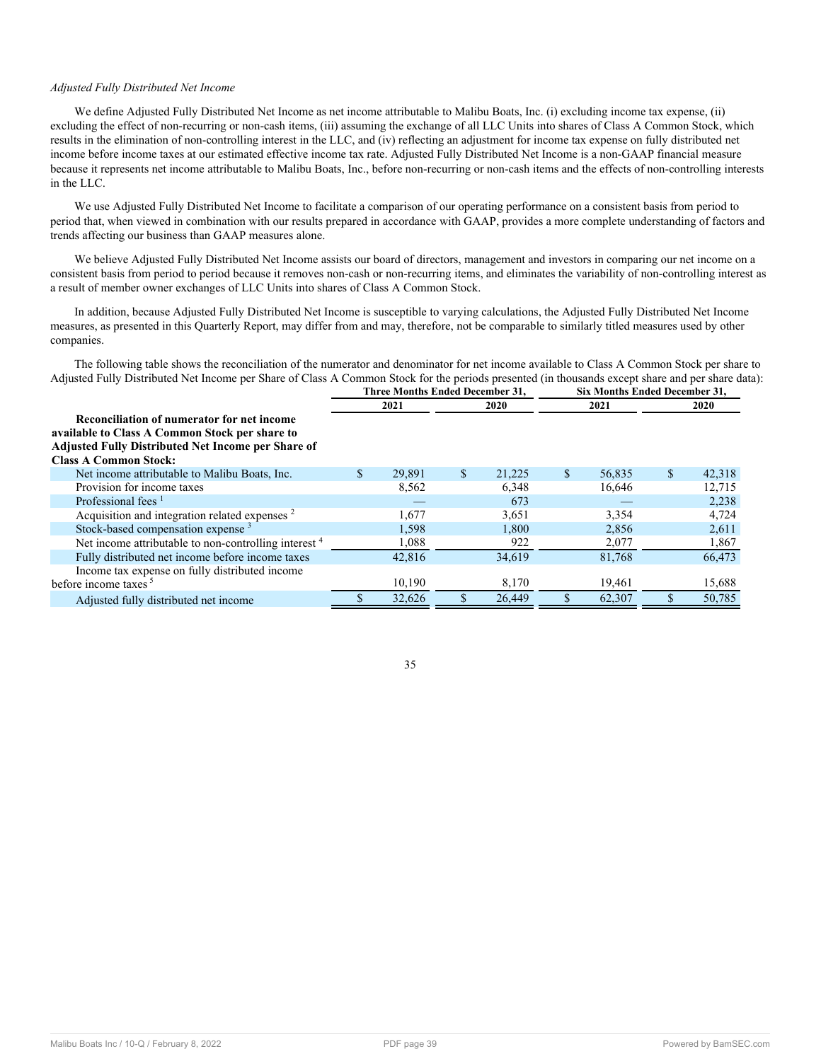## *Adjusted Fully Distributed Net Income*

We define Adjusted Fully Distributed Net Income as net income attributable to Malibu Boats, Inc. (i) excluding income tax expense, (ii) excluding the effect of non-recurring or non-cash items, (iii) assuming the exchange of all LLC Units into shares of Class A Common Stock, which results in the elimination of non-controlling interest in the LLC, and (iv) reflecting an adjustment for income tax expense on fully distributed net income before income taxes at our estimated effective income tax rate. Adjusted Fully Distributed Net Income is a non-GAAP financial measure because it represents net income attributable to Malibu Boats, Inc., before non-recurring or non-cash items and the effects of non-controlling interests in the LLC.

We use Adjusted Fully Distributed Net Income to facilitate a comparison of our operating performance on a consistent basis from period to period that, when viewed in combination with our results prepared in accordance with GAAP, provides a more complete understanding of factors and trends affecting our business than GAAP measures alone.

We believe Adjusted Fully Distributed Net Income assists our board of directors, management and investors in comparing our net income on a consistent basis from period to period because it removes non-cash or non-recurring items, and eliminates the variability of non-controlling interest as a result of member owner exchanges of LLC Units into shares of Class A Common Stock.

In addition, because Adjusted Fully Distributed Net Income is susceptible to varying calculations, the Adjusted Fully Distributed Net Income measures, as presented in this Quarterly Report, may differ from and may, therefore, not be comparable to similarly titled measures used by other companies.

The following table shows the reconciliation of the numerator and denominator for net income available to Class A Common Stock per share to Adjusted Fully Distributed Net Income per Share of Class A Common Stock for the periods presented (in thousands except share and per share data):

|                                                                                                                                                                                           | Three Months Ended December 31, |        |    |        |               | Six Months Ended December 31, |    |             |  |  |
|-------------------------------------------------------------------------------------------------------------------------------------------------------------------------------------------|---------------------------------|--------|----|--------|---------------|-------------------------------|----|-------------|--|--|
|                                                                                                                                                                                           | 2021                            |        |    | 2020   |               | 2021                          |    | <b>2020</b> |  |  |
| Reconciliation of numerator for net income<br>available to Class A Common Stock per share to<br><b>Adjusted Fully Distributed Net Income per Share of</b><br><b>Class A Common Stock:</b> |                                 |        |    |        |               |                               |    |             |  |  |
| Net income attributable to Malibu Boats, Inc.                                                                                                                                             | \$.                             | 29,891 | \$ | 21,225 | <sup>\$</sup> | 56,835                        | S. | 42,318      |  |  |
| Provision for income taxes                                                                                                                                                                |                                 | 8,562  |    | 6,348  |               | 16,646                        |    | 12,715      |  |  |
| Professional fees $1$                                                                                                                                                                     |                                 |        |    | 673    |               |                               |    | 2,238       |  |  |
| Acquisition and integration related expenses <sup>2</sup>                                                                                                                                 |                                 | 1,677  |    | 3,651  |               | 3,354                         |    | 4,724       |  |  |
| Stock-based compensation expense <sup>3</sup>                                                                                                                                             |                                 | 1,598  |    | 1,800  |               | 2,856                         |    | 2,611       |  |  |
| Net income attributable to non-controlling interest <sup>4</sup>                                                                                                                          |                                 | 1,088  |    | 922    |               | 2,077                         |    | 1,867       |  |  |
| Fully distributed net income before income taxes                                                                                                                                          |                                 | 42,816 |    | 34,619 |               | 81,768                        |    | 66,473      |  |  |
| Income tax expense on fully distributed income<br>before income taxes <sup>5</sup>                                                                                                        |                                 | 10,190 |    | 8,170  |               | 19,461                        |    | 15,688      |  |  |
| Adjusted fully distributed net income                                                                                                                                                     |                                 | 32,626 |    | 26,449 |               | 62,307                        |    | 50,785      |  |  |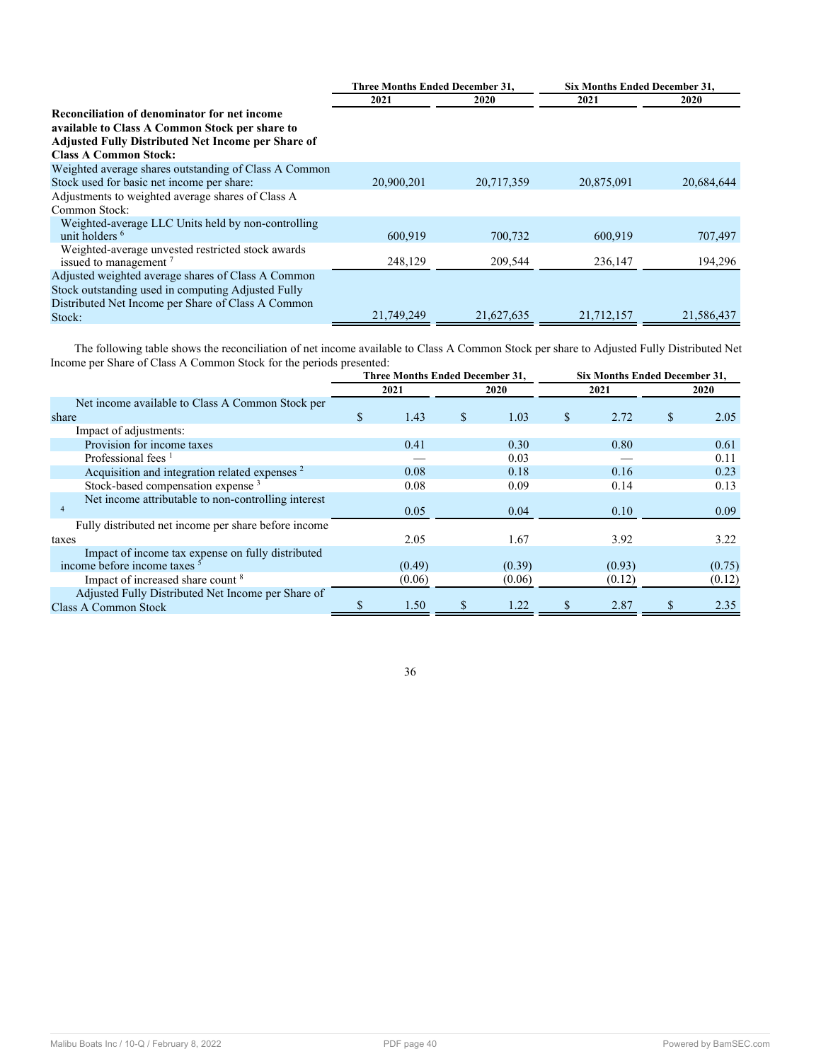|                                                           | <b>Three Months Ended December 31,</b> |            | <b>Six Months Ended December 31,</b> |            |  |
|-----------------------------------------------------------|----------------------------------------|------------|--------------------------------------|------------|--|
|                                                           | 2021                                   | 2020       | 2021                                 | 2020       |  |
| Reconciliation of denominator for net income              |                                        |            |                                      |            |  |
| available to Class A Common Stock per share to            |                                        |            |                                      |            |  |
| <b>Adjusted Fully Distributed Net Income per Share of</b> |                                        |            |                                      |            |  |
| <b>Class A Common Stock:</b>                              |                                        |            |                                      |            |  |
| Weighted average shares outstanding of Class A Common     |                                        |            |                                      |            |  |
| Stock used for basic net income per share:                | 20,900,201                             | 20,717,359 | 20,875,091                           | 20,684,644 |  |
| Adjustments to weighted average shares of Class A         |                                        |            |                                      |            |  |
| Common Stock:                                             |                                        |            |                                      |            |  |
| Weighted-average LLC Units held by non-controlling        |                                        |            |                                      |            |  |
| unit holders <sup>6</sup>                                 | 600,919                                | 700,732    | 600,919                              | 707,497    |  |
| Weighted-average unvested restricted stock awards         |                                        |            |                                      |            |  |
| issued to management <sup>7</sup>                         | 248,129                                | 209,544    | 236,147                              | 194,296    |  |
| Adjusted weighted average shares of Class A Common        |                                        |            |                                      |            |  |
| Stock outstanding used in computing Adjusted Fully        |                                        |            |                                      |            |  |
| Distributed Net Income per Share of Class A Common        |                                        |            |                                      |            |  |
| Stock:                                                    | 21,749,249                             | 21,627,635 | 21,712,157                           | 21,586,437 |  |

The following table shows the reconciliation of net income available to Class A Common Stock per share to Adjusted Fully Distributed Net Income per Share of Class A Common Stock for the periods presented:

|                                                           | Three Months Ended December 31, |        |   | Six Months Ended December 31, |    |        |    |             |  |
|-----------------------------------------------------------|---------------------------------|--------|---|-------------------------------|----|--------|----|-------------|--|
|                                                           | 2021                            |        |   | 2020                          |    | 2021   |    | <b>2020</b> |  |
| Net income available to Class A Common Stock per          |                                 |        |   |                               |    |        |    |             |  |
| share                                                     | \$.                             | 1.43   | S | 1.03                          | \$ | 2.72   | \$ | 2.05        |  |
| Impact of adjustments:                                    |                                 |        |   |                               |    |        |    |             |  |
| Provision for income taxes                                |                                 | 0.41   |   | 0.30                          |    | 0.80   |    | 0.61        |  |
| Professional fees <sup>1</sup>                            |                                 |        |   | 0.03                          |    |        |    | 0.11        |  |
| Acquisition and integration related expenses <sup>2</sup> |                                 | 0.08   |   | 0.18                          |    | 0.16   |    | 0.23        |  |
| Stock-based compensation expense <sup>3</sup>             |                                 | 0.08   |   | 0.09                          |    | 0.14   |    | 0.13        |  |
| Net income attributable to non-controlling interest       |                                 |        |   |                               |    |        |    |             |  |
|                                                           |                                 | 0.05   |   | 0.04                          |    | 0.10   |    | 0.09        |  |
| Fully distributed net income per share before income      |                                 |        |   |                               |    |        |    |             |  |
| taxes                                                     |                                 | 2.05   |   | 1.67                          |    | 3.92   |    | 3.22        |  |
| Impact of income tax expense on fully distributed         |                                 |        |   |                               |    |        |    |             |  |
| income before income taxes <sup>5</sup>                   |                                 | (0.49) |   | (0.39)                        |    | (0.93) |    | (0.75)      |  |
| Impact of increased share count <sup>8</sup>              |                                 | (0.06) |   | (0.06)                        |    | (0.12) |    | (0.12)      |  |
| Adjusted Fully Distributed Net Income per Share of        |                                 |        |   |                               |    |        |    |             |  |
| <b>Class A Common Stock</b>                               |                                 | 1.50   |   | 1.22                          |    | 2.87   |    | 2.35        |  |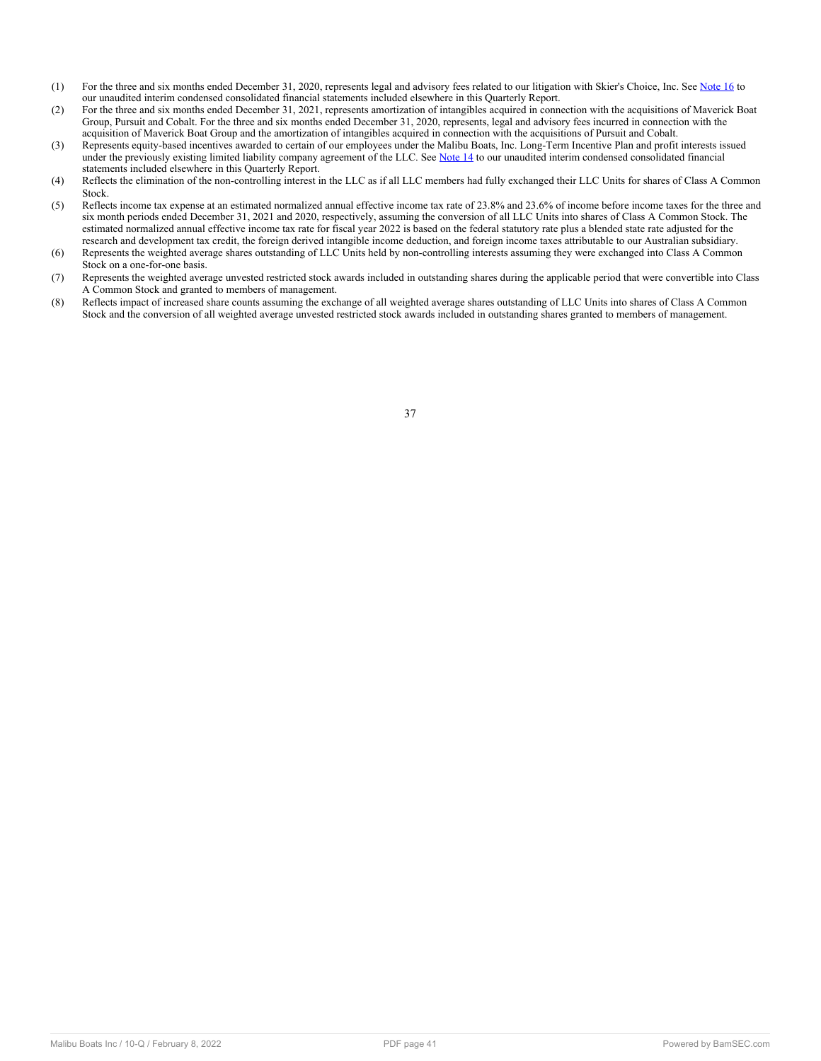- (1) For the three and six months ended December 31, 2020, represents legal and advisory fees related to our litigation with Skier's Choice, Inc. See [Note 16](#page-22-0) to our unaudited interim condensed consolidated financial statements included elsewhere in this Quarterly Report.
- (2) For the three and six months ended December 31, 2021, represents amortization of intangibles acquired in connection with the acquisitions of Maverick Boat Group, Pursuit and Cobalt. For the three and six months ended December 31, 2020, represents, legal and advisory fees incurred in connection with the acquisition of Maverick Boat Group and the amortization of intangibles acquired in connection with the acquisitions of Pursuit and Cobalt.
- (3) Represents equity-based incentives awarded to certain of our employees under the Malibu Boats, Inc. Long-Term Incentive Plan and profit interests issued under the previously existing limited liability company agreement of the LLC. See [Note 14](#page-20-0) to our unaudited interim condensed consolidated financial statements included elsewhere in this Quarterly Report.
- (4) Reflects the elimination of the non-controlling interest in the LLC as if all LLC members had fully exchanged their LLC Units for shares of Class A Common Stock.
- (5) Reflects income tax expense at an estimated normalized annual effective income tax rate of 23.8% and 23.6% of income before income taxes for the three and six month periods ended December 31, 2021 and 2020, respectively, assuming the conversion of all LLC Units into shares of Class A Common Stock. The estimated normalized annual effective income tax rate for fiscal year 2022 is based on the federal statutory rate plus a blended state rate adjusted for the research and development tax credit, the foreign derived intangible income deduction, and foreign income taxes attributable to our Australian subsidiary.
- (6) Represents the weighted average shares outstanding of LLC Units held by non-controlling interests assuming they were exchanged into Class A Common Stock on a one-for-one basis.
- (7) Represents the weighted average unvested restricted stock awards included in outstanding shares during the applicable period that were convertible into Class A Common Stock and granted to members of management.
- (8) Reflects impact of increased share counts assuming the exchange of all weighted average shares outstanding of LLC Units into shares of Class A Common Stock and the conversion of all weighted average unvested restricted stock awards included in outstanding shares granted to members of management.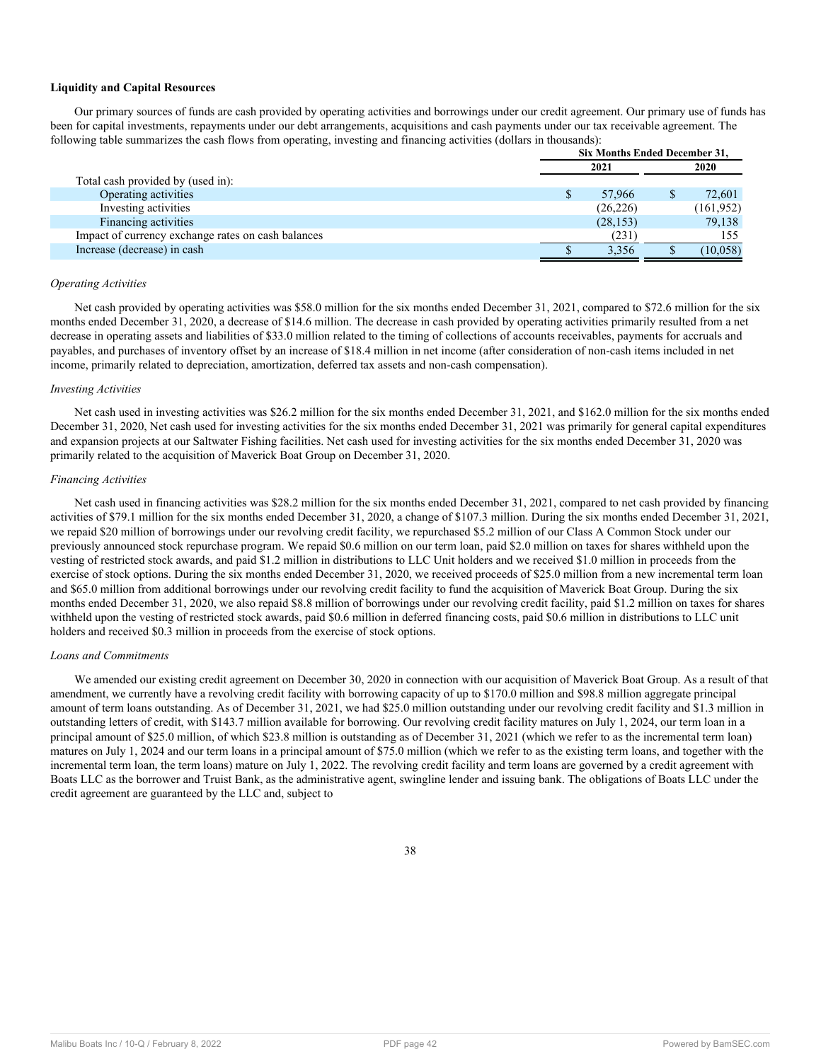## **Liquidity and Capital Resources**

Our primary sources of funds are cash provided by operating activities and borrowings under our credit agreement. Our primary use of funds has been for capital investments, repayments under our debt arrangements, acquisitions and cash payments under our tax receivable agreement. The following table summarizes the cash flows from operating, investing and financing activities (dollars in thousands):

|                                                    | Six Months Ended December 31, |  |            |  |
|----------------------------------------------------|-------------------------------|--|------------|--|
|                                                    | 2021                          |  | 2020       |  |
| Total cash provided by (used in):                  |                               |  |            |  |
| Operating activities                               | 57,966                        |  | 72.601     |  |
| Investing activities                               | (26, 226)                     |  | (161, 952) |  |
| Financing activities                               | (28, 153)                     |  | 79,138     |  |
| Impact of currency exchange rates on cash balances | (231)                         |  | 155        |  |
| Increase (decrease) in cash                        | 3,356                         |  | (10, 058)  |  |
|                                                    |                               |  |            |  |

#### *Operating Activities*

Net cash provided by operating activities was \$58.0 million for the six months ended December 31, 2021, compared to \$72.6 million for the six months ended December 31, 2020, a decrease of \$14.6 million. The decrease in cash provided by operating activities primarily resulted from a net decrease in operating assets and liabilities of \$33.0 million related to the timing of collections of accounts receivables, payments for accruals and payables, and purchases of inventory offset by an increase of \$18.4 million in net income (after consideration of non-cash items included in net income, primarily related to depreciation, amortization, deferred tax assets and non-cash compensation).

#### *Investing Activities*

Net cash used in investing activities was \$26.2 million for the six months ended December 31, 2021, and \$162.0 million for the six months ended December 31, 2020, Net cash used for investing activities for the six months ended December 31, 2021 was primarily for general capital expenditures and expansion projects at our Saltwater Fishing facilities. Net cash used for investing activities for the six months ended December 31, 2020 was primarily related to the acquisition of Maverick Boat Group on December 31, 2020.

#### *Financing Activities*

Net cash used in financing activities was \$28.2 million for the six months ended December 31, 2021, compared to net cash provided by financing activities of \$79.1 million for the six months ended December 31, 2020, a change of \$107.3 million. During the six months ended December 31, 2021, we repaid \$20 million of borrowings under our revolving credit facility, we repurchased \$5.2 million of our Class A Common Stock under our previously announced stock repurchase program. We repaid \$0.6 million on our term loan, paid \$2.0 million on taxes for shares withheld upon the vesting of restricted stock awards, and paid \$1.2 million in distributions to LLC Unit holders and we received \$1.0 million in proceeds from the exercise of stock options. During the six months ended December 31, 2020, we received proceeds of \$25.0 million from a new incremental term loan and \$65.0 million from additional borrowings under our revolving credit facility to fund the acquisition of Maverick Boat Group. During the six months ended December 31, 2020, we also repaid \$8.8 million of borrowings under our revolving credit facility, paid \$1.2 million on taxes for shares withheld upon the vesting of restricted stock awards, paid \$0.6 million in deferred financing costs, paid \$0.6 million in distributions to LLC unit holders and received \$0.3 million in proceeds from the exercise of stock options.

## *Loans and Commitments*

We amended our existing credit agreement on December 30, 2020 in connection with our acquisition of Maverick Boat Group. As a result of that amendment, we currently have a revolving credit facility with borrowing capacity of up to \$170.0 million and \$98.8 million aggregate principal amount of term loans outstanding. As of December 31, 2021, we had \$25.0 million outstanding under our revolving credit facility and \$1.3 million in outstanding letters of credit, with \$143.7 million available for borrowing. Our revolving credit facility matures on July 1, 2024, our term loan in a principal amount of \$25.0 million, of which \$23.8 million is outstanding as of December 31, 2021 (which we refer to as the incremental term loan) matures on July 1, 2024 and our term loans in a principal amount of \$75.0 million (which we refer to as the existing term loans, and together with the incremental term loan, the term loans) mature on July 1, 2022. The revolving credit facility and term loans are governed by a credit agreement with Boats LLC as the borrower and Truist Bank, as the administrative agent, swingline lender and issuing bank. The obligations of Boats LLC under the credit agreement are guaranteed by the LLC and, subject to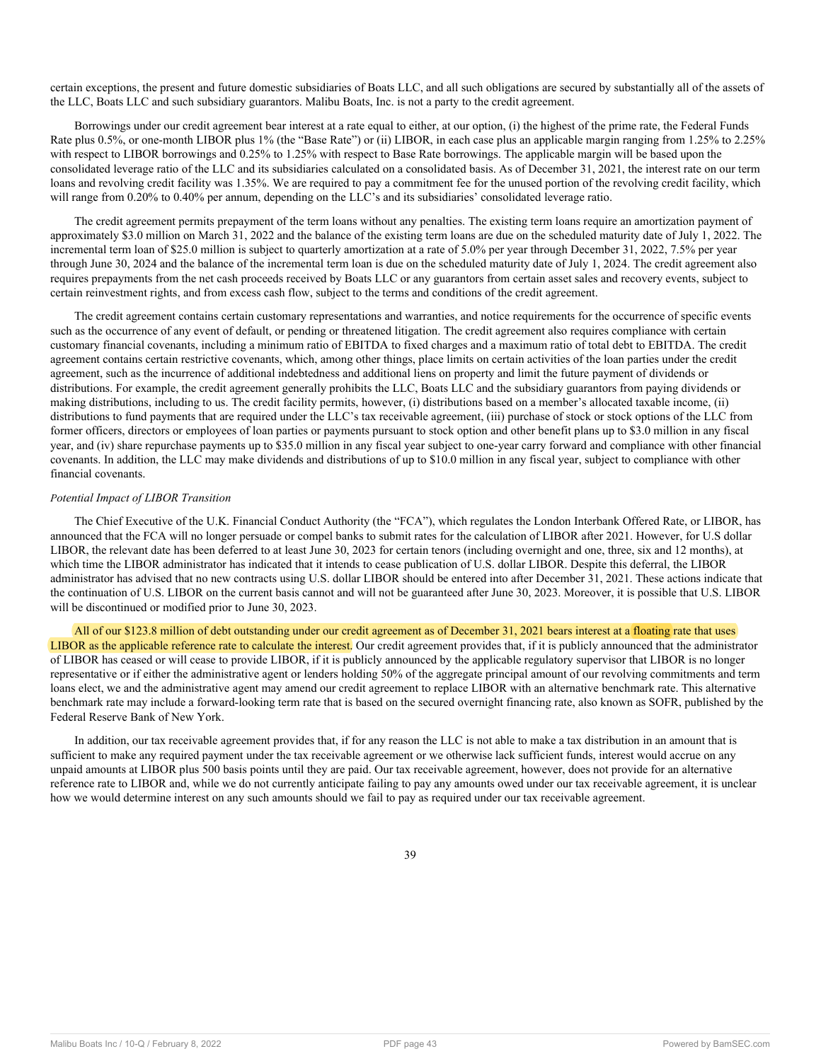certain exceptions, the present and future domestic subsidiaries of Boats LLC, and all such obligations are secured by substantially all of the assets of the LLC, Boats LLC and such subsidiary guarantors. Malibu Boats, Inc. is not a party to the credit agreement.

Borrowings under our credit agreement bear interest at a rate equal to either, at our option, (i) the highest of the prime rate, the Federal Funds Rate plus 0.5%, or one-month LIBOR plus 1% (the "Base Rate") or (ii) LIBOR, in each case plus an applicable margin ranging from 1.25% to 2.25% with respect to LIBOR borrowings and 0.25% to 1.25% with respect to Base Rate borrowings. The applicable margin will be based upon the consolidated leverage ratio of the LLC and its subsidiaries calculated on a consolidated basis. As of December 31, 2021, the interest rate on our term loans and revolving credit facility was 1.35%. We are required to pay a commitment fee for the unused portion of the revolving credit facility, which will range from 0.20% to 0.40% per annum, depending on the LLC's and its subsidiaries' consolidated leverage ratio.

The credit agreement permits prepayment of the term loans without any penalties. The existing term loans require an amortization payment of approximately \$3.0 million on March 31, 2022 and the balance of the existing term loans are due on the scheduled maturity date of July 1, 2022. The incremental term loan of \$25.0 million is subject to quarterly amortization at a rate of 5.0% per year through December 31, 2022, 7.5% per year through June 30, 2024 and the balance of the incremental term loan is due on the scheduled maturity date of July 1, 2024. The credit agreement also requires prepayments from the net cash proceeds received by Boats LLC or any guarantors from certain asset sales and recovery events, subject to certain reinvestment rights, and from excess cash flow, subject to the terms and conditions of the credit agreement.

The credit agreement contains certain customary representations and warranties, and notice requirements for the occurrence of specific events such as the occurrence of any event of default, or pending or threatened litigation. The credit agreement also requires compliance with certain customary financial covenants, including a minimum ratio of EBITDA to fixed charges and a maximum ratio of total debt to EBITDA. The credit agreement contains certain restrictive covenants, which, among other things, place limits on certain activities of the loan parties under the credit agreement, such as the incurrence of additional indebtedness and additional liens on property and limit the future payment of dividends or distributions. For example, the credit agreement generally prohibits the LLC, Boats LLC and the subsidiary guarantors from paying dividends or making distributions, including to us. The credit facility permits, however, (i) distributions based on a member's allocated taxable income, (ii) distributions to fund payments that are required under the LLC's tax receivable agreement, (iii) purchase of stock or stock options of the LLC from former officers, directors or employees of loan parties or payments pursuant to stock option and other benefit plans up to \$3.0 million in any fiscal year, and (iv) share repurchase payments up to \$35.0 million in any fiscal year subject to one-year carry forward and compliance with other financial covenants. In addition, the LLC may make dividends and distributions of up to \$10.0 million in any fiscal year, subject to compliance with other financial covenants.

#### *Potential Impact of LIBOR Transition*

The Chief Executive of the U.K. Financial Conduct Authority (the "FCA"), which regulates the London Interbank Offered Rate, or LIBOR, has announced that the FCA will no longer persuade or compel banks to submit rates for the calculation of LIBOR after 2021. However, for U.S dollar LIBOR, the relevant date has been deferred to at least June 30, 2023 for certain tenors (including overnight and one, three, six and 12 months), at which time the LIBOR administrator has indicated that it intends to cease publication of U.S. dollar LIBOR. Despite this deferral, the LIBOR administrator has advised that no new contracts using U.S. dollar LIBOR should be entered into after December 31, 2021. These actions indicate that the continuation of U.S. LIBOR on the current basis cannot and will not be guaranteed after June 30, 2023. Moreover, it is possible that U.S. LIBOR will be discontinued or modified prior to June 30, 2023.

All of our \$123.8 million of debt outstanding under our credit agreement as of December 31, 2021 bears interest at a floating rate that uses LIBOR as the applicable reference rate to calculate the interest. Our credit agreement provides that, if it is publicly announced that the administrator of LIBOR has ceased or will cease to provide LIBOR, if it is publicly announced by the applicable regulatory supervisor that LIBOR is no longer representative or if either the administrative agent or lenders holding 50% of the aggregate principal amount of our revolving commitments and term loans elect, we and the administrative agent may amend our credit agreement to replace LIBOR with an alternative benchmark rate. This alternative benchmark rate may include a forward-looking term rate that is based on the secured overnight financing rate, also known as SOFR, published by the Federal Reserve Bank of New York.

In addition, our tax receivable agreement provides that, if for any reason the LLC is not able to make a tax distribution in an amount that is sufficient to make any required payment under the tax receivable agreement or we otherwise lack sufficient funds, interest would accrue on any unpaid amounts at LIBOR plus 500 basis points until they are paid. Our tax receivable agreement, however, does not provide for an alternative reference rate to LIBOR and, while we do not currently anticipate failing to pay any amounts owed under our tax receivable agreement, it is unclear how we would determine interest on any such amounts should we fail to pay as required under our tax receivable agreement.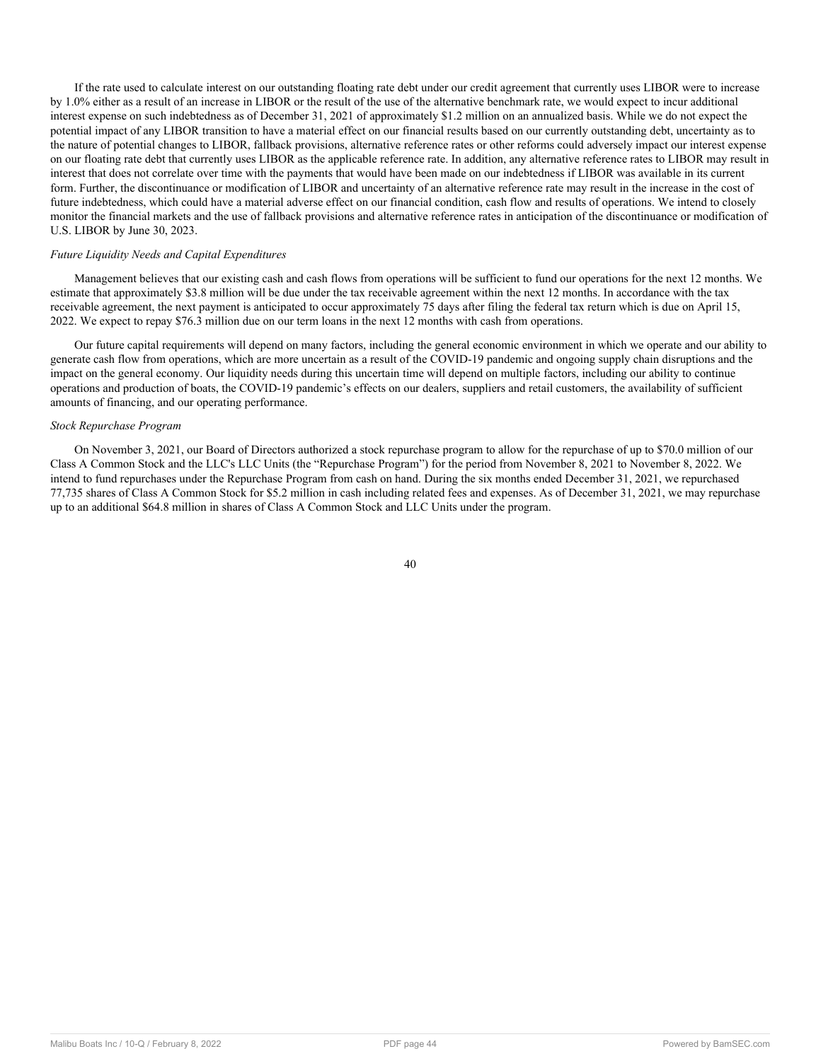If the rate used to calculate interest on our outstanding floating rate debt under our credit agreement that currently uses LIBOR were to increase by 1.0% either as a result of an increase in LIBOR or the result of the use of the alternative benchmark rate, we would expect to incur additional interest expense on such indebtedness as of December 31, 2021 of approximately \$1.2 million on an annualized basis. While we do not expect the potential impact of any LIBOR transition to have a material effect on our financial results based on our currently outstanding debt, uncertainty as to the nature of potential changes to LIBOR, fallback provisions, alternative reference rates or other reforms could adversely impact our interest expense on our floating rate debt that currently uses LIBOR as the applicable reference rate. In addition, any alternative reference rates to LIBOR may result in interest that does not correlate over time with the payments that would have been made on our indebtedness if LIBOR was available in its current form. Further, the discontinuance or modification of LIBOR and uncertainty of an alternative reference rate may result in the increase in the cost of future indebtedness, which could have a material adverse effect on our financial condition, cash flow and results of operations. We intend to closely monitor the financial markets and the use of fallback provisions and alternative reference rates in anticipation of the discontinuance or modification of U.S. LIBOR by June 30, 2023.

## *Future Liquidity Needs and Capital Expenditures*

Management believes that our existing cash and cash flows from operations will be sufficient to fund our operations for the next 12 months. We estimate that approximately \$3.8 million will be due under the tax receivable agreement within the next 12 months. In accordance with the tax receivable agreement, the next payment is anticipated to occur approximately 75 days after filing the federal tax return which is due on April 15, 2022. We expect to repay \$76.3 million due on our term loans in the next 12 months with cash from operations.

Our future capital requirements will depend on many factors, including the general economic environment in which we operate and our ability to generate cash flow from operations, which are more uncertain as a result of the COVID-19 pandemic and ongoing supply chain disruptions and the impact on the general economy. Our liquidity needs during this uncertain time will depend on multiple factors, including our ability to continue operations and production of boats, the COVID-19 pandemic's effects on our dealers, suppliers and retail customers, the availability of sufficient amounts of financing, and our operating performance.

#### *Stock Repurchase Program*

On November 3, 2021, our Board of Directors authorized a stock repurchase program to allow for the repurchase of up to \$70.0 million of our Class A Common Stock and the LLC's LLC Units (the "Repurchase Program") for the period from November 8, 2021 to November 8, 2022. We intend to fund repurchases under the Repurchase Program from cash on hand. During the six months ended December 31, 2021, we repurchased 77,735 shares of Class A Common Stock for \$5.2 million in cash including related fees and expenses. As of December 31, 2021, we may repurchase up to an additional \$64.8 million in shares of Class A Common Stock and LLC Units under the program.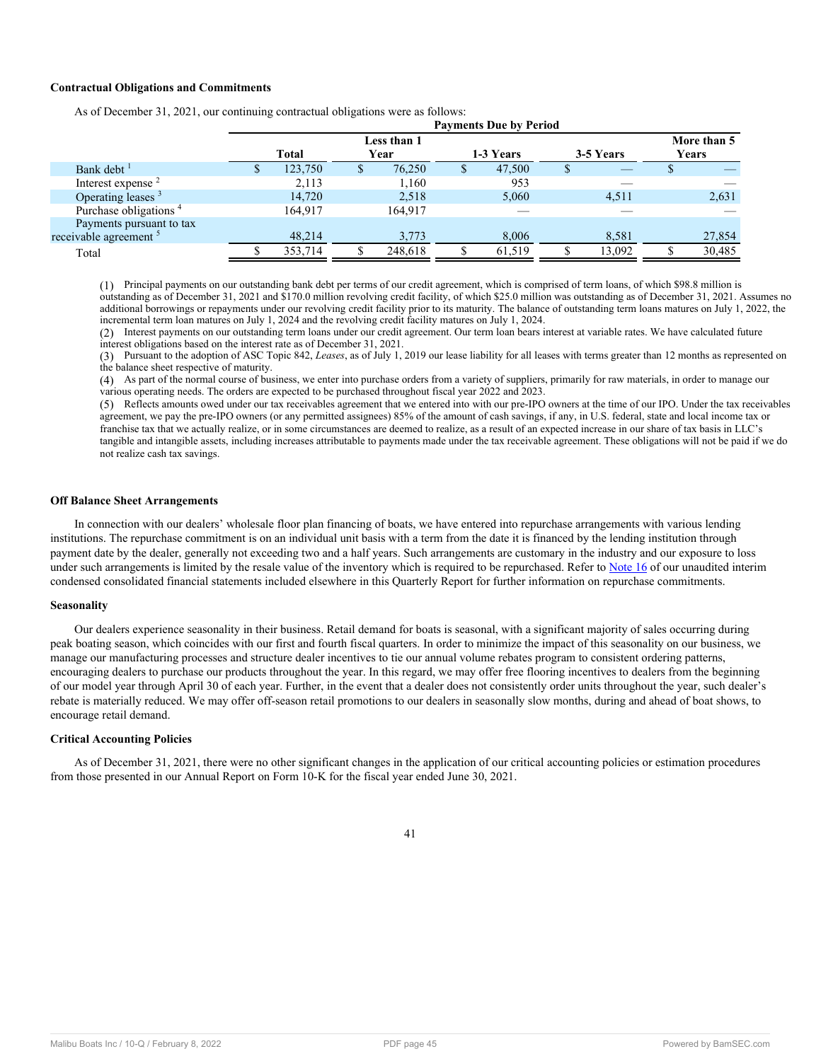## **Contractual Obligations and Commitments**

| <b>Payments Due by Period</b> |         |       |         |              |        |             |        |           |        |  |
|-------------------------------|---------|-------|---------|--------------|--------|-------------|--------|-----------|--------|--|
| Less than 1                   |         |       |         |              |        | More than 5 |        |           |        |  |
|                               |         |       |         |              |        |             |        |           | Years  |  |
| D.                            | 123,750 | ъ     | 76,250  | <sup>S</sup> | 47,500 | Ъ.          |        |           |        |  |
|                               | 2,113   |       | 1,160   |              | 953    |             |        |           |        |  |
|                               | 14,720  |       | 2,518   |              | 5,060  |             | 4,511  |           | 2,631  |  |
|                               | 164,917 |       | 164.917 |              |        |             |        |           |        |  |
|                               |         |       |         |              |        |             |        |           |        |  |
|                               | 48,214  |       | 3,773   |              | 8,006  |             | 8,581  |           | 27,854 |  |
|                               | 353,714 |       | 248.618 |              | 61,519 |             | 13,092 |           | 30,485 |  |
|                               |         | Total |         | Year         |        | 1-3 Years   |        | 3-5 Years |        |  |

As of December 31, 2021, our continuing contractual obligations were as follows:

(1) Principal payments on our outstanding bank debt per terms of our credit agreement, which is comprised of term loans, of which \$98.8 million is outstanding as of December 31, 2021 and \$170.0 million revolving credit facility, of which \$25.0 million was outstanding as of December 31, 2021. Assumes no additional borrowings or repayments under our revolving credit facility prior to its maturity. The balance of outstanding term loans matures on July 1, 2022, the incremental term loan matures on July 1, 2024 and the revolving credit facility matures on July 1, 2024.

(2) Interest payments on our outstanding term loans under our credit agreement. Our term loan bears interest at variable rates. We have calculated future interest obligations based on the interest rate as of December 31, 2021.

(3) Pursuant to the adoption of ASC Topic 842, *Leases*, as of July 1, 2019 our lease liability for all leases with terms greater than 12 months as represented on the balance sheet respective of maturity.

(4) As part of the normal course of business, we enter into purchase orders from a variety of suppliers, primarily for raw materials, in order to manage our various operating needs. The orders are expected to be purchased throughout fiscal year 2022 and 2023.

(5) Reflects amounts owed under our tax receivables agreement that we entered into with our pre-IPO owners at the time of our IPO. Under the tax receivables agreement, we pay the pre-IPO owners (or any permitted assignees) 85% of the amount of cash savings, if any, in U.S. federal, state and local income tax or franchise tax that we actually realize, or in some circumstances are deemed to realize, as a result of an expected increase in our share of tax basis in LLC's tangible and intangible assets, including increases attributable to payments made under the tax receivable agreement. These obligations will not be paid if we do not realize cash tax savings.

#### **Off Balance Sheet Arrangements**

In connection with our dealers' wholesale floor plan financing of boats, we have entered into repurchase arrangements with various lending institutions. The repurchase commitment is on an individual unit basis with a term from the date it is financed by the lending institution through payment date by the dealer, generally not exceeding two and a half years. Such arrangements are customary in the industry and our exposure to loss under such arrangements is limited by the resale value of the inventory which is required to be repurchased. Refer to [Note 16](#page-22-0) of our unaudited interim condensed consolidated financial statements included elsewhere in this Quarterly Report for further information on repurchase commitments.

#### **Seasonality**

Our dealers experience seasonality in their business. Retail demand for boats is seasonal, with a significant majority of sales occurring during peak boating season, which coincides with our first and fourth fiscal quarters. In order to minimize the impact of this seasonality on our business, we manage our manufacturing processes and structure dealer incentives to tie our annual volume rebates program to consistent ordering patterns, encouraging dealers to purchase our products throughout the year. In this regard, we may offer free flooring incentives to dealers from the beginning of our model year through April 30 of each year. Further, in the event that a dealer does not consistently order units throughout the year, such dealer's rebate is materially reduced. We may offer off-season retail promotions to our dealers in seasonally slow months, during and ahead of boat shows, to encourage retail demand.

## **Critical Accounting Policies**

<span id="page-44-0"></span>As of December 31, 2021, there were no other significant changes in the application of our critical accounting policies or estimation procedures from those presented in our Annual Report on Form 10-K for the fiscal year ended June 30, 2021.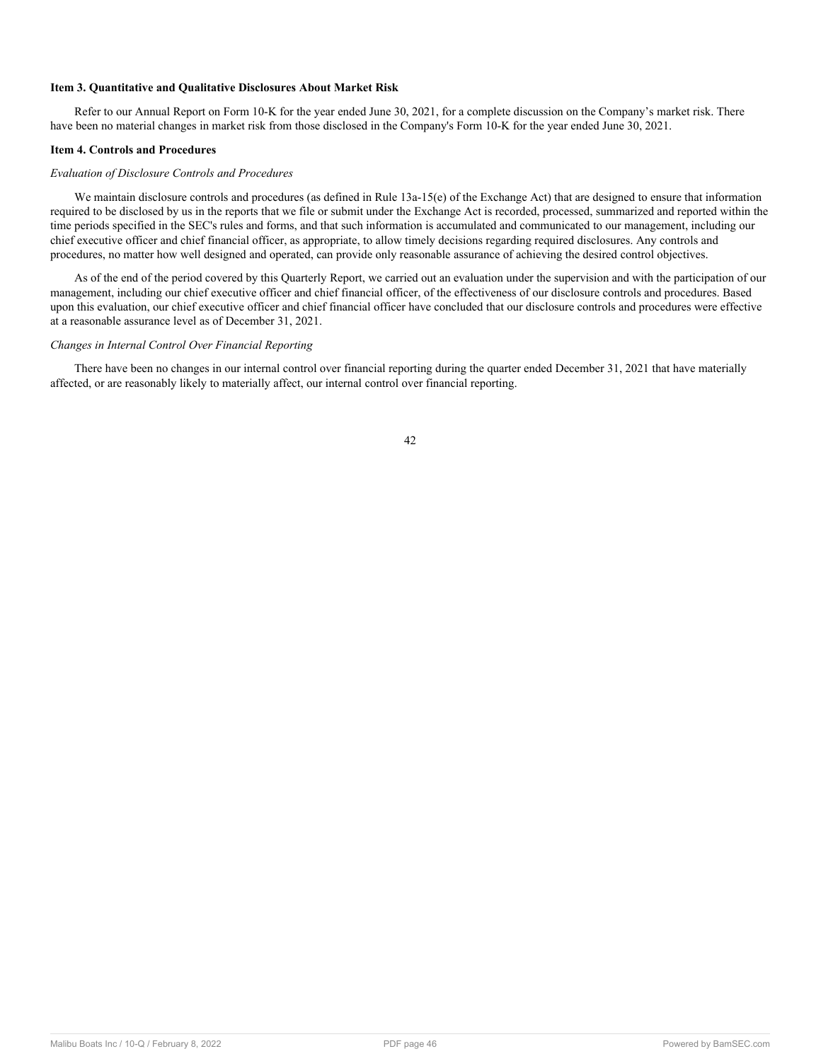## **Item 3. Quantitative and Qualitative Disclosures About Market Risk**

Refer to our Annual Report on Form 10-K for the year ended June 30, 2021, for a complete discussion on the Company's market risk. There have been no material changes in market risk from those disclosed in the Company's Form 10-K for the year ended June 30, 2021.

## <span id="page-45-0"></span>**Item 4. Controls and Procedures**

## *Evaluation of Disclosure Controls and Procedures*

We maintain disclosure controls and procedures (as defined in Rule 13a-15(e) of the Exchange Act) that are designed to ensure that information required to be disclosed by us in the reports that we file or submit under the Exchange Act is recorded, processed, summarized and reported within the time periods specified in the SEC's rules and forms, and that such information is accumulated and communicated to our management, including our chief executive officer and chief financial officer, as appropriate, to allow timely decisions regarding required disclosures. Any controls and procedures, no matter how well designed and operated, can provide only reasonable assurance of achieving the desired control objectives.

As of the end of the period covered by this Quarterly Report, we carried out an evaluation under the supervision and with the participation of our management, including our chief executive officer and chief financial officer, of the effectiveness of our disclosure controls and procedures. Based upon this evaluation, our chief executive officer and chief financial officer have concluded that our disclosure controls and procedures were effective at a reasonable assurance level as of December 31, 2021.

## *Changes in Internal Control Over Financial Reporting*

<span id="page-45-1"></span>There have been no changes in our internal control over financial reporting during the quarter ended December 31, 2021 that have materially affected, or are reasonably likely to materially affect, our internal control over financial reporting.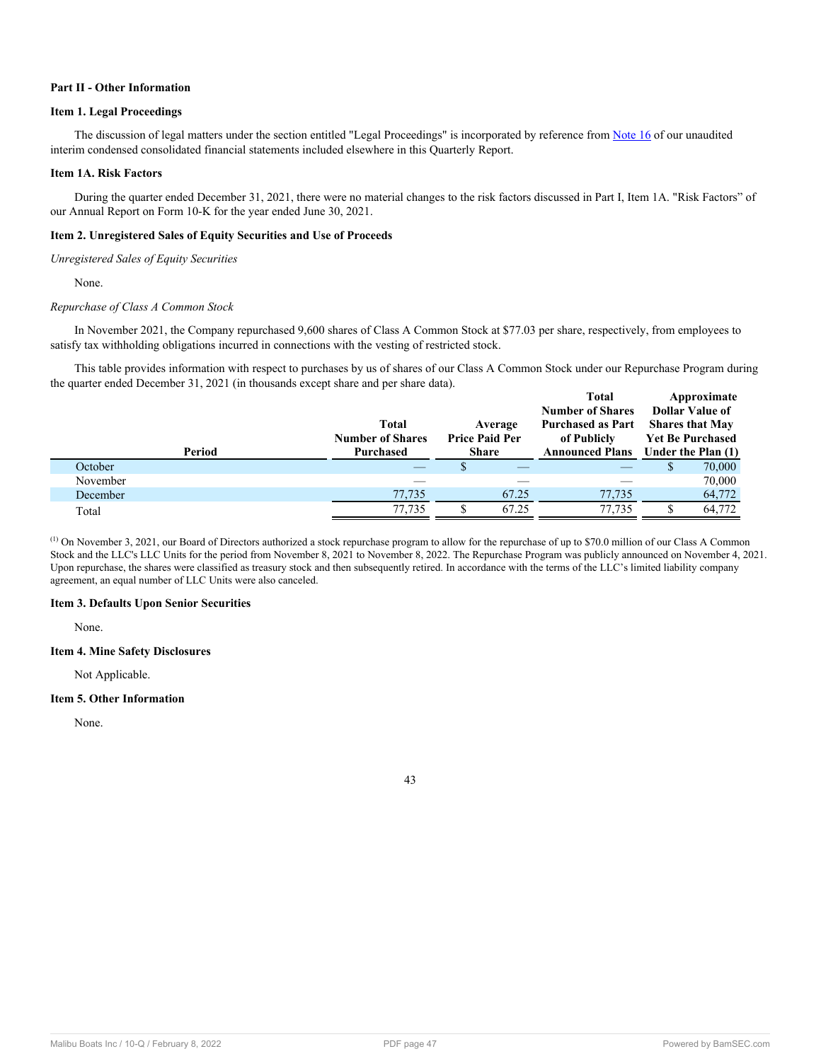## **Part II - Other Information**

## <span id="page-46-0"></span>**Item 1. Legal Proceedings**

The discussion of legal matters under the section entitled "Legal Proceedings" is incorporated by reference from [Note 16](#page-22-0) of our unaudited interim condensed consolidated financial statements included elsewhere in this Quarterly Report.

## <span id="page-46-1"></span>**Item 1A. Risk Factors**

During the quarter ended December 31, 2021, there were no material changes to the risk factors discussed in Part I, Item 1A. "Risk Factors" of our Annual Report on Form 10-K for the year ended June 30, 2021.

## <span id="page-46-2"></span>**Item 2. Unregistered Sales of Equity Securities and Use of Proceeds**

*Unregistered Sales of Equity Securities*

None.

## *Repurchase of Class A Common Stock*

In November 2021, the Company repurchased 9,600 shares of Class A Common Stock at \$77.03 per share, respectively, from employees to satisfy tax withholding obligations incurred in connections with the vesting of restricted stock.

This table provides information with respect to purchases by us of shares of our Class A Common Stock under our Repurchase Program during the quarter ended December 31, 2021 (in thousands except share and per share data).

|          |        |                         |                       | <b>Total</b>             | Approximate             |
|----------|--------|-------------------------|-----------------------|--------------------------|-------------------------|
|          |        |                         |                       | <b>Number of Shares</b>  | Dollar Value of         |
|          |        | <b>Total</b>            | Average               | <b>Purchased as Part</b> | <b>Shares that May</b>  |
|          |        | <b>Number of Shares</b> | <b>Price Paid Per</b> | of Publicly              | <b>Yet Be Purchased</b> |
|          | Period | Purchased               | Share                 | <b>Announced Plans</b>   | Under the Plan (1)      |
| October  |        |                         |                       |                          | 70,000                  |
| November |        |                         |                       |                          | 70,000                  |
| December |        | 77,735                  | 67.25                 | 77,735                   | 64,772                  |
| Total    |        | 77,735                  | 67.25                 | 77,735                   | 64,772                  |

(1) On November 3, 2021, our Board of Directors authorized a stock repurchase program to allow for the repurchase of up to \$70.0 million of our Class A Common Stock and the LLC's LLC Units for the period from November 8, 2021 to November 8, 2022. The Repurchase Program was publicly announced on November 4, 2021. Upon repurchase, the shares were classified as treasury stock and then subsequently retired. In accordance with the terms of the LLC's limited liability company agreement, an equal number of LLC Units were also canceled.

## <span id="page-46-3"></span>**Item 3. Defaults Upon Senior Securities**

None.

## <span id="page-46-4"></span>**Item 4. Mine Safety Disclosures**

Not Applicable.

## <span id="page-46-5"></span>**Item 5. Other Information**

<span id="page-46-6"></span>None.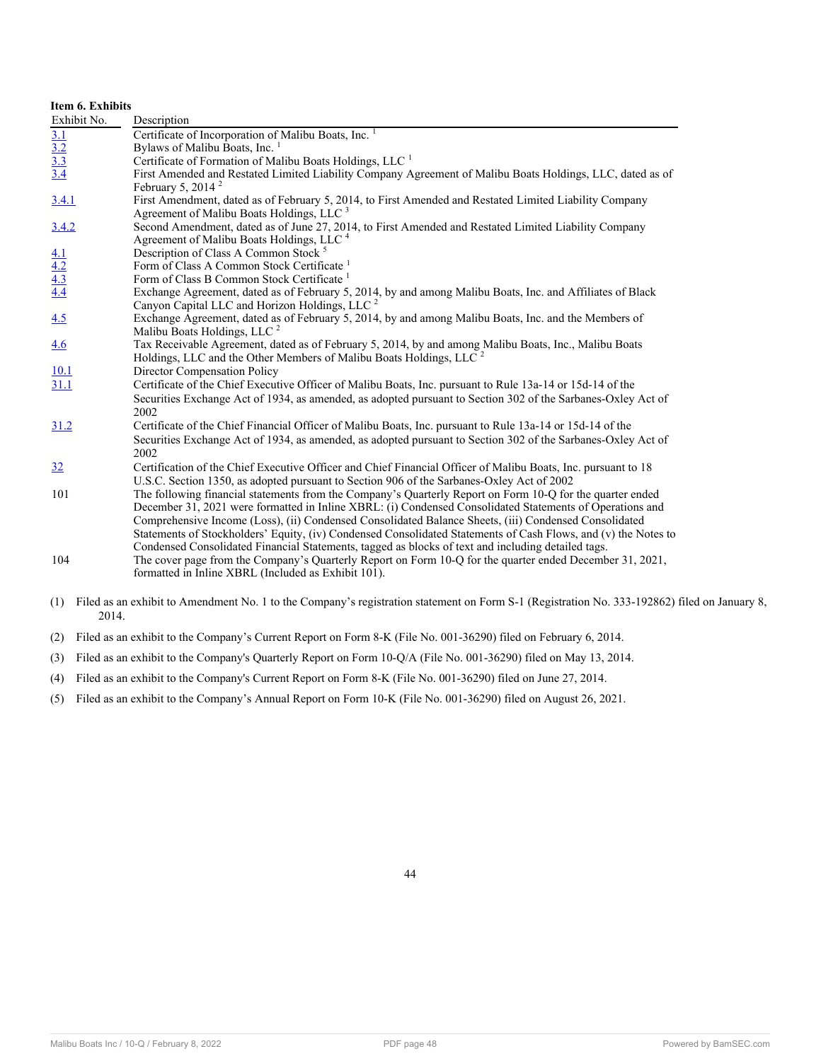| Item 6. Exhibits                       |                                                                                                                                                                                                                                                                                                                                                                                                                                                                                                                                                        |
|----------------------------------------|--------------------------------------------------------------------------------------------------------------------------------------------------------------------------------------------------------------------------------------------------------------------------------------------------------------------------------------------------------------------------------------------------------------------------------------------------------------------------------------------------------------------------------------------------------|
| Exhibit No.                            | Description                                                                                                                                                                                                                                                                                                                                                                                                                                                                                                                                            |
|                                        | Certificate of Incorporation of Malibu Boats, Inc. <sup>1</sup>                                                                                                                                                                                                                                                                                                                                                                                                                                                                                        |
|                                        | Bylaws of Malibu Boats, Inc. 1                                                                                                                                                                                                                                                                                                                                                                                                                                                                                                                         |
|                                        | Certificate of Formation of Malibu Boats Holdings, LLC <sup>1</sup>                                                                                                                                                                                                                                                                                                                                                                                                                                                                                    |
| $\frac{3.1}{3.2}$<br>$\frac{3.3}{3.4}$ | First Amended and Restated Limited Liability Company Agreement of Malibu Boats Holdings, LLC, dated as of<br>February 5, 2014 $^2$                                                                                                                                                                                                                                                                                                                                                                                                                     |
| 3.4.1                                  | First Amendment, dated as of February 5, 2014, to First Amended and Restated Limited Liability Company<br>Agreement of Malibu Boats Holdings, LLC <sup>3</sup>                                                                                                                                                                                                                                                                                                                                                                                         |
| 3.4.2                                  | Second Amendment, dated as of June 27, 2014, to First Amended and Restated Limited Liability Company<br>Agreement of Malibu Boats Holdings, LLC <sup>4</sup>                                                                                                                                                                                                                                                                                                                                                                                           |
|                                        | Description of Class A Common Stock <sup>5</sup>                                                                                                                                                                                                                                                                                                                                                                                                                                                                                                       |
|                                        | Form of Class A Common Stock Certificate <sup>1</sup>                                                                                                                                                                                                                                                                                                                                                                                                                                                                                                  |
|                                        | Form of Class B Common Stock Certificate <sup>1</sup>                                                                                                                                                                                                                                                                                                                                                                                                                                                                                                  |
| $\frac{4.1}{4.2}$<br>$\frac{4.3}{4.4}$ | Exchange Agreement, dated as of February 5, 2014, by and among Malibu Boats, Inc. and Affiliates of Black<br>Canyon Capital LLC and Horizon Holdings, LLC <sup>2</sup>                                                                                                                                                                                                                                                                                                                                                                                 |
| 4.5                                    | Exchange Agreement, dated as of February 5, 2014, by and among Malibu Boats, Inc. and the Members of<br>Malibu Boats Holdings, LLC <sup>2</sup>                                                                                                                                                                                                                                                                                                                                                                                                        |
| 4.6                                    | Tax Receivable Agreement, dated as of February 5, 2014, by and among Malibu Boats, Inc., Malibu Boats<br>Holdings, LLC and the Other Members of Malibu Boats Holdings, LLC <sup>2</sup>                                                                                                                                                                                                                                                                                                                                                                |
| <u>10.1</u>                            | Director Compensation Policy                                                                                                                                                                                                                                                                                                                                                                                                                                                                                                                           |
| 31.1                                   | Certificate of the Chief Executive Officer of Malibu Boats, Inc. pursuant to Rule 13a-14 or 15d-14 of the<br>Securities Exchange Act of 1934, as amended, as adopted pursuant to Section 302 of the Sarbanes-Oxley Act of<br>2002                                                                                                                                                                                                                                                                                                                      |
| 31.2                                   | Certificate of the Chief Financial Officer of Malibu Boats, Inc. pursuant to Rule 13a-14 or 15d-14 of the<br>Securities Exchange Act of 1934, as amended, as adopted pursuant to Section 302 of the Sarbanes-Oxley Act of<br>2002                                                                                                                                                                                                                                                                                                                      |
| 32                                     | Certification of the Chief Executive Officer and Chief Financial Officer of Malibu Boats, Inc. pursuant to 18<br>U.S.C. Section 1350, as adopted pursuant to Section 906 of the Sarbanes-Oxley Act of 2002                                                                                                                                                                                                                                                                                                                                             |
| 101                                    | The following financial statements from the Company's Quarterly Report on Form 10-Q for the quarter ended<br>December 31, 2021 were formatted in Inline XBRL: (i) Condensed Consolidated Statements of Operations and<br>Comprehensive Income (Loss), (ii) Condensed Consolidated Balance Sheets, (iii) Condensed Consolidated<br>Statements of Stockholders' Equity, (iv) Condensed Consolidated Statements of Cash Flows, and (v) the Notes to<br>Condensed Consolidated Financial Statements, tagged as blocks of text and including detailed tags. |
| 104                                    | The cover page from the Company's Quarterly Report on Form 10-Q for the quarter ended December 31, 2021,<br>formatted in Inline XBRL (Included as Exhibit 101).                                                                                                                                                                                                                                                                                                                                                                                        |

- (1) Filed as an exhibit to Amendment No. 1 to the Company's registration statement on Form S-1 (Registration No. 333-192862) filed on January 8, 2014.
- (2) Filed as an exhibit to the Company's Current Report on Form 8-K (File No. 001-36290) filed on February 6, 2014.
- (3) Filed as an exhibit to the Company's Quarterly Report on Form 10-Q/A (File No. 001-36290) filed on May 13, 2014.
- (4) Filed as an exhibit to the Company's Current Report on Form 8-K (File No. 001-36290) filed on June 27, 2014.
- <span id="page-47-0"></span>(5) Filed as an exhibit to the Company's Annual Report on Form 10-K (File No. 001-36290) filed on August 26, 2021.